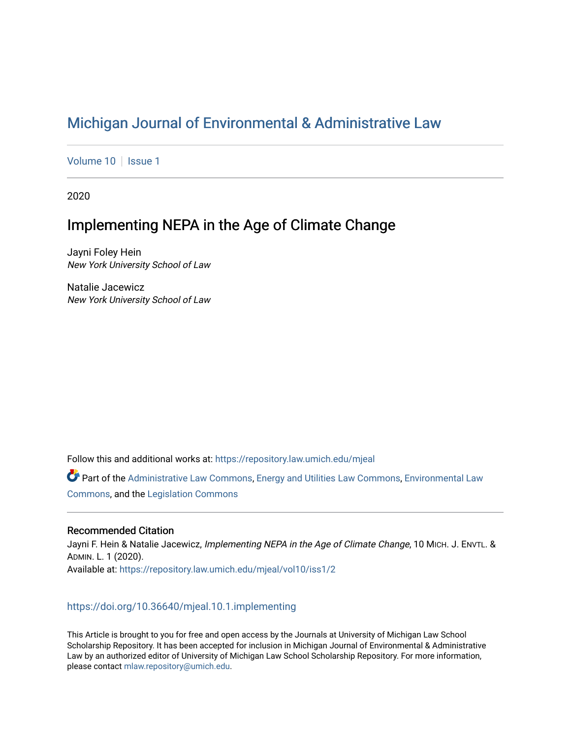# [Michigan Journal of Environmental & Administrative Law](https://repository.law.umich.edu/mjeal)

[Volume 10](https://repository.law.umich.edu/mjeal/vol10) | [Issue 1](https://repository.law.umich.edu/mjeal/vol10/iss1)

2020

# Implementing NEPA in the Age of Climate Change

Jayni Foley Hein New York University School of Law

Natalie Jacewicz New York University School of Law

Follow this and additional works at: [https://repository.law.umich.edu/mjeal](https://repository.law.umich.edu/mjeal?utm_source=repository.law.umich.edu%2Fmjeal%2Fvol10%2Fiss1%2F2&utm_medium=PDF&utm_campaign=PDFCoverPages)

Part of the [Administrative Law Commons,](http://network.bepress.com/hgg/discipline/579?utm_source=repository.law.umich.edu%2Fmjeal%2Fvol10%2Fiss1%2F2&utm_medium=PDF&utm_campaign=PDFCoverPages) [Energy and Utilities Law Commons](http://network.bepress.com/hgg/discipline/891?utm_source=repository.law.umich.edu%2Fmjeal%2Fvol10%2Fiss1%2F2&utm_medium=PDF&utm_campaign=PDFCoverPages), [Environmental Law](http://network.bepress.com/hgg/discipline/599?utm_source=repository.law.umich.edu%2Fmjeal%2Fvol10%2Fiss1%2F2&utm_medium=PDF&utm_campaign=PDFCoverPages) [Commons](http://network.bepress.com/hgg/discipline/599?utm_source=repository.law.umich.edu%2Fmjeal%2Fvol10%2Fiss1%2F2&utm_medium=PDF&utm_campaign=PDFCoverPages), and the [Legislation Commons](http://network.bepress.com/hgg/discipline/859?utm_source=repository.law.umich.edu%2Fmjeal%2Fvol10%2Fiss1%2F2&utm_medium=PDF&utm_campaign=PDFCoverPages)

# Recommended Citation

Jayni F. Hein & Natalie Jacewicz, Implementing NEPA in the Age of Climate Change, 10 MICH. J. ENVTL. & ADMIN. L. 1 (2020). Available at: [https://repository.law.umich.edu/mjeal/vol10/iss1/2](https://repository.law.umich.edu/mjeal/vol10/iss1/2?utm_source=repository.law.umich.edu%2Fmjeal%2Fvol10%2Fiss1%2F2&utm_medium=PDF&utm_campaign=PDFCoverPages)

# <https://doi.org/10.36640/mjeal.10.1.implementing>

This Article is brought to you for free and open access by the Journals at University of Michigan Law School Scholarship Repository. It has been accepted for inclusion in Michigan Journal of Environmental & Administrative Law by an authorized editor of University of Michigan Law School Scholarship Repository. For more information, please contact [mlaw.repository@umich.edu.](mailto:mlaw.repository@umich.edu)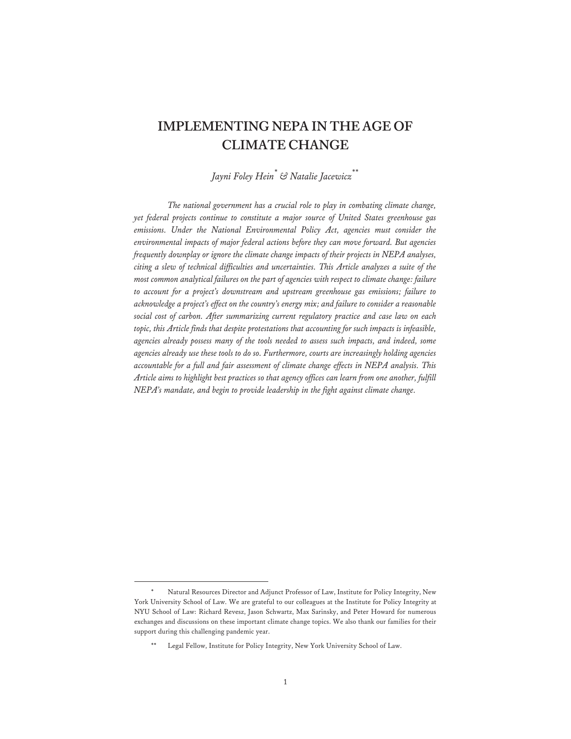# **IMPLEMENTING NEPA IN THE AGE OF CLIMATE CHANGE**

*Jayni Foley Hein\* & Natalie Jacewicz\*\**

*The national government has a crucial role to play in combating climate change, yet federal projects continue to constitute a major source of United States greenhouse gas emissions. Under the National Environmental Policy Act, agencies must consider the environmental impacts of major federal actions before they can move forward. But agencies frequently downplay or ignore the climate change impacts of their projects in NEPA analyses, citing a slew of technical difficulties and uncertainties. This Article analyzes a suite of the most common analytical failures on the part of agencies with respect to climate change: failure to account for a project's downstream and upstream greenhouse gas emissions; failure to acknowledge a project's effect on the country's energy mix; and failure to consider a reasonable social cost of carbon. After summarizing current regulatory practice and case law on each topic, this Article finds that despite protestations that accounting for such impacts is infeasible, agencies already possess many of the tools needed to assess such impacts, and indeed, some agencies already use these tools to do so. Furthermore, courts are increasingly holding agencies accountable for a full and fair assessment of climate change effects in NEPA analysis. This Article aims to highlight best practices so that agency offices can learn from one another, fulfill NEPA's mandate, and begin to provide leadership in the fight against climate change.* 

Natural Resources Director and Adjunct Professor of Law, Institute for Policy Integrity, New York University School of Law. We are grateful to our colleagues at the Institute for Policy Integrity at NYU School of Law: Richard Revesz, Jason Schwartz, Max Sarinsky, and Peter Howard for numerous exchanges and discussions on these important climate change topics. We also thank our families for their support during this challenging pandemic year.

Legal Fellow, Institute for Policy Integrity, New York University School of Law.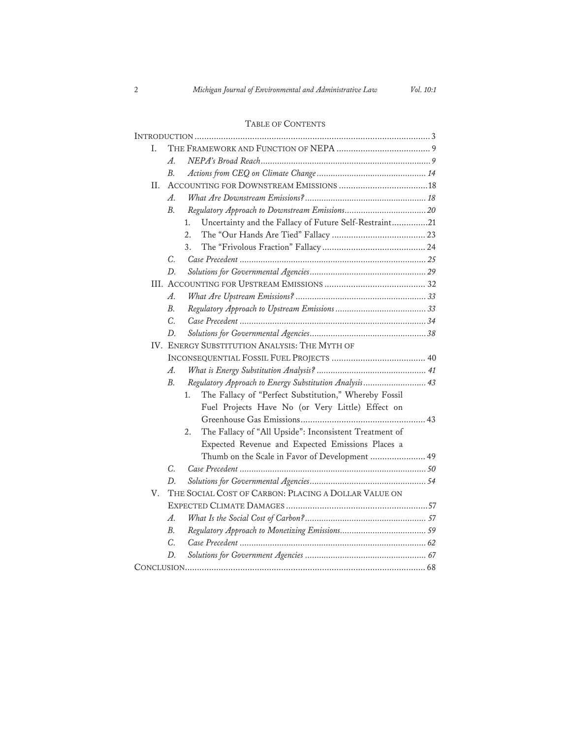# TABLE OF CONTENTS

| L. |                                                                       |  |
|----|-----------------------------------------------------------------------|--|
|    | $A$ .                                                                 |  |
|    | B <sub>1</sub>                                                        |  |
| Н. |                                                                       |  |
|    | $\mathcal{A}_{\cdot}$                                                 |  |
|    | B.                                                                    |  |
|    | Uncertainty and the Fallacy of Future Self-Restraint21<br>1.          |  |
|    | 2.                                                                    |  |
|    | 3.                                                                    |  |
|    | C.                                                                    |  |
|    | D.                                                                    |  |
|    |                                                                       |  |
|    | $A_{\cdot}$                                                           |  |
|    | $B_{\cdot}$                                                           |  |
|    | C.                                                                    |  |
|    | D.                                                                    |  |
|    | IV. ENERGY SUBSTITUTION ANALYSIS: THE MYTH OF                         |  |
|    |                                                                       |  |
|    | A.                                                                    |  |
|    | Regulatory Approach to Energy Substitution Analysis 43<br>$B_{\cdot}$ |  |
|    | The Fallacy of "Perfect Substitution," Whereby Fossil<br>1.           |  |
|    | Fuel Projects Have No (or Very Little) Effect on                      |  |
|    |                                                                       |  |
|    | The Fallacy of "All Upside": Inconsistent Treatment of<br>2.          |  |
|    | Expected Revenue and Expected Emissions Places a                      |  |
|    | Thumb on the Scale in Favor of Development  49                        |  |
|    | $C_{\cdot}$                                                           |  |
|    | D.                                                                    |  |
| V. | THE SOCIAL COST OF CARBON: PLACING A DOLLAR VALUE ON                  |  |
|    |                                                                       |  |
|    | A.                                                                    |  |
|    | В.                                                                    |  |
|    | C.                                                                    |  |
|    | D.                                                                    |  |
|    |                                                                       |  |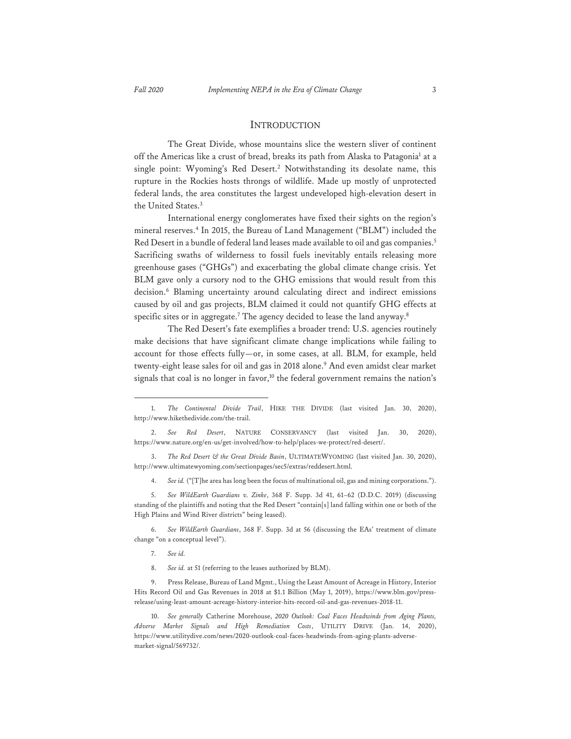#### INTRODUCTION

The Great Divide, whose mountains slice the western sliver of continent off the Americas like a crust of bread, breaks its path from Alaska to Patagonia<sup>1</sup> at a single point: Wyoming's Red Desert.<sup>2</sup> Notwithstanding its desolate name, this rupture in the Rockies hosts throngs of wildlife. Made up mostly of unprotected federal lands, the area constitutes the largest undeveloped high-elevation desert in the United States.<sup>3</sup>

 International energy conglomerates have fixed their sights on the region's mineral reserves.<sup>4</sup> In 2015, the Bureau of Land Management ("BLM") included the Red Desert in a bundle of federal land leases made available to oil and gas companies.5 Sacrificing swaths of wilderness to fossil fuels inevitably entails releasing more greenhouse gases ("GHGs") and exacerbating the global climate change crisis. Yet BLM gave only a cursory nod to the GHG emissions that would result from this decision.<sup>6</sup> Blaming uncertainty around calculating direct and indirect emissions caused by oil and gas projects, BLM claimed it could not quantify GHG effects at specific sites or in aggregate.7 The agency decided to lease the land anyway.8

The Red Desert's fate exemplifies a broader trend: U.S. agencies routinely make decisions that have significant climate change implications while failing to account for those effects fully—or, in some cases, at all. BLM, for example, held twenty-eight lease sales for oil and gas in 2018 alone.<sup>9</sup> And even amidst clear market signals that coal is no longer in favor,<sup>10</sup> the federal government remains the nation's

6. *See WildEarth Guardians*, 368 F. Supp. 3d at 56 (discussing the EAs' treatment of climate change "on a conceptual level").

- 7. *See id.*
- 8. *See id.* at 51 (referring to the leases authorized by BLM).

9. Press Release, Bureau of Land Mgmt., Using the Least Amount of Acreage in History, Interior Hits Record Oil and Gas Revenues in 2018 at \$1.1 Billion (May 1, 2019), https://www.blm.gov/pressrelease/using-least-amount-acreage-history-interior-hits-record-oil-and-gas-revenues-2018-11.

<sup>1.</sup> *The Continental Divide Trail*, HIKE THE DIVIDE (last visited Jan. 30, 2020), http://www.hikethedivide.com/the-trail.

<sup>2.</sup> *See Red Desert*, NATURE CONSERVANCY (last visited Jan. 30, 2020), https://www.nature.org/en-us/get-involved/how-to-help/places-we-protect/red-desert/.

<sup>3.</sup> *The Red Desert & the Great Divide Basin*, ULTIMATEWYOMING (last visited Jan. 30, 2020), http://www.ultimatewyoming.com/sectionpages/sec5/extras/reddesert.html.

<sup>4.</sup> *See id.* ("[T]he area has long been the focus of multinational oil, gas and mining corporations.").

<sup>5.</sup> *See WildEarth Guardians v. Zinke*, 368 F. Supp. 3d 41, 61–62 (D.D.C. 2019) (discussing standing of the plaintiffs and noting that the Red Desert "contain[s] land falling within one or both of the High Plains and Wind River districts" being leased).

<sup>10.</sup> *See generally* Catherine Morehouse, *2020 Outlook: Coal Faces Headwinds from Aging Plants, Adverse Market Signals and High Remediation Costs*, UTILITY DRIVE (Jan. 14, 2020), https://www.utilitydive.com/news/2020-outlook-coal-faces-headwinds-from-aging-plants-adversemarket-signal/569732/.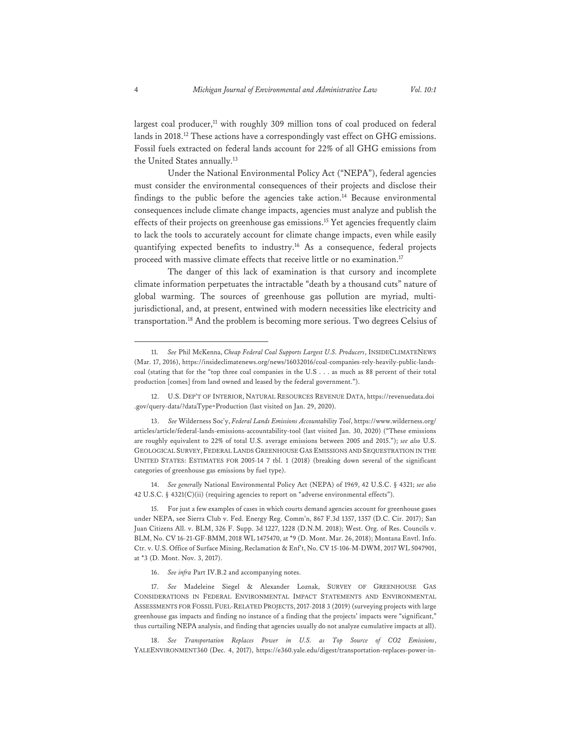largest coal producer, $11$  with roughly 309 million tons of coal produced on federal lands in 2018.<sup>12</sup> These actions have a correspondingly vast effect on GHG emissions. Fossil fuels extracted on federal lands account for 22% of all GHG emissions from the United States annually.<sup>13</sup>

 Under the National Environmental Policy Act ("NEPA"), federal agencies must consider the environmental consequences of their projects and disclose their findings to the public before the agencies take action.<sup>14</sup> Because environmental consequences include climate change impacts, agencies must analyze and publish the effects of their projects on greenhouse gas emissions.<sup>15</sup> Yet agencies frequently claim to lack the tools to accurately account for climate change impacts, even while easily quantifying expected benefits to industry.16 As a consequence, federal projects proceed with massive climate effects that receive little or no examination.<sup>17</sup>

The danger of this lack of examination is that cursory and incomplete climate information perpetuates the intractable "death by a thousand cuts" nature of global warming. The sources of greenhouse gas pollution are myriad, multijurisdictional, and, at present, entwined with modern necessities like electricity and transportation.18 And the problem is becoming more serious. Two degrees Celsius of

14. *See generally* National Environmental Policy Act (NEPA) of 1969, 42 U.S.C. § 4321; *see also* 42 U.S.C. § 4321(C)(ii) (requiring agencies to report on "adverse environmental effects").

15. For just a few examples of cases in which courts demand agencies account for greenhouse gases under NEPA, see Sierra Club v. Fed. Energy Reg. Comm'n, 867 F.3d 1357, 1357 (D.C. Cir. 2017); San Juan Citizens All. v. BLM, 326 F. Supp. 3d 1227, 1228 (D.N.M. 2018); West. Org. of Res. Councils v. BLM, No. CV 16-21-GF-BMM, 2018 WL 1475470, at \*9 (D. Mont. Mar. 26, 2018); Montana Envtl. Info. Ctr. v. U.S. Office of Surface Mining, Reclamation & Enf't, No. CV 15-106-M-DWM, 2017 WL 5047901, at \*3 (D. Mont. Nov. 3, 2017).

16. *See infra* Part IV.B.2 and accompanying notes.

17. *See* Madeleine Siegel & Alexander Loznak, SURVEY OF GREENHOUSE GAS CONSIDERATIONS IN FEDERAL ENVIRONMENTAL IMPACT STATEMENTS AND ENVIRONMENTAL ASSESSMENTS FOR FOSSIL FUEL-RELATED PROJECTS, 2017-2018 3 (2019) (surveying projects with large greenhouse gas impacts and finding no instance of a finding that the projects' impacts were "significant," thus curtailing NEPA analysis, and finding that agencies usually do not analyze cumulative impacts at all).

18. *See Transportation Replaces Power in U.S. as Top Source of CO2 Emissions*, YALEENVIRONMENT360 (Dec. 4, 2017), https://e360.yale.edu/digest/transportation-replaces-power-in-

<sup>11.</sup> *See* Phil McKenna, *Cheap Federal Coal Supports Largest U.S. Producers*, INSIDECLIMATENEWS (Mar. 17, 2016), https://insideclimatenews.org/news/16032016/coal-companies-rely-heavily-public-landscoal (stating that for the "top three coal companies in the U.S . . . as much as 88 percent of their total production [comes] from land owned and leased by the federal government.").

<sup>12.</sup> U.S. DEP'T OF INTERIOR, NATURAL RESOURCES REVENUE DATA, https://revenuedata.doi .gov/query-data/?dataType=Production (last visited on Jan. 29, 2020).

<sup>13.</sup> *See* Wilderness Soc'y, *Federal Lands Emissions Accountability Tool*, https://www.wilderness.org/ articles/article/federal-lands-emissions-accountability-tool (last visited Jan. 30, 2020) ("These emissions are roughly equivalent to 22% of total U.S. average emissions between 2005 and 2015."); *see also* U.S. GEOLOGICAL SURVEY, FEDERAL LANDS GREENHOUSE GAS EMISSIONS AND SEQUESTRATION IN THE UNITED STATES: ESTIMATES FOR 2005-14 7 tbl. 1 (2018) (breaking down several of the significant categories of greenhouse gas emissions by fuel type).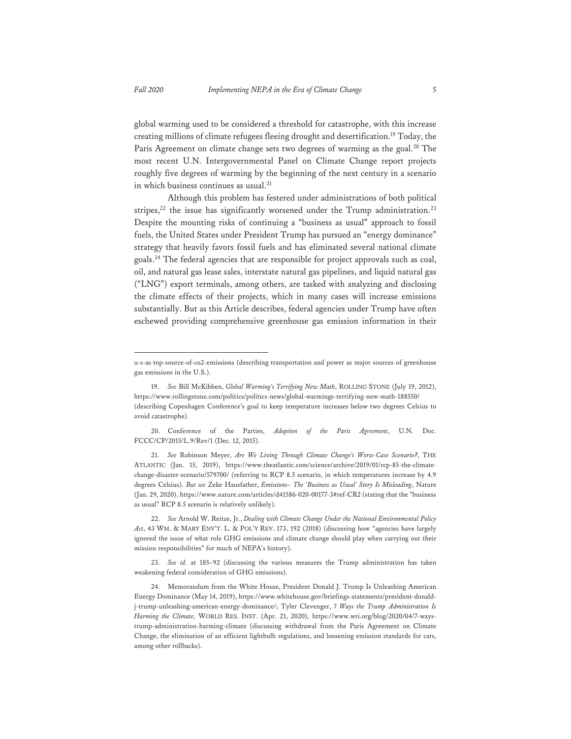global warming used to be considered a threshold for catastrophe, with this increase creating millions of climate refugees fleeing drought and desertification.19 Today, the Paris Agreement on climate change sets two degrees of warming as the goal.<sup>20</sup> The most recent U.N. Intergovernmental Panel on Climate Change report projects roughly five degrees of warming by the beginning of the next century in a scenario in which business continues as usual.<sup>21</sup>

 Although this problem has festered under administrations of both political stripes, $22$  the issue has significantly worsened under the Trump administration.<sup>23</sup> Despite the mounting risks of continuing a "business as usual" approach to fossil fuels, the United States under President Trump has pursued an "energy dominance" strategy that heavily favors fossil fuels and has eliminated several national climate goals.24 The federal agencies that are responsible for project approvals such as coal, oil, and natural gas lease sales, interstate natural gas pipelines, and liquid natural gas ("LNG") export terminals, among others, are tasked with analyzing and disclosing the climate effects of their projects, which in many cases will increase emissions substantially. But as this Article describes, federal agencies under Trump have often eschewed providing comprehensive greenhouse gas emission information in their

21. *See* Robinson Meyer, *Are We Living Through Climate Change's Worst-Case Scenario?*, THE ATLANTIC (Jan. 15, 2019), https://www.theatlantic.com/science/archive/2019/01/rcp-85-the-climatechange-disaster-scenario/579700/ (referring to RCP 8.5 scenario, in which temperatures increase by 4.9 degrees Celsius). *But see* Zeke Hausfather, *Emissions– The 'Business as Usual' Story Is Misleading*, Nature (Jan. 29, 2020), https://www.nature.com/articles/d41586-020-00177-3#ref-CR2 (stating that the "business as usual" RCP 8.5 scenario is relatively unlikely).

22. *See* Arnold W. Reitze, Jr., *Dealing with Climate Change Under the National Environmental Policy Act*, 43 WM. & MARY ENV'T. L. & POL'Y REV. 173, 192 (2018) (discussing how "agencies have largely ignored the issue of what role GHG emissions and climate change should play when carrying out their mission responsibilities" for much of NEPA's history).

23. *See id.* at 185–92 (discussing the various measures the Trump administration has taken weakening federal consideration of GHG emissions).

u-s-as-top-source-of-co2-emissions (describing transportation and power as major sources of greenhouse gas emissions in the U.S.).

<sup>19.</sup> *See* Bill McKibben, *Global Warming's Terrifying New Math*, ROLLING STONE (July 19, 2012), https://www.rollingstone.com/politics/politics-news/global-warmings-terrifying-new-math-188550/ (describing Copenhagen Conference's goal to keep temperature increases below two degrees Celsius to avoid catastrophe).

<sup>20.</sup> Conference of the Parties, *Adoption of the Paris Agreement*, U.N. Doc. FCCC/CP/2015/L.9/Rev/1 (Dec. 12, 2015).

<sup>24.</sup> Memorandum from the White House, President Donald J. Trump Is Unleashing American Energy Dominance (May 14, 2019), https://www.whitehouse.gov/briefings-statements/president-donaldj-trump-unleashing-american-energy-dominance/; Tyler Clevenger, *7 Ways the Trump Administration Is Harming the Climate,* WORLD RES. INST. (Apr. 21, 2020)*,* https://www.wri.org/blog/2020/04/7-waystrump-administration-harming-climate (discussing withdrawal from the Paris Agreement on Climate Change, the elimination of an efficient lightbulb regulations, and loosening emission standards for cars, among other rollbacks).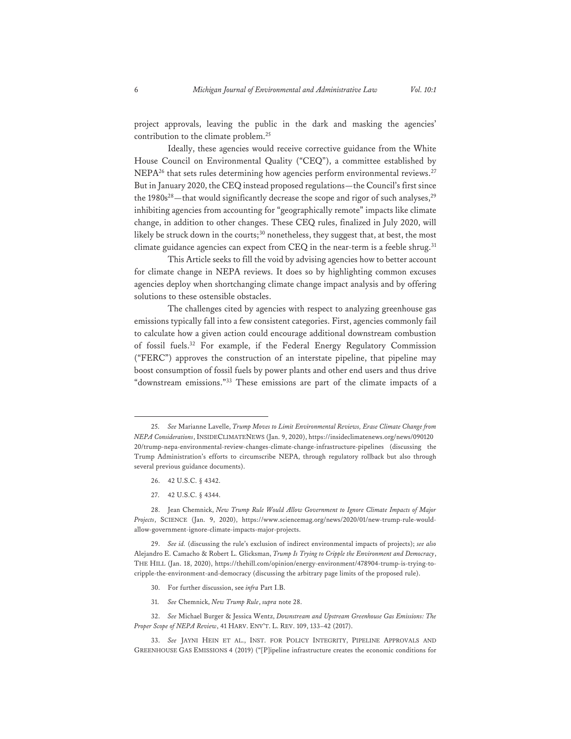project approvals, leaving the public in the dark and masking the agencies' contribution to the climate problem.25

 Ideally, these agencies would receive corrective guidance from the White House Council on Environmental Quality ("CEQ"), a committee established by NEPA<sup>26</sup> that sets rules determining how agencies perform environmental reviews.<sup>27</sup> But in January 2020, the CEQ instead proposed regulations—the Council's first since the  $1980s^{28}$ —that would significantly decrease the scope and rigor of such analyses,<sup>29</sup> inhibiting agencies from accounting for "geographically remote" impacts like climate change, in addition to other changes. These CEQ rules, finalized in July 2020, will likely be struck down in the courts;<sup>30</sup> nonetheless, they suggest that, at best, the most climate guidance agencies can expect from CEQ in the near-term is a feeble shrug.<sup>31</sup>

 This Article seeks to fill the void by advising agencies how to better account for climate change in NEPA reviews. It does so by highlighting common excuses agencies deploy when shortchanging climate change impact analysis and by offering solutions to these ostensible obstacles.

 The challenges cited by agencies with respect to analyzing greenhouse gas emissions typically fall into a few consistent categories. First, agencies commonly fail to calculate how a given action could encourage additional downstream combustion of fossil fuels.32 For example, if the Federal Energy Regulatory Commission ("FERC") approves the construction of an interstate pipeline, that pipeline may boost consumption of fossil fuels by power plants and other end users and thus drive "downstream emissions."33 These emissions are part of the climate impacts of a

- 26. 42 U.S.C. § 4342.
- 27. 42 U.S.C. § 4344.

- 30. For further discussion, see *infra* Part I.B.
- 31. *See* Chemnick, *New Trump Rule*, *supra* note 28.

32. *See* Michael Burger & Jessica Wentz, *Downstream and Upstream Greenhouse Gas Emissions: The Proper Scope of NEPA Review*, 41 HARV. ENV'T. L. REV. 109, 133–42 (2017).

33. *See* JAYNI HEIN ET AL., INST. FOR POLICY INTEGRITY, PIPELINE APPROVALS AND GREENHOUSE GAS EMISSIONS 4 (2019) ("[P]ipeline infrastructure creates the economic conditions for

<sup>25.</sup> *See* Marianne Lavelle, *Trump Moves to Limit Environmental Reviews, Erase Climate Change from NEPA Considerations*, INSIDECLIMATENEWS (Jan. 9, 2020), https://insideclimatenews.org/news/090120 20/trump-nepa-environmental-review-changes-climate-change-infrastructure-pipelines (discussing the Trump Administration's efforts to circumscribe NEPA, through regulatory rollback but also through several previous guidance documents).

<sup>28.</sup> Jean Chemnick, *New Trump Rule Would Allow Government to Ignore Climate Impacts of Major Projects*, SCIENCE (Jan. 9, 2020), https://www.sciencemag.org/news/2020/01/new-trump-rule-wouldallow-government-ignore-climate-impacts-major-projects.

<sup>29.</sup> *See id.* (discussing the rule's exclusion of indirect environmental impacts of projects); *see also* Alejandro E. Camacho & Robert L. Glicksman, *Trump Is Trying to Cripple the Environment and Democracy*, THE HILL (Jan. 18, 2020), https://thehill.com/opinion/energy-environment/478904-trump-is-trying-tocripple-the-environment-and-democracy (discussing the arbitrary page limits of the proposed rule).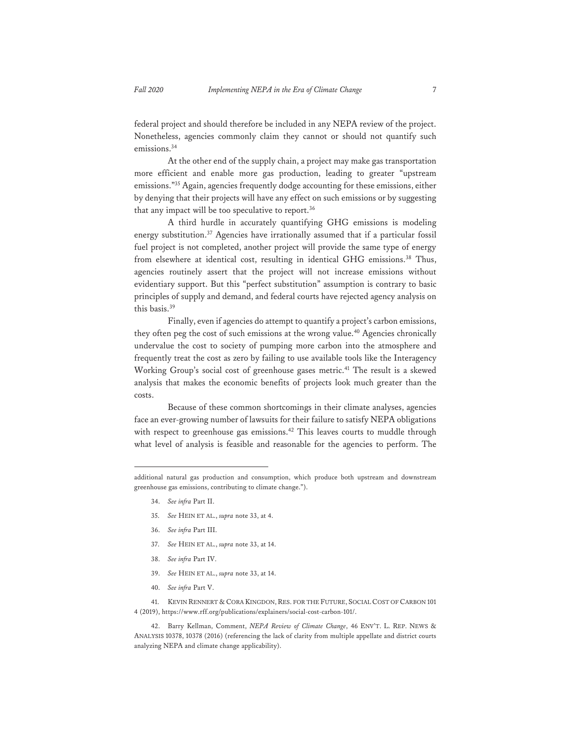federal project and should therefore be included in any NEPA review of the project. Nonetheless, agencies commonly claim they cannot or should not quantify such emissions.<sup>34</sup>

At the other end of the supply chain, a project may make gas transportation more efficient and enable more gas production, leading to greater "upstream emissions."35 Again, agencies frequently dodge accounting for these emissions, either by denying that their projects will have any effect on such emissions or by suggesting that any impact will be too speculative to report.<sup>36</sup>

A third hurdle in accurately quantifying GHG emissions is modeling energy substitution.<sup>37</sup> Agencies have irrationally assumed that if a particular fossil fuel project is not completed, another project will provide the same type of energy from elsewhere at identical cost, resulting in identical GHG emissions.<sup>38</sup> Thus, agencies routinely assert that the project will not increase emissions without evidentiary support. But this "perfect substitution" assumption is contrary to basic principles of supply and demand, and federal courts have rejected agency analysis on this basis.39

Finally, even if agencies do attempt to quantify a project's carbon emissions, they often peg the cost of such emissions at the wrong value.<sup>40</sup> Agencies chronically undervalue the cost to society of pumping more carbon into the atmosphere and frequently treat the cost as zero by failing to use available tools like the Interagency Working Group's social cost of greenhouse gases metric.<sup>41</sup> The result is a skewed analysis that makes the economic benefits of projects look much greater than the costs.

Because of these common shortcomings in their climate analyses, agencies face an ever-growing number of lawsuits for their failure to satisfy NEPA obligations with respect to greenhouse gas emissions.<sup>42</sup> This leaves courts to muddle through what level of analysis is feasible and reasonable for the agencies to perform. The

- 34. *See infra* Part II.
- 35. *See* HEIN ET AL., *supra* note 33, at 4.
- 36. *See infra* Part III.
- 37. *See* HEIN ET AL., *supra* note 33, at 14.
- 38. *See infra* Part IV.
- 39. *See* HEIN ET AL., *supra* note 33, at 14.
- 40. *See infra* Part V.

41. KEVIN RENNERT & CORA KINGDON, RES. FOR THE FUTURE, SOCIAL COST OF CARBON 101 4 (2019), https://www.rff.org/publications/explainers/social-cost-carbon-101/.

42. Barry Kellman, Comment, *NEPA Review of Climate Change*, 46 ENV'T. L. REP. NEWS & ANALYSIS 10378, 10378 (2016) (referencing the lack of clarity from multiple appellate and district courts analyzing NEPA and climate change applicability).

additional natural gas production and consumption, which produce both upstream and downstream greenhouse gas emissions, contributing to climate change.").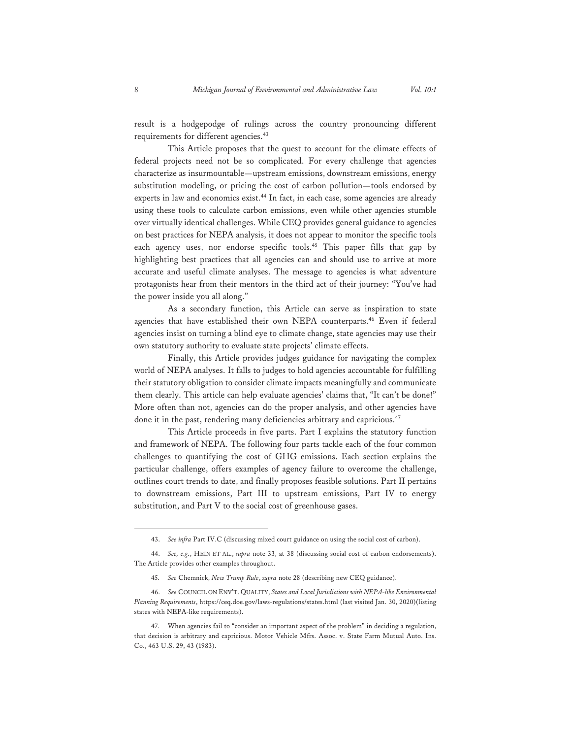result is a hodgepodge of rulings across the country pronouncing different requirements for different agencies.<sup>43</sup>

This Article proposes that the quest to account for the climate effects of federal projects need not be so complicated. For every challenge that agencies characterize as insurmountable—upstream emissions, downstream emissions, energy substitution modeling, or pricing the cost of carbon pollution—tools endorsed by experts in law and economics exist.<sup>44</sup> In fact, in each case, some agencies are already using these tools to calculate carbon emissions, even while other agencies stumble over virtually identical challenges. While CEQ provides general guidance to agencies on best practices for NEPA analysis, it does not appear to monitor the specific tools each agency uses, nor endorse specific tools.<sup>45</sup> This paper fills that gap by highlighting best practices that all agencies can and should use to arrive at more accurate and useful climate analyses. The message to agencies is what adventure protagonists hear from their mentors in the third act of their journey: "You've had the power inside you all along."

As a secondary function, this Article can serve as inspiration to state agencies that have established their own NEPA counterparts.<sup>46</sup> Even if federal agencies insist on turning a blind eye to climate change, state agencies may use their own statutory authority to evaluate state projects' climate effects.

Finally, this Article provides judges guidance for navigating the complex world of NEPA analyses. It falls to judges to hold agencies accountable for fulfilling their statutory obligation to consider climate impacts meaningfully and communicate them clearly. This article can help evaluate agencies' claims that, "It can't be done!" More often than not, agencies can do the proper analysis, and other agencies have done it in the past, rendering many deficiencies arbitrary and capricious.<sup>47</sup>

This Article proceeds in five parts. Part I explains the statutory function and framework of NEPA. The following four parts tackle each of the four common challenges to quantifying the cost of GHG emissions. Each section explains the particular challenge, offers examples of agency failure to overcome the challenge, outlines court trends to date, and finally proposes feasible solutions. Part II pertains to downstream emissions, Part III to upstream emissions, Part IV to energy substitution, and Part V to the social cost of greenhouse gases.

<sup>43.</sup> *See infra* Part IV.C (discussing mixed court guidance on using the social cost of carbon).

<sup>44.</sup> *See, e.g.*, HEIN ET AL., *supra* note 33, at 38 (discussing social cost of carbon endorsements). The Article provides other examples throughout.

<sup>45.</sup> *See* Chemnick, *New Trump Rule*, *supra* note 28 (describing new CEQ guidance).

<sup>46.</sup> *See* COUNCIL ON ENV'T. QUALITY, *States and Local Jurisdictions with NEPA-like Environmental Planning Requirements*, https://ceq.doe.gov/laws-regulations/states.html (last visited Jan. 30, 2020)(listing states with NEPA-like requirements).

<sup>47.</sup> When agencies fail to "consider an important aspect of the problem" in deciding a regulation, that decision is arbitrary and capricious. Motor Vehicle Mfrs. Assoc. v. State Farm Mutual Auto. Ins. Co., 463 U.S. 29, 43 (1983).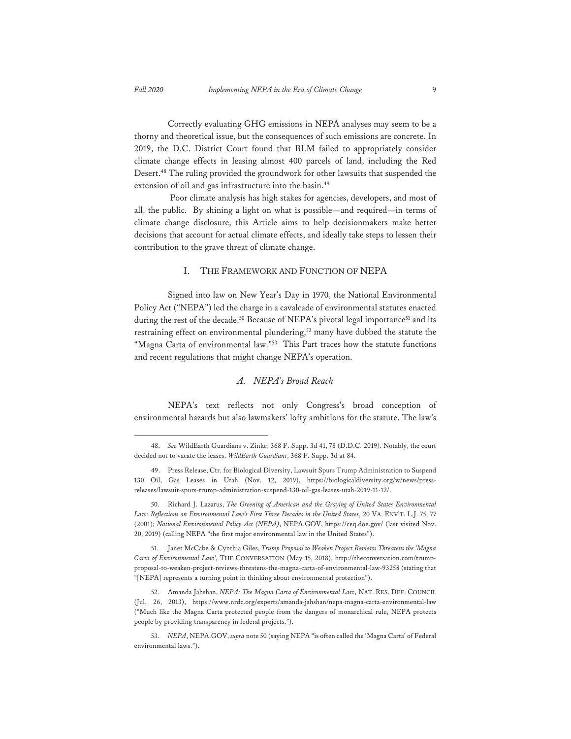Correctly evaluating GHG emissions in NEPA analyses may seem to be a thorny and theoretical issue, but the consequences of such emissions are concrete. In 2019, the D.C. District Court found that BLM failed to appropriately consider climate change effects in leasing almost 400 parcels of land, including the Red Desert.48 The ruling provided the groundwork for other lawsuits that suspended the extension of oil and gas infrastructure into the basin.<sup>49</sup>

 Poor climate analysis has high stakes for agencies, developers, and most of all, the public. By shining a light on what is possible—and required—in terms of climate change disclosure, this Article aims to help decisionmakers make better decisions that account for actual climate effects, and ideally take steps to lessen their contribution to the grave threat of climate change.

## I. THE FRAMEWORK AND FUNCTION OF NEPA

Signed into law on New Year's Day in 1970, the National Environmental Policy Act ("NEPA") led the charge in a cavalcade of environmental statutes enacted during the rest of the decade.<sup>50</sup> Because of NEPA's pivotal legal importance<sup>51</sup> and its restraining effect on environmental plundering,<sup>52</sup> many have dubbed the statute the "Magna Carta of environmental law."<sup>53</sup> This Part traces how the statute functions and recent regulations that might change NEPA's operation.

## *A. NEPA's Broad Reach*

NEPA's text reflects not only Congress's broad conception of environmental hazards but also lawmakers' lofty ambitions for the statute. The law's

<sup>48.</sup> *See* WildEarth Guardians v. Zinke, 368 F. Supp. 3d 41, 78 (D.D.C. 2019). Notably, the court decided not to vacate the leases. *WildEarth Guardians*, 368 F. Supp. 3d at 84.

<sup>49.</sup> Press Release, Ctr. for Biological Diversity, Lawsuit Spurs Trump Administration to Suspend 130 Oil, Gas Leases in Utah (Nov. 12, 2019), https://biologicaldiversity.org/w/news/pressreleases/lawsuit-spurs-trump-administration-suspend-130-oil-gas-leases-utah-2019-11-12/.

<sup>50.</sup> Richard J. Lazarus, *The Greening of American and the Graying of United States Environmental Law: Reflections on Environmental Law's First Three Decades in the United States*, 20 VA. ENV'T. L.J. 75, 77 (2001); *National Environmental Policy Act (NEPA)*, NEPA.GOV, https://ceq.doe.gov/ (last visited Nov. 20, 2019) (calling NEPA "the first major environmental law in the United States").

<sup>51.</sup> Janet McCabe & Cynthia Giles, *Trump Proposal to Weaken Project Reviews Threatens the 'Magna Carta of Environmental Law'*, THE CONVERSATION (May 15, 2018), http://theconversation.com/trumpproposal-to-weaken-project-reviews-threatens-the-magna-carta-of-environmental-law-93258 (stating that "[NEPA] represents a turning point in thinking about environmental protection").

<sup>52.</sup> Amanda Jahshan, *NEPA: The Magna Carta of Environmental Law*, NAT. RES. DEF. COUNCIL (Jul. 26, 2013), https://www.nrdc.org/experts/amanda-jahshan/nepa-magna-carta-environmental-law ("Much like the Magna Carta protected people from the dangers of monarchical rule, NEPA protects people by providing transparency in federal projects.").

<sup>53.</sup> *NEPA*, NEPA.GOV, *supra* note 50 (saying NEPA "is often called the 'Magna Carta' of Federal environmental laws.").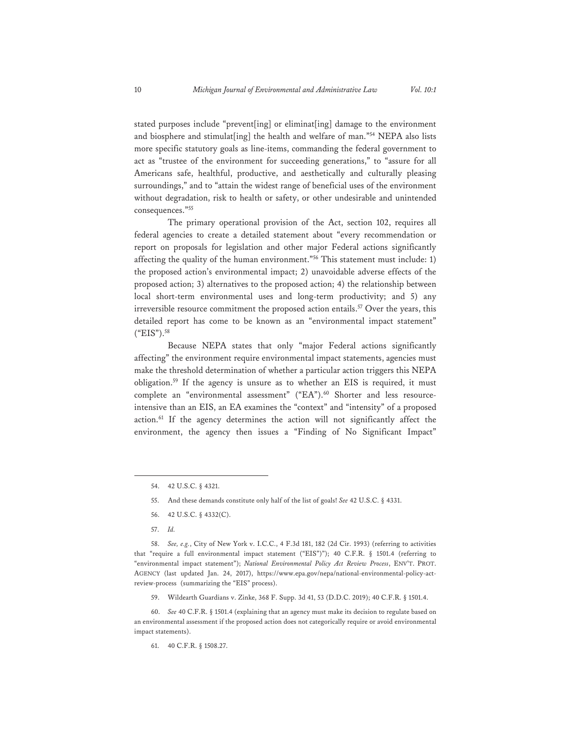stated purposes include "prevent[ing] or eliminat[ing] damage to the environment and biosphere and stimulat[ing] the health and welfare of man."54 NEPA also lists more specific statutory goals as line-items, commanding the federal government to act as "trustee of the environment for succeeding generations," to "assure for all Americans safe, healthful, productive, and aesthetically and culturally pleasing surroundings," and to "attain the widest range of beneficial uses of the environment without degradation, risk to health or safety, or other undesirable and unintended consequences."55

The primary operational provision of the Act, section 102, requires all federal agencies to create a detailed statement about "every recommendation or report on proposals for legislation and other major Federal actions significantly affecting the quality of the human environment."56 This statement must include: 1) the proposed action's environmental impact; 2) unavoidable adverse effects of the proposed action; 3) alternatives to the proposed action; 4) the relationship between local short-term environmental uses and long-term productivity; and 5) any irreversible resource commitment the proposed action entails.<sup>57</sup> Over the years, this detailed report has come to be known as an "environmental impact statement"  $("EIS").^{58}$ 

Because NEPA states that only "major Federal actions significantly affecting" the environment require environmental impact statements, agencies must make the threshold determination of whether a particular action triggers this NEPA obligation.59 If the agency is unsure as to whether an EIS is required, it must complete an "environmental assessment" ("EA").<sup>60</sup> Shorter and less resourceintensive than an EIS, an EA examines the "context" and "intensity" of a proposed action.61 If the agency determines the action will not significantly affect the environment, the agency then issues a "Finding of No Significant Impact"

- 55. And these demands constitute only half of the list of goals! *See* 42 U.S.C. § 4331.
- 56. 42 U.S.C. § 4332(C).
- 57. *Id.*

58. *See, e.g.*, City of New York v. I.C.C., 4 F.3d 181, 182 (2d Cir. 1993) (referring to activities that "require a full environmental impact statement ("EIS")"); 40 C.F.R. § 1501.4 (referring to "environmental impact statement"); *National Environmental Policy Act Review Process*, ENV'T. PROT. AGENCY (last updated Jan. 24, 2017), https://www.epa.gov/nepa/national-environmental-policy-actreview-process (summarizing the "EIS" process).

59. Wildearth Guardians v. Zinke, 368 F. Supp. 3d 41, 53 (D.D.C. 2019); 40 C.F.R. § 1501.4.

60. *See* 40 C.F.R. § 1501.4 (explaining that an agency must make its decision to regulate based on an environmental assessment if the proposed action does not categorically require or avoid environmental impact statements).

61. 40 C.F.R. § 1508.27.

<sup>54. 42</sup> U.S.C. § 4321.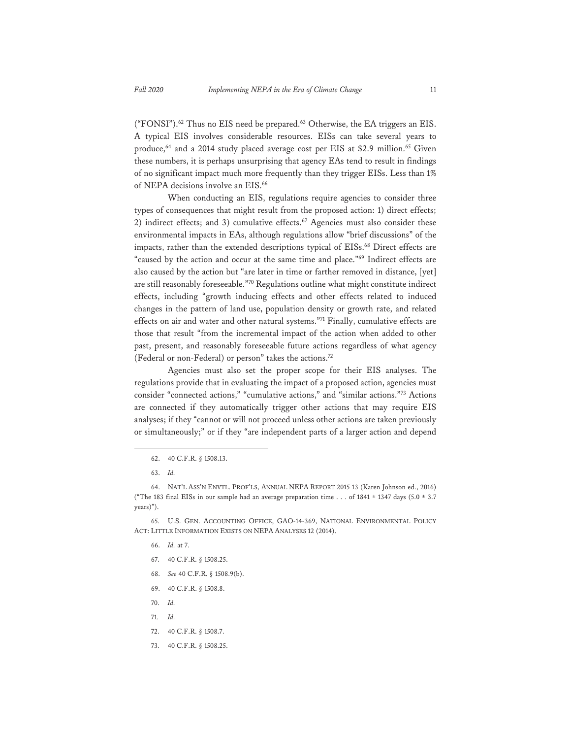("FONSI").<sup>62</sup> Thus no EIS need be prepared.<sup>63</sup> Otherwise, the EA triggers an EIS. A typical EIS involves considerable resources. EISs can take several years to produce,<sup>64</sup> and a 2014 study placed average cost per EIS at \$2.9 million.<sup>65</sup> Given these numbers, it is perhaps unsurprising that agency EAs tend to result in findings of no significant impact much more frequently than they trigger EISs. Less than 1% of NEPA decisions involve an EIS.<sup>66</sup>

When conducting an EIS, regulations require agencies to consider three types of consequences that might result from the proposed action: 1) direct effects; 2) indirect effects; and 3) cumulative effects. $67$  Agencies must also consider these environmental impacts in EAs, although regulations allow "brief discussions" of the impacts, rather than the extended descriptions typical of EISs.<sup>68</sup> Direct effects are "caused by the action and occur at the same time and place."<sup>69</sup> Indirect effects are also caused by the action but "are later in time or farther removed in distance, [yet] are still reasonably foreseeable."70 Regulations outline what might constitute indirect effects, including "growth inducing effects and other effects related to induced changes in the pattern of land use, population density or growth rate, and related effects on air and water and other natural systems."<sup>71</sup> Finally, cumulative effects are those that result "from the incremental impact of the action when added to other past, present, and reasonably foreseeable future actions regardless of what agency (Federal or non-Federal) or person" takes the actions.72

Agencies must also set the proper scope for their EIS analyses. The regulations provide that in evaluating the impact of a proposed action, agencies must consider "connected actions," "cumulative actions," and "similar actions."73 Actions are connected if they automatically trigger other actions that may require EIS analyses; if they "cannot or will not proceed unless other actions are taken previously or simultaneously;" or if they "are independent parts of a larger action and depend

- 66. *Id.* at 7.
- 67. 40 C.F.R. § 1508.25.
- 68. *See* 40 C.F.R. § 1508.9(b).
- 69. 40 C.F.R. § 1508.8.
- 70. *Id.*
- 71*. Id.*
- 72. 40 C.F.R. § 1508.7.
- 73. 40 C.F.R. § 1508.25.

<sup>62. 40</sup> C.F.R. § 1508.13.

<sup>63.</sup> *Id.* 

<sup>64.</sup> NAT'L ASS'N ENVTL. PROF'LS, ANNUAL NEPA REPORT 2015 13 (Karen Johnson ed., 2016) ("The 183 final EISs in our sample had an average preparation time . . . of 1841  $\pm$  1347 days (5.0  $\pm$  3.7 years)").

<sup>65.</sup> U.S. GEN. ACCOUNTING OFFICE, GAO-14-369, NATIONAL ENVIRONMENTAL POLICY ACT: LITTLE INFORMATION EXISTS ON NEPA ANALYSES 12 (2014).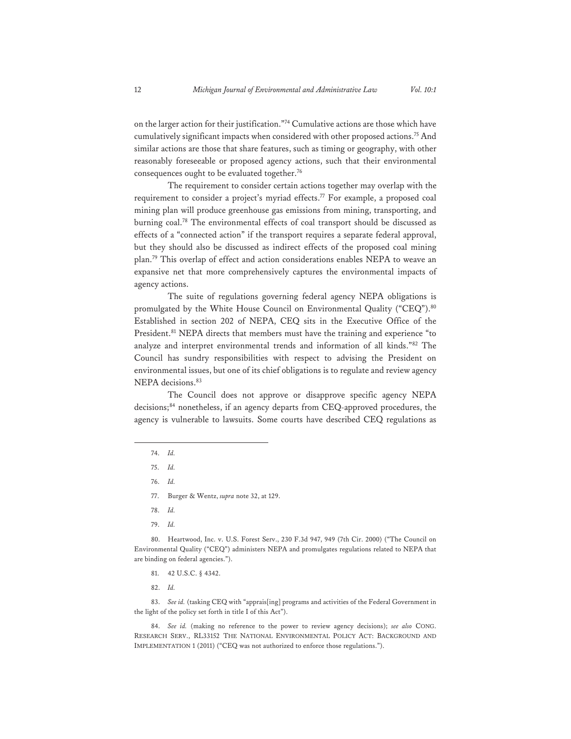on the larger action for their justification."74 Cumulative actions are those which have cumulatively significant impacts when considered with other proposed actions.75 And similar actions are those that share features, such as timing or geography, with other reasonably foreseeable or proposed agency actions, such that their environmental consequences ought to be evaluated together.<sup>76</sup>

The requirement to consider certain actions together may overlap with the requirement to consider a project's myriad effects.<sup>77</sup> For example, a proposed coal mining plan will produce greenhouse gas emissions from mining, transporting, and burning coal.78 The environmental effects of coal transport should be discussed as effects of a "connected action" if the transport requires a separate federal approval, but they should also be discussed as indirect effects of the proposed coal mining plan.79 This overlap of effect and action considerations enables NEPA to weave an expansive net that more comprehensively captures the environmental impacts of agency actions.

The suite of regulations governing federal agency NEPA obligations is promulgated by the White House Council on Environmental Quality ("CEQ").<sup>80</sup> Established in section 202 of NEPA, CEQ sits in the Executive Office of the President.<sup>81</sup> NEPA directs that members must have the training and experience "to analyze and interpret environmental trends and information of all kinds."82 The Council has sundry responsibilities with respect to advising the President on environmental issues, but one of its chief obligations is to regulate and review agency NEPA decisions.<sup>83</sup>

The Council does not approve or disapprove specific agency NEPA decisions;<sup>84</sup> nonetheless, if an agency departs from CEQ-approved procedures, the agency is vulnerable to lawsuits. Some courts have described CEQ regulations as

- 78. *Id.*
- 79. *Id.*

80. Heartwood, Inc. v. U.S. Forest Serv., 230 F.3d 947, 949 (7th Cir. 2000) ("The Council on Environmental Quality ("CEQ") administers NEPA and promulgates regulations related to NEPA that are binding on federal agencies.").

- 81. 42 U.S.C. § 4342.
- 82. *Id.*

83. See id. (tasking CEQ with "apprais[ing] programs and activities of the Federal Government in the light of the policy set forth in title I of this Act").

84. *See id.* (making no reference to the power to review agency decisions); *see also* CONG. RESEARCH SERV., RL33152 THE NATIONAL ENVIRONMENTAL POLICY ACT: BACKGROUND AND IMPLEMENTATION 1 (2011) ("CEQ was not authorized to enforce those regulations.").

<sup>74.</sup> *Id.* 

<sup>75.</sup> *Id.* 

<sup>76.</sup> *Id.* 

<sup>77.</sup> Burger & Wentz, *supra* note 32, at 129.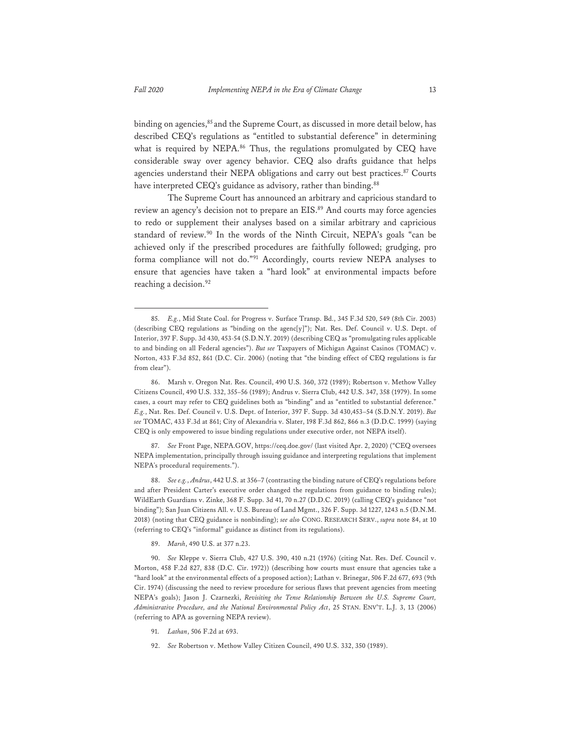binding on agencies,<sup>85</sup> and the Supreme Court, as discussed in more detail below, has described CEQ's regulations as "entitled to substantial deference" in determining what is required by NEPA.<sup>86</sup> Thus, the regulations promulgated by CEQ have considerable sway over agency behavior. CEQ also drafts guidance that helps agencies understand their NEPA obligations and carry out best practices.<sup>87</sup> Courts have interpreted CEQ's guidance as advisory, rather than binding.<sup>88</sup>

 The Supreme Court has announced an arbitrary and capricious standard to review an agency's decision not to prepare an EIS.<sup>89</sup> And courts may force agencies to redo or supplement their analyses based on a similar arbitrary and capricious standard of review.<sup>90</sup> In the words of the Ninth Circuit, NEPA's goals "can be achieved only if the prescribed procedures are faithfully followed; grudging, pro forma compliance will not do."91 Accordingly, courts review NEPA analyses to ensure that agencies have taken a "hard look" at environmental impacts before reaching a decision.<sup>92</sup>

87. *See* Front Page, NEPA.GOV, https://ceq.doe.gov/ (last visited Apr. 2, 2020) ("CEQ oversees NEPA implementation, principally through issuing guidance and interpreting regulations that implement NEPA's procedural requirements.").

88. *See e.g.*, *Andrus*, 442 U.S. at 356–7 (contrasting the binding nature of CEQ's regulations before and after President Carter's executive order changed the regulations from guidance to binding rules); WildEarth Guardians v. Zinke, 368 F. Supp. 3d 41, 70 n.27 (D.D.C. 2019) (calling CEQ's guidance "not binding"); San Juan Citizens All. v. U.S. Bureau of Land Mgmt., 326 F. Supp. 3d 1227, 1243 n.5 (D.N.M. 2018) (noting that CEQ guidance is nonbinding); *see also* CONG. RESEARCH SERV., *supra* note 84, at 10 (referring to CEQ's "informal" guidance as distinct from its regulations).

89. *Marsh*, 490 U.S. at 377 n.23.

90. *See* Kleppe v. Sierra Club, 427 U.S. 390, 410 n.21 (1976) (citing Nat. Res. Def. Council v. Morton, 458 F.2d 827, 838 (D.C. Cir. 1972)) (describing how courts must ensure that agencies take a "hard look" at the environmental effects of a proposed action); Lathan v. Brinegar, 506 F.2d 677, 693 (9th Cir. 1974) (discussing the need to review procedure for serious flaws that prevent agencies from meeting NEPA's goals); Jason J. Czarnezki, *Revisiting the Tense Relationship Between the U.S. Supreme Court, Administrative Procedure, and the National Environmental Policy Act*, 25 STAN. ENV'T. L.J. 3, 13 (2006) (referring to APA as governing NEPA review).

- 91. *Lathan*, 506 F.2d at 693.
- 92. *See* Robertson v. Methow Valley Citizen Council, 490 U.S. 332, 350 (1989).

<sup>85.</sup> *E.g.*, Mid State Coal. for Progress v. Surface Transp. Bd., 345 F.3d 520, 549 (8th Cir. 2003) (describing CEQ regulations as "binding on the agenc[y]"); Nat. Res. Def. Council v. U.S. Dept. of Interior, 397 F. Supp. 3d 430, 453-54 (S.D.N.Y. 2019) (describing CEQ as "promulgating rules applicable to and binding on all Federal agencies"). *But see* Taxpayers of Michigan Against Casinos (TOMAC) v. Norton, 433 F.3d 852, 861 (D.C. Cir. 2006) (noting that "the binding effect of CEQ regulations is far from clear").

<sup>86.</sup> Marsh v. Oregon Nat. Res. Council, 490 U.S. 360, 372 (1989); Robertson v. Methow Valley Citizens Council, 490 U.S. 332, 355–56 (1989); Andrus v. Sierra Club, 442 U.S. 347, 358 (1979). In some cases, a court may refer to CEQ guidelines both as "binding" and as "entitled to substantial deference." *E.g.*, Nat. Res. Def. Council v. U.S. Dept. of Interior, 397 F. Supp. 3d 430,453–54 (S.D.N.Y. 2019). *But see* TOMAC, 433 F.3d at 861; City of Alexandria v. Slater, 198 F.3d 862, 866 n.3 (D.D.C. 1999) (saying CEQ is only empowered to issue binding regulations under executive order, not NEPA itself).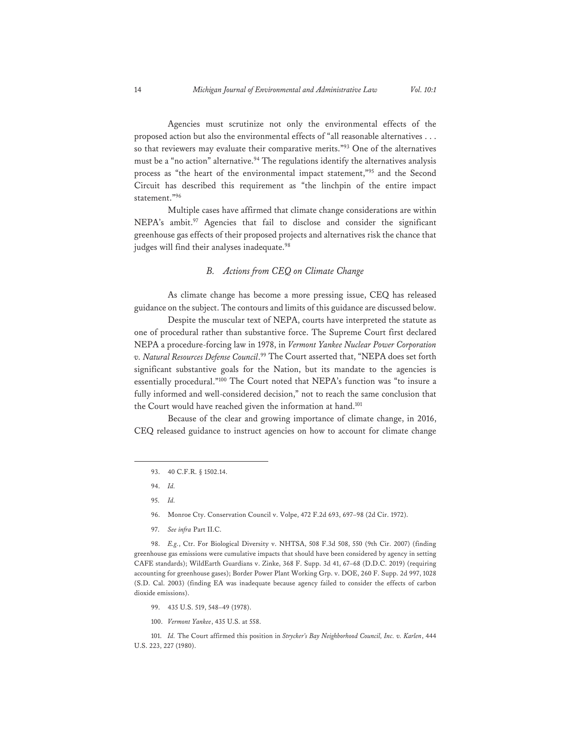Agencies must scrutinize not only the environmental effects of the proposed action but also the environmental effects of "all reasonable alternatives . . . so that reviewers may evaluate their comparative merits."<sup>93</sup> One of the alternatives must be a "no action" alternative.<sup>94</sup> The regulations identify the alternatives analysis process as "the heart of the environmental impact statement,"95 and the Second Circuit has described this requirement as "the linchpin of the entire impact statement."96

Multiple cases have affirmed that climate change considerations are within NEPA's ambit.<sup>97</sup> Agencies that fail to disclose and consider the significant greenhouse gas effects of their proposed projects and alternatives risk the chance that judges will find their analyses inadequate.<sup>98</sup>

## *B. Actions from CEQ on Climate Change*

As climate change has become a more pressing issue, CEQ has released guidance on the subject. The contours and limits of this guidance are discussed below.

Despite the muscular text of NEPA, courts have interpreted the statute as one of procedural rather than substantive force. The Supreme Court first declared NEPA a procedure-forcing law in 1978, in *Vermont Yankee Nuclear Power Corporation v. Natural Resources Defense Council*. 99 The Court asserted that, "NEPA does set forth significant substantive goals for the Nation, but its mandate to the agencies is essentially procedural."100 The Court noted that NEPA's function was "to insure a fully informed and well-considered decision," not to reach the same conclusion that the Court would have reached given the information at hand.<sup>101</sup>

Because of the clear and growing importance of climate change, in 2016, CEQ released guidance to instruct agencies on how to account for climate change

- 96. Monroe Cty. Conservation Council v. Volpe, 472 F.2d 693, 697–98 (2d Cir. 1972).
- 97. *See infra* Part II.C.

98. *E.g.*, Ctr. For Biological Diversity v. NHTSA, 508 F.3d 508, 550 (9th Cir. 2007) (finding greenhouse gas emissions were cumulative impacts that should have been considered by agency in setting CAFE standards); WildEarth Guardians v. Zinke, 368 F. Supp. 3d 41, 67–68 (D.D.C. 2019) (requiring accounting for greenhouse gases); Border Power Plant Working Grp. v. DOE, 260 F. Supp. 2d 997, 1028 (S.D. Cal. 2003) (finding EA was inadequate because agency failed to consider the effects of carbon dioxide emissions).

- 99. 435 U.S. 519, 548–49 (1978).
- 100. *Vermont Yankee*, 435 U.S. at 558.

101. *Id.* The Court affirmed this position in *Strycker's Bay Neighborhood Council, Inc. v. Karlen*, 444 U.S. 223, 227 (1980).

<sup>93. 40</sup> C.F.R. § 1502.14.

<sup>94.</sup> *Id.* 

<sup>95.</sup> *Id.*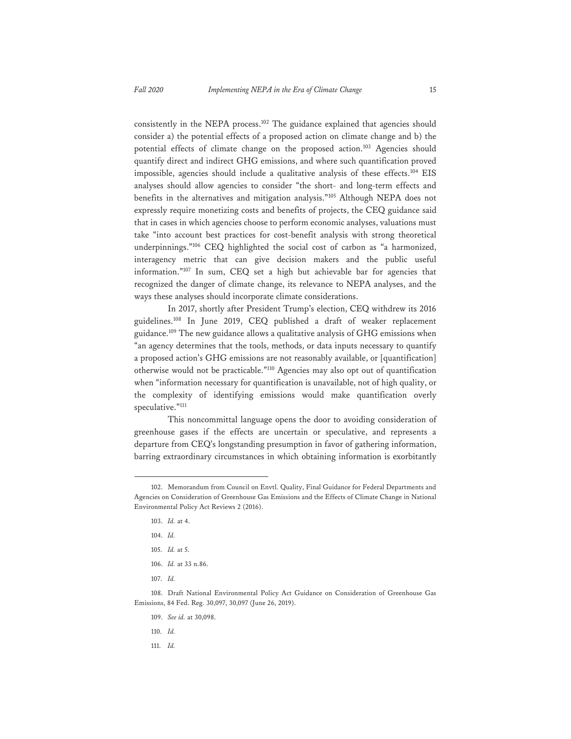consistently in the NEPA process.<sup>102</sup> The guidance explained that agencies should consider a) the potential effects of a proposed action on climate change and b) the potential effects of climate change on the proposed action.<sup>103</sup> Agencies should quantify direct and indirect GHG emissions, and where such quantification proved impossible, agencies should include a qualitative analysis of these effects.104 EIS analyses should allow agencies to consider "the short- and long-term effects and benefits in the alternatives and mitigation analysis."105 Although NEPA does not expressly require monetizing costs and benefits of projects, the CEQ guidance said that in cases in which agencies choose to perform economic analyses, valuations must take "into account best practices for cost-benefit analysis with strong theoretical underpinnings."106 CEQ highlighted the social cost of carbon as "a harmonized, interagency metric that can give decision makers and the public useful information."107 In sum, CEQ set a high but achievable bar for agencies that recognized the danger of climate change, its relevance to NEPA analyses, and the ways these analyses should incorporate climate considerations.

In 2017, shortly after President Trump's election, CEQ withdrew its 2016 guidelines.108 In June 2019, CEQ published a draft of weaker replacement guidance.109 The new guidance allows a qualitative analysis of GHG emissions when "an agency determines that the tools, methods, or data inputs necessary to quantify a proposed action's GHG emissions are not reasonably available, or [quantification] otherwise would not be practicable."110 Agencies may also opt out of quantification when "information necessary for quantification is unavailable, not of high quality, or the complexity of identifying emissions would make quantification overly speculative."<sup>111</sup>

This noncommittal language opens the door to avoiding consideration of greenhouse gases if the effects are uncertain or speculative, and represents a departure from CEQ's longstanding presumption in favor of gathering information, barring extraordinary circumstances in which obtaining information is exorbitantly

- 105. *Id.* at 5.
- 106. *Id.* at 33 n.86.
- 107. *Id.*

- 109. *See id.* at 30,098.
- 110. *Id.*
- 111. *Id.*

<sup>102.</sup> Memorandum from Council on Envtl. Quality, Final Guidance for Federal Departments and Agencies on Consideration of Greenhouse Gas Emissions and the Effects of Climate Change in National Environmental Policy Act Reviews 2 (2016).

<sup>103.</sup> *Id.* at 4.

<sup>104.</sup> *Id.* 

<sup>108.</sup> Draft National Environmental Policy Act Guidance on Consideration of Greenhouse Gas Emissions, 84 Fed. Reg. 30,097, 30,097 (June 26, 2019).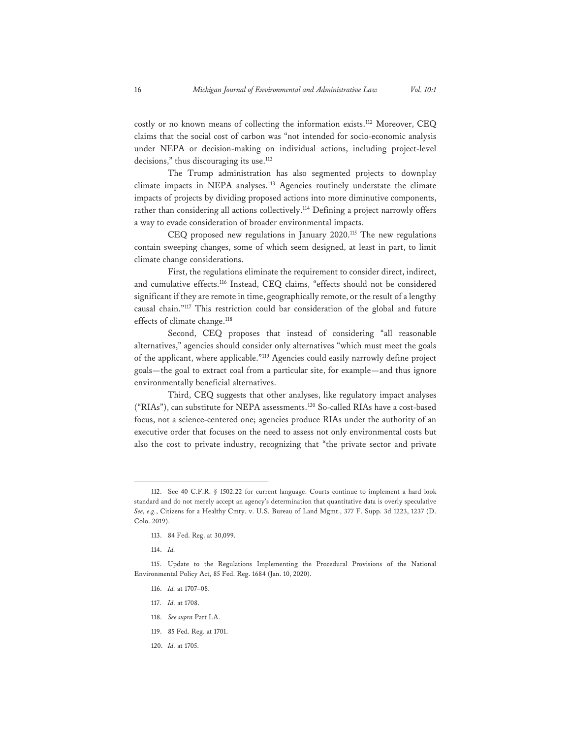costly or no known means of collecting the information exists.112 Moreover, CEQ claims that the social cost of carbon was "not intended for socio-economic analysis under NEPA or decision-making on individual actions, including project-level decisions," thus discouraging its use.<sup>113</sup>

The Trump administration has also segmented projects to downplay climate impacts in NEPA analyses.113 Agencies routinely understate the climate impacts of projects by dividing proposed actions into more diminutive components, rather than considering all actions collectively.<sup>114</sup> Defining a project narrowly offers a way to evade consideration of broader environmental impacts.

 CEQ proposed new regulations in January 2020.115 The new regulations contain sweeping changes, some of which seem designed, at least in part, to limit climate change considerations.

 First, the regulations eliminate the requirement to consider direct, indirect, and cumulative effects.116 Instead, CEQ claims, "effects should not be considered significant if they are remote in time, geographically remote, or the result of a lengthy causal chain."117 This restriction could bar consideration of the global and future effects of climate change.<sup>118</sup>

 Second, CEQ proposes that instead of considering "all reasonable alternatives," agencies should consider only alternatives "which must meet the goals of the applicant, where applicable."119 Agencies could easily narrowly define project goals—the goal to extract coal from a particular site, for example—and thus ignore environmentally beneficial alternatives.

 Third, CEQ suggests that other analyses, like regulatory impact analyses ("RIAs"), can substitute for NEPA assessments.120 So-called RIAs have a cost-based focus, not a science-centered one; agencies produce RIAs under the authority of an executive order that focuses on the need to assess not only environmental costs but also the cost to private industry, recognizing that "the private sector and private

- 117. *Id.* at 1708.
- 118. *See supra* Part I.A.
- 119. 85 Fed. Reg. at 1701.
- 120. *Id.* at 1705.

<sup>112.</sup> See 40 C.F.R. § 1502.22 for current language. Courts continue to implement a hard look standard and do not merely accept an agency's determination that quantitative data is overly speculative *See, e.g.*, Citizens for a Healthy Cmty. v. U.S. Bureau of Land Mgmt., 377 F. Supp. 3d 1223, 1237 (D. Colo. 2019).

<sup>113. 84</sup> Fed. Reg. at 30,099.

<sup>114.</sup> *Id.* 

<sup>115.</sup> Update to the Regulations Implementing the Procedural Provisions of the National Environmental Policy Act, 85 Fed. Reg. 1684 (Jan. 10, 2020).

<sup>116.</sup> *Id.* at 1707–08.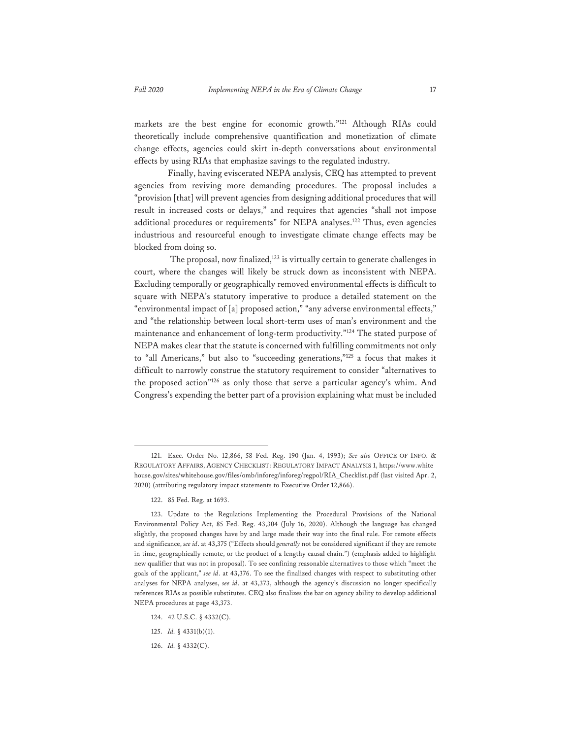markets are the best engine for economic growth."121 Although RIAs could theoretically include comprehensive quantification and monetization of climate change effects, agencies could skirt in-depth conversations about environmental effects by using RIAs that emphasize savings to the regulated industry.

 Finally, having eviscerated NEPA analysis, CEQ has attempted to prevent agencies from reviving more demanding procedures. The proposal includes a "provision [that] will prevent agencies from designing additional procedures that will result in increased costs or delays," and requires that agencies "shall not impose additional procedures or requirements" for NEPA analyses.<sup>122</sup> Thus, even agencies industrious and resourceful enough to investigate climate change effects may be blocked from doing so.

The proposal, now finalized,<sup>123</sup> is virtually certain to generate challenges in court, where the changes will likely be struck down as inconsistent with NEPA. Excluding temporally or geographically removed environmental effects is difficult to square with NEPA's statutory imperative to produce a detailed statement on the "environmental impact of [a] proposed action," "any adverse environmental effects," and "the relationship between local short-term uses of man's environment and the maintenance and enhancement of long-term productivity."<sup>124</sup> The stated purpose of NEPA makes clear that the statute is concerned with fulfilling commitments not only to "all Americans," but also to "succeeding generations,"125 a focus that makes it difficult to narrowly construe the statutory requirement to consider "alternatives to the proposed action"126 as only those that serve a particular agency's whim. And Congress's expending the better part of a provision explaining what must be included

- 125. *Id.* § 4331(b)(1).
- 126. *Id.* § 4332(C).

<sup>121.</sup> Exec. Order No. 12,866, 58 Fed. Reg. 190 (Jan. 4, 1993); *See also* OFFICE OF INFO. & REGULATORY AFFAIRS, AGENCY CHECKLIST: REGULATORY IMPACT ANALYSIS 1, https://www.white house.gov/sites/whitehouse.gov/files/omb/inforeg/inforeg/regpol/RIA\_Checklist.pdf (last visited Apr. 2, 2020) (attributing regulatory impact statements to Executive Order 12,866).

<sup>122. 85</sup> Fed. Reg. at 1693.

<sup>123.</sup> Update to the Regulations Implementing the Procedural Provisions of the National Environmental Policy Act, 85 Fed. Reg. 43,304 (July 16, 2020). Although the language has changed slightly, the proposed changes have by and large made their way into the final rule. For remote effects and significance, *see id*. at 43,375 ("Effects should *generally* not be considered significant if they are remote in time, geographically remote, or the product of a lengthy causal chain.") (emphasis added to highlight new qualifier that was not in proposal). To see confining reasonable alternatives to those which "meet the goals of the applicant," *see id*. at 43,376. To see the finalized changes with respect to substituting other analyses for NEPA analyses, *see id*. at 43,373, although the agency's discussion no longer specifically references RIAs as possible substitutes. CEQ also finalizes the bar on agency ability to develop additional NEPA procedures at page 43,373.

<sup>124. 42</sup> U.S.C. § 4332(C).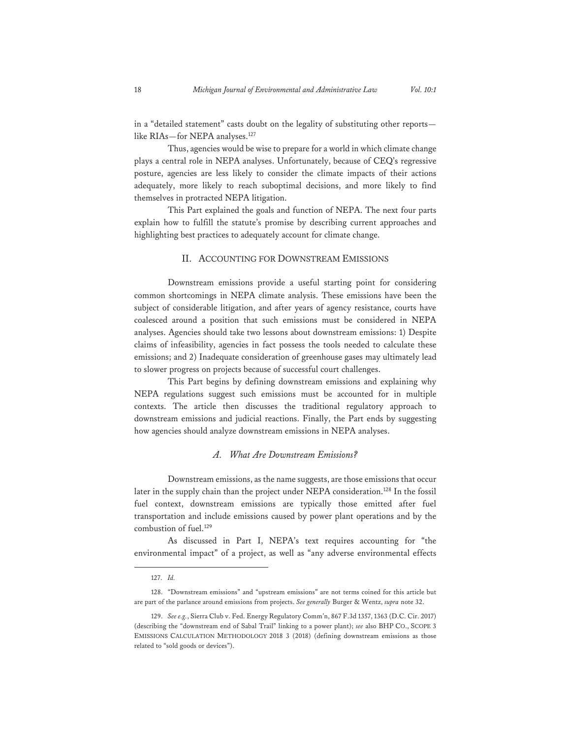in a "detailed statement" casts doubt on the legality of substituting other reports like RIAs-for NEPA analyses.<sup>127</sup>

Thus, agencies would be wise to prepare for a world in which climate change plays a central role in NEPA analyses. Unfortunately, because of CEQ's regressive posture, agencies are less likely to consider the climate impacts of their actions adequately, more likely to reach suboptimal decisions, and more likely to find themselves in protracted NEPA litigation.

This Part explained the goals and function of NEPA. The next four parts explain how to fulfill the statute's promise by describing current approaches and highlighting best practices to adequately account for climate change.

#### II. ACCOUNTING FOR DOWNSTREAM EMISSIONS

 Downstream emissions provide a useful starting point for considering common shortcomings in NEPA climate analysis. These emissions have been the subject of considerable litigation, and after years of agency resistance, courts have coalesced around a position that such emissions must be considered in NEPA analyses. Agencies should take two lessons about downstream emissions: 1) Despite claims of infeasibility, agencies in fact possess the tools needed to calculate these emissions; and 2) Inadequate consideration of greenhouse gases may ultimately lead to slower progress on projects because of successful court challenges.

 This Part begins by defining downstream emissions and explaining why NEPA regulations suggest such emissions must be accounted for in multiple contexts. The article then discusses the traditional regulatory approach to downstream emissions and judicial reactions. Finally, the Part ends by suggesting how agencies should analyze downstream emissions in NEPA analyses.

#### *A. What Are Downstream Emissions?*

 Downstream emissions, as the name suggests, are those emissions that occur later in the supply chain than the project under NEPA consideration.128 In the fossil fuel context, downstream emissions are typically those emitted after fuel transportation and include emissions caused by power plant operations and by the combustion of fuel.<sup>129</sup>

 As discussed in Part I, NEPA's text requires accounting for "the environmental impact" of a project, as well as "any adverse environmental effects

<sup>127.</sup> *Id.* 

<sup>128. &</sup>quot;Downstream emissions" and "upstream emissions" are not terms coined for this article but are part of the parlance around emissions from projects. *See generally* Burger & Wentz, *supra* note 32.

<sup>129.</sup> *See e.g.*, Sierra Club v. Fed. Energy Regulatory Comm'n, 867 F.3d 1357, 1363 (D.C. Cir. 2017) (describing the "downstream end of Sabal Trail" linking to a power plant); *see* also BHP CO., SCOPE 3 EMISSIONS CALCULATION METHODOLOGY 2018 3 (2018) (defining downstream emissions as those related to "sold goods or devices").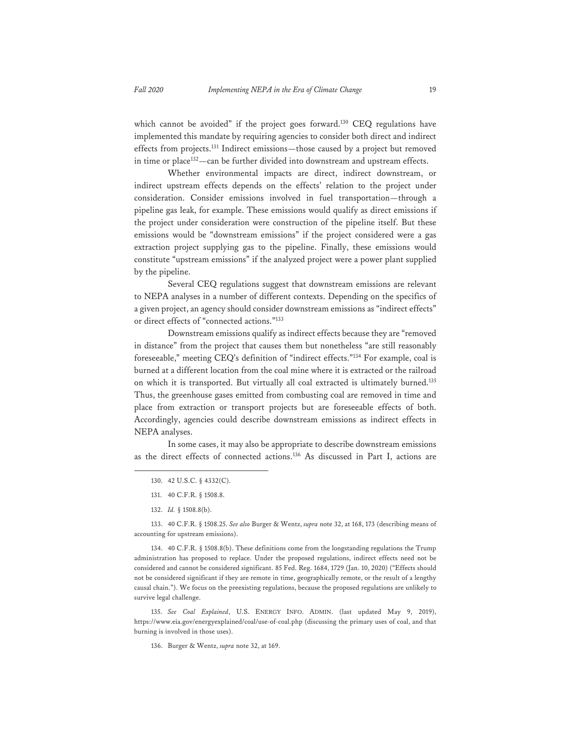which cannot be avoided" if the project goes forward.<sup>130</sup> CEQ regulations have implemented this mandate by requiring agencies to consider both direct and indirect effects from projects.131 Indirect emissions—those caused by a project but removed in time or place<sup>132</sup>—can be further divided into downstream and upstream effects.

 Whether environmental impacts are direct, indirect downstream, or indirect upstream effects depends on the effects' relation to the project under consideration. Consider emissions involved in fuel transportation—through a pipeline gas leak, for example. These emissions would qualify as direct emissions if the project under consideration were construction of the pipeline itself. But these emissions would be "downstream emissions" if the project considered were a gas extraction project supplying gas to the pipeline. Finally, these emissions would constitute "upstream emissions" if the analyzed project were a power plant supplied by the pipeline.

 Several CEQ regulations suggest that downstream emissions are relevant to NEPA analyses in a number of different contexts. Depending on the specifics of a given project, an agency should consider downstream emissions as "indirect effects" or direct effects of "connected actions."133

 Downstream emissions qualify as indirect effects because they are "removed in distance" from the project that causes them but nonetheless "are still reasonably foreseeable," meeting CEQ's definition of "indirect effects."134 For example, coal is burned at a different location from the coal mine where it is extracted or the railroad on which it is transported. But virtually all coal extracted is ultimately burned.<sup>135</sup> Thus, the greenhouse gases emitted from combusting coal are removed in time and place from extraction or transport projects but are foreseeable effects of both. Accordingly, agencies could describe downstream emissions as indirect effects in NEPA analyses.

 In some cases, it may also be appropriate to describe downstream emissions as the direct effects of connected actions.136 As discussed in Part I, actions are

133. 40 C.F.R. § 1508.25. *See also* Burger & Wentz, *supra* note 32, at 168, 173 (describing means of accounting for upstream emissions).

134. 40 C.F.R. § 1508.8(b). These definitions come from the longstanding regulations the Trump administration has proposed to replace. Under the proposed regulations, indirect effects need not be considered and cannot be considered significant. 85 Fed. Reg. 1684, 1729 (Jan. 10, 2020) ("Effects should not be considered significant if they are remote in time, geographically remote, or the result of a lengthy causal chain."). We focus on the preexisting regulations, because the proposed regulations are unlikely to survive legal challenge.

135. *See Coal Explained*, U.S. ENERGY INFO. ADMIN. (last updated May 9, 2019), https://www.eia.gov/energyexplained/coal/use-of-coal.php (discussing the primary uses of coal, and that burning is involved in those uses).

136. Burger & Wentz, *supra* note 32, at 169.

<sup>130. 42</sup> U.S.C. § 4332(C).

<sup>131. 40</sup> C.F.R. § 1508.8.

<sup>132.</sup> *Id.* § 1508.8(b).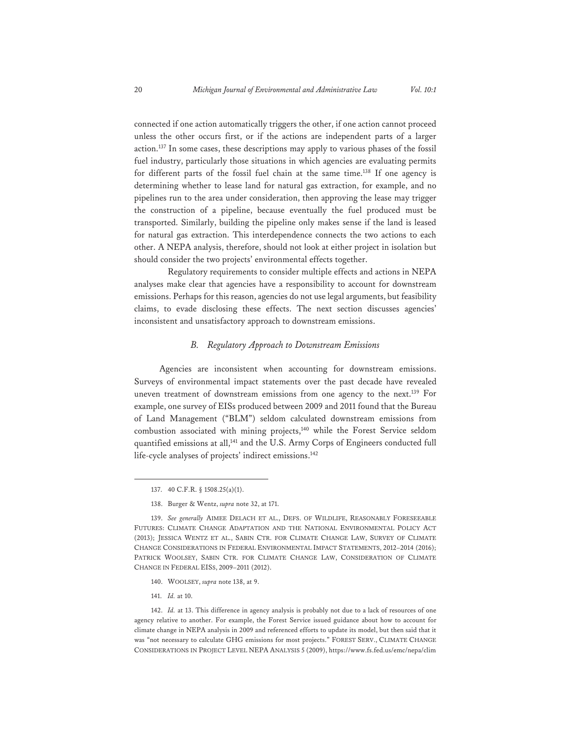connected if one action automatically triggers the other, if one action cannot proceed unless the other occurs first, or if the actions are independent parts of a larger action.137 In some cases, these descriptions may apply to various phases of the fossil fuel industry, particularly those situations in which agencies are evaluating permits for different parts of the fossil fuel chain at the same time.138 If one agency is determining whether to lease land for natural gas extraction, for example, and no pipelines run to the area under consideration, then approving the lease may trigger the construction of a pipeline, because eventually the fuel produced must be transported. Similarly, building the pipeline only makes sense if the land is leased for natural gas extraction. This interdependence connects the two actions to each other. A NEPA analysis, therefore, should not look at either project in isolation but should consider the two projects' environmental effects together.

 Regulatory requirements to consider multiple effects and actions in NEPA analyses make clear that agencies have a responsibility to account for downstream emissions. Perhaps for this reason, agencies do not use legal arguments, but feasibility claims, to evade disclosing these effects. The next section discusses agencies' inconsistent and unsatisfactory approach to downstream emissions.

#### *B. Regulatory Approach to Downstream Emissions*

Agencies are inconsistent when accounting for downstream emissions. Surveys of environmental impact statements over the past decade have revealed uneven treatment of downstream emissions from one agency to the next.139 For example, one survey of EISs produced between 2009 and 2011 found that the Bureau of Land Management ("BLM") seldom calculated downstream emissions from combustion associated with mining projects,<sup>140</sup> while the Forest Service seldom quantified emissions at all,<sup>141</sup> and the U.S. Army Corps of Engineers conducted full life-cycle analyses of projects' indirect emissions.<sup>142</sup>

- 140. WOOLSEY, *supra* note 138, at 9.
- 141. *Id.* at 10.

142. *Id.* at 13. This difference in agency analysis is probably not due to a lack of resources of one agency relative to another. For example, the Forest Service issued guidance about how to account for climate change in NEPA analysis in 2009 and referenced efforts to update its model, but then said that it was "not necessary to calculate GHG emissions for most projects." FOREST SERV., CLIMATE CHANGE CONSIDERATIONS IN PROJECT LEVEL NEPA ANALYSIS 5 (2009), https://www.fs.fed.us/emc/nepa/clim

<sup>137. 40</sup> C.F.R. § 1508.25(a)(1).

<sup>138.</sup> Burger & Wentz, *supra* note 32, at 171.

<sup>139.</sup> *See generally* AIMEE DELACH ET AL., DEFS. OF WILDLIFE, REASONABLY FORESEEABLE FUTURES: CLIMATE CHANGE ADAPTATION AND THE NATIONAL ENVIRONMENTAL POLICY ACT (2013); JESSICA WENTZ ET AL., SABIN CTR. FOR CLIMATE CHANGE LAW, SURVEY OF CLIMATE CHANGE CONSIDERATIONS IN FEDERAL ENVIRONMENTAL IMPACT STATEMENTS, 2012–2014 (2016); PATRICK WOOLSEY, SABIN CTR. FOR CLIMATE CHANGE LAW, CONSIDERATION OF CLIMATE CHANGE IN FEDERAL EISS, 2009–2011 (2012).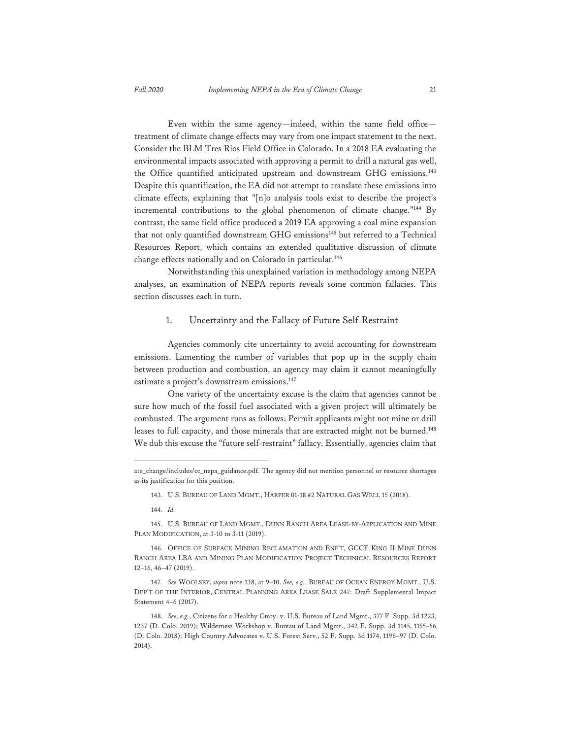Even within the same agency—indeed, within the same field office treatment of climate change effects may vary from one impact statement to the next. Consider the BLM Tres Rios Field Office in Colorado. In a 2018 EA evaluating the environmental impacts associated with approving a permit to drill a natural gas well, the Office quantified anticipated upstream and downstream GHG emissions.<sup>143</sup> Despite this quantification, the EA did not attempt to translate these emissions into climate effects, explaining that "[n]o analysis tools exist to describe the project's incremental contributions to the global phenomenon of climate change."<sup>144</sup> By contrast, the same field office produced a 2019 EA approving a coal mine expansion that not only quantified downstream GHG emissions<sup>145</sup> but referred to a Technical Resources Report, which contains an extended qualitative discussion of climate change effects nationally and on Colorado in particular.<sup>146</sup>

 Notwithstanding this unexplained variation in methodology among NEPA analyses, an examination of NEPA reports reveals some common fallacies. This section discusses each in turn.

#### 1. Uncertainty and the Fallacy of Future Self-Restraint

 Agencies commonly cite uncertainty to avoid accounting for downstream emissions. Lamenting the number of variables that pop up in the supply chain between production and combustion, an agency may claim it cannot meaningfully estimate a project's downstream emissions.<sup>147</sup>

 One variety of the uncertainty excuse is the claim that agencies cannot be sure how much of the fossil fuel associated with a given project will ultimately be combusted. The argument runs as follows: Permit applicants might not mine or drill leases to full capacity, and those minerals that are extracted might not be burned.<sup>148</sup> We dub this excuse the "future self-restraint" fallacy. Essentially, agencies claim that

144. *Id.* 

145. U.S. BUREAU OF LAND MGMT., DUNN RANCH AREA LEASE-BY-APPLICATION AND MINE PLAN MODIFICATION, at 3-10 to 3-11 (2019).

147. *See* WOOLSEY, *supra* note 138, at 9–10. *See, e.g.*, BUREAU OF OCEAN ENERGY MGMT., U.S. DEP'T OF THE INTERIOR, CENTRAL PLANNING AREA LEASE SALE 247: Draft Supplemental Impact Statement 4–6 (2017).

ate\_change/includes/cc\_nepa\_guidance.pdf. The agency did not mention personnel or resource shortages as its justification for this position.

<sup>143.</sup> U.S. BUREAU OF LAND MGMT., HARPER 01-18 #2 NATURAL GAS WELL 15 (2018).

<sup>146.</sup> OFFICE OF SURFACE MINING RECLAMATION AND ENF'T, GCCE KING II MINE DUNN RANCH AREA LBA AND MINING PLAN MODIFICATION PROJECT TECHNICAL RESOURCES REPORT 12–16, 46–47 (2019).

<sup>148.</sup> *See, e.g.*, Citizens for a Healthy Cmty. v. U.S. Bureau of Land Mgmt., 377 F. Supp. 3d 1223, 1237 (D. Colo. 2019); Wilderness Workshop v. Bureau of Land Mgmt., 342 F. Supp. 3d 1145, 1155–56 (D. Colo. 2018); High Country Advocates v. U.S. Forest Serv., 52 F. Supp. 3d 1174, 1196–97 (D. Colo. 2014).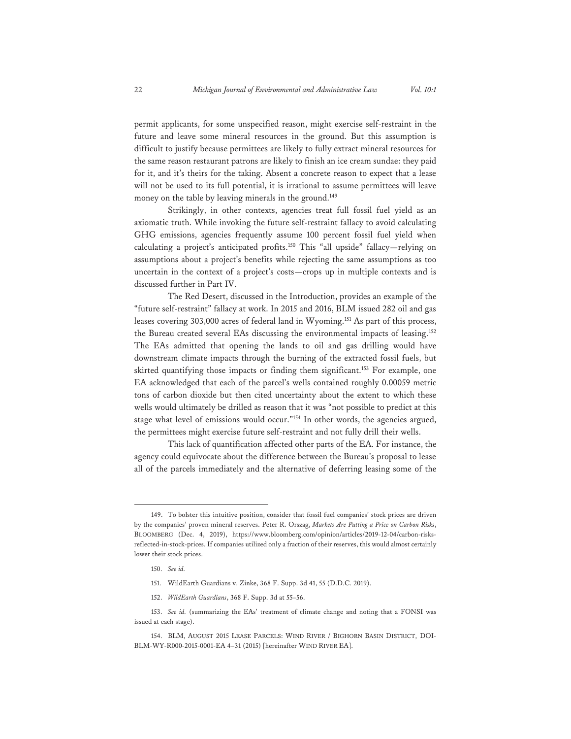permit applicants, for some unspecified reason, might exercise self-restraint in the future and leave some mineral resources in the ground. But this assumption is difficult to justify because permittees are likely to fully extract mineral resources for the same reason restaurant patrons are likely to finish an ice cream sundae: they paid for it, and it's theirs for the taking. Absent a concrete reason to expect that a lease will not be used to its full potential, it is irrational to assume permittees will leave money on the table by leaving minerals in the ground.<sup>149</sup>

 Strikingly, in other contexts, agencies treat full fossil fuel yield as an axiomatic truth. While invoking the future self-restraint fallacy to avoid calculating GHG emissions, agencies frequently assume 100 percent fossil fuel yield when calculating a project's anticipated profits.150 This "all upside" fallacy—relying on assumptions about a project's benefits while rejecting the same assumptions as too uncertain in the context of a project's costs—crops up in multiple contexts and is discussed further in Part IV.

 The Red Desert, discussed in the Introduction, provides an example of the "future self-restraint" fallacy at work. In 2015 and 2016, BLM issued 282 oil and gas leases covering 303,000 acres of federal land in Wyoming.151 As part of this process, the Bureau created several EAs discussing the environmental impacts of leasing.<sup>152</sup> The EAs admitted that opening the lands to oil and gas drilling would have downstream climate impacts through the burning of the extracted fossil fuels, but skirted quantifying those impacts or finding them significant.<sup>153</sup> For example, one EA acknowledged that each of the parcel's wells contained roughly 0.00059 metric tons of carbon dioxide but then cited uncertainty about the extent to which these wells would ultimately be drilled as reason that it was "not possible to predict at this stage what level of emissions would occur."154 In other words, the agencies argued, the permittees might exercise future self-restraint and not fully drill their wells.

 This lack of quantification affected other parts of the EA. For instance, the agency could equivocate about the difference between the Bureau's proposal to lease all of the parcels immediately and the alternative of deferring leasing some of the

- 151. WildEarth Guardians v. Zinke, 368 F. Supp. 3d 41, 55 (D.D.C. 2019).
- 152. *WildEarth Guardians*, 368 F. Supp. 3d at 55–56.

<sup>149.</sup> To bolster this intuitive position, consider that fossil fuel companies' stock prices are driven by the companies' proven mineral reserves. Peter R. Orszag, *Markets Are Putting a Price on Carbon Risks*, BLOOMBERG (Dec. 4, 2019), https://www.bloomberg.com/opinion/articles/2019-12-04/carbon-risksreflected-in-stock-prices. If companies utilized only a fraction of their reserves, this would almost certainly lower their stock prices.

<sup>150.</sup> *See id.*

<sup>153.</sup> *See id.* (summarizing the EAs' treatment of climate change and noting that a FONSI was issued at each stage).

<sup>154.</sup> BLM, AUGUST 2015 LEASE PARCELS: WIND RIVER / BIGHORN BASIN DISTRICT, DOI-BLM-WY-R000-2015-0001-EA 4–31 (2015) [hereinafter WIND RIVER EA].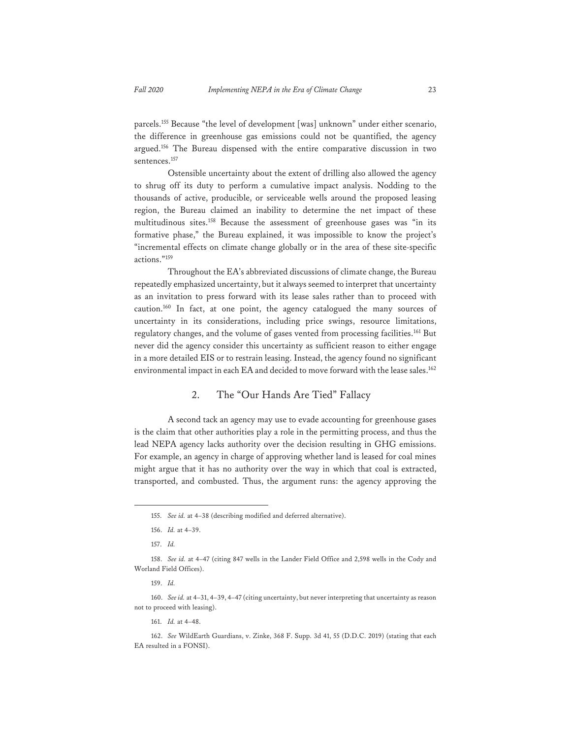parcels.155 Because "the level of development [was] unknown" under either scenario, the difference in greenhouse gas emissions could not be quantified, the agency argued.156 The Bureau dispensed with the entire comparative discussion in two sentences.157

 Ostensible uncertainty about the extent of drilling also allowed the agency to shrug off its duty to perform a cumulative impact analysis. Nodding to the thousands of active, producible, or serviceable wells around the proposed leasing region, the Bureau claimed an inability to determine the net impact of these multitudinous sites.158 Because the assessment of greenhouse gases was "in its formative phase," the Bureau explained, it was impossible to know the project's "incremental effects on climate change globally or in the area of these site-specific actions."159

 Throughout the EA's abbreviated discussions of climate change, the Bureau repeatedly emphasized uncertainty, but it always seemed to interpret that uncertainty as an invitation to press forward with its lease sales rather than to proceed with caution.160 In fact, at one point, the agency catalogued the many sources of uncertainty in its considerations, including price swings, resource limitations, regulatory changes, and the volume of gases vented from processing facilities.<sup>161</sup> But never did the agency consider this uncertainty as sufficient reason to either engage in a more detailed EIS or to restrain leasing. Instead, the agency found no significant environmental impact in each EA and decided to move forward with the lease sales.162

# 2. The "Our Hands Are Tied" Fallacy

 A second tack an agency may use to evade accounting for greenhouse gases is the claim that other authorities play a role in the permitting process, and thus the lead NEPA agency lacks authority over the decision resulting in GHG emissions. For example, an agency in charge of approving whether land is leased for coal mines might argue that it has no authority over the way in which that coal is extracted, transported, and combusted. Thus, the argument runs: the agency approving the

161. *Id.* at 4–48.

<sup>155.</sup> *See id.* at 4–38 (describing modified and deferred alternative).

<sup>156.</sup> *Id.* at 4–39.

<sup>157.</sup> *Id.* 

<sup>158.</sup> *See id.* at 4–47 (citing 847 wells in the Lander Field Office and 2,598 wells in the Cody and Worland Field Offices).

<sup>159.</sup> *Id.* 

<sup>160.</sup> *See id.* at 4–31, 4–39, 4–47 (citing uncertainty, but never interpreting that uncertainty as reason not to proceed with leasing).

<sup>162.</sup> *See* WildEarth Guardians, v. Zinke, 368 F. Supp. 3d 41, 55 (D.D.C. 2019) (stating that each EA resulted in a FONSI).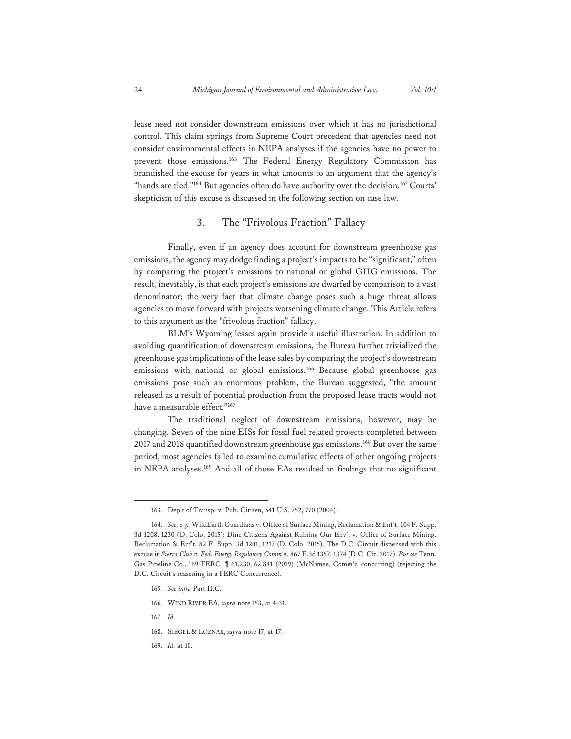lease need not consider downstream emissions over which it has no jurisdictional control. This claim springs from Supreme Court precedent that agencies need not consider environmental effects in NEPA analyses if the agencies have no power to prevent those emissions.163 The Federal Energy Regulatory Commission has brandished the excuse for years in what amounts to an argument that the agency's "hands are tied."<sup>164</sup> But agencies often do have authority over the decision.<sup>165</sup> Courts' skepticism of this excuse is discussed in the following section on case law.

# 3. The "Frivolous Fraction" Fallacy

 Finally, even if an agency does account for downstream greenhouse gas emissions, the agency may dodge finding a project's impacts to be "significant," often by comparing the project's emissions to national or global GHG emissions. The result, inevitably, is that each project's emissions are dwarfed by comparison to a vast denominator; the very fact that climate change poses such a huge threat allows agencies to move forward with projects worsening climate change. This Article refers to this argument as the "frivolous fraction" fallacy.

 BLM's Wyoming leases again provide a useful illustration. In addition to avoiding quantification of downstream emissions, the Bureau further trivialized the greenhouse gas implications of the lease sales by comparing the project's downstream emissions with national or global emissions.<sup>166</sup> Because global greenhouse gas emissions pose such an enormous problem, the Bureau suggested, "the amount released as a result of potential production from the proposed lease tracts would not have a measurable effect."167

 The traditional neglect of downstream emissions, however, may be changing. Seven of the nine EISs for fossil fuel related projects completed between 2017 and 2018 quantified downstream greenhouse gas emissions.168 But over the same period, most agencies failed to examine cumulative effects of other ongoing projects in NEPA analyses.169 And all of those EAs resulted in findings that no significant

- 166. WIND RIVER EA, *supra* note 153, at 4-31.
- 167. *Id.*

169. *Id.* at 10.

<sup>163.</sup> Dep't of Transp. v. Pub. Citizen, 541 U.S. 752, 770 (2004).

<sup>164.</sup> *See, e.g.*, WildEarth Guardians v. Office of Surface Mining, Reclamation & Enf't, 104 F. Supp. 3d 1208, 1230 (D. Colo. 2015); Dine Citizens Against Ruining Our Env't v. Office of Surface Mining, Reclamation & Enf't, 82 F. Supp. 3d 1201, 1217 (D. Colo. 2015). The D.C. Circuit dispensed with this excuse in *Sierra Club v. Fed. Energy Regulatory Comm'n*. 867 F.3d 1357, 1374 (D.C. Cir. 2017). *But see* Tenn. Gas Pipeline Co., 169 FERC ¶ 61,230, 62,841 (2019) (McNamee, Comm'r, concurring) (rejecting the D.C. Circuit's reasoning in a FERC Concurrence).

<sup>165.</sup> *See infra* Part II.C.

<sup>168.</sup> SIEGEL & LOZNAK, *supra* note 17, at 17.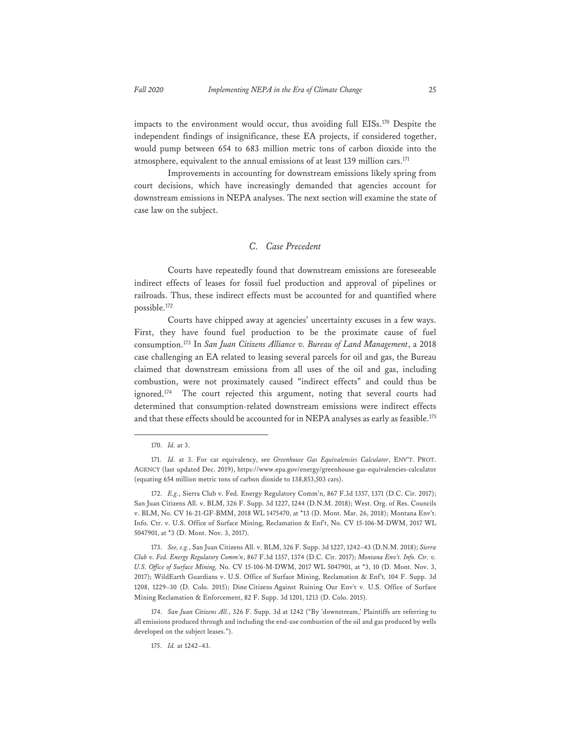impacts to the environment would occur, thus avoiding full EISs.170 Despite the independent findings of insignificance, these EA projects, if considered together, would pump between 654 to 683 million metric tons of carbon dioxide into the atmosphere, equivalent to the annual emissions of at least 139 million cars.<sup>171</sup>

 Improvements in accounting for downstream emissions likely spring from court decisions, which have increasingly demanded that agencies account for downstream emissions in NEPA analyses. The next section will examine the state of case law on the subject.

## *C. Case Precedent*

 Courts have repeatedly found that downstream emissions are foreseeable indirect effects of leases for fossil fuel production and approval of pipelines or railroads. Thus, these indirect effects must be accounted for and quantified where possible.172

 Courts have chipped away at agencies' uncertainty excuses in a few ways. First, they have found fuel production to be the proximate cause of fuel consumption.173 In *San Juan Citizens Alliance v. Bureau of Land Management*, a 2018 case challenging an EA related to leasing several parcels for oil and gas, the Bureau claimed that downstream emissions from all uses of the oil and gas, including combustion, were not proximately caused "indirect effects" and could thus be ignored.<sup>174</sup> The court rejected this argument, noting that several courts had determined that consumption-related downstream emissions were indirect effects and that these effects should be accounted for in NEPA analyses as early as feasible.<sup>175</sup>

<sup>170.</sup> *Id.* at 3.

<sup>171.</sup> *Id.* at 3. For car equivalency, see *Greenhouse Gas Equivalencies Calculator*, ENV'T. PROT. AGENCY (last updated Dec. 2019), https://www.epa.gov/energy/greenhouse-gas-equivalencies-calculator (equating 654 million metric tons of carbon dioxide to 138,853,503 cars).

<sup>172.</sup> *E.g.*, Sierra Club v. Fed. Energy Regulatory Comm'n, 867 F.3d 1357, 1371 (D.C. Cir. 2017); San Juan Citizens All. v. BLM, 326 F. Supp. 3d 1227, 1244 (D.N.M. 2018); West. Org. of Res. Councils v. BLM, No. CV 16-21-GF-BMM, 2018 WL 1475470, at \*13 (D. Mont. Mar. 26, 2018); Montana Env't. Info. Ctr. v. U.S. Office of Surface Mining, Reclamation & Enf't, No. CV 15-106-M-DWM, 2017 WL 5047901, at \*3 (D. Mont. Nov. 3, 2017).

<sup>173.</sup> *See, e.g.*, San Juan Citizens All. v. BLM, 326 F. Supp. 3d 1227, 1242–43 (D.N.M. 2018); *Sierra Club v. Fed. Energy Regulatory Comm'n*, 867 F.3d 1357, 1374 (D.C. Cir. 2017); *Montana Env't. Info. Ctr. v. U.S. Office of Surface Mining,* No. CV 15-106-M-DWM, 2017 WL 5047901, at \*3, 10 (D. Mont. Nov. 3, 2017); WildEarth Guardians v. U.S. Office of Surface Mining, Reclamation & Enf't*,* 104 F. Supp. 3d 1208, 1229–30 (D. Colo. 2015); Dine Citizens Against Ruining Our Env't v. U.S. Office of Surface Mining Reclamation & Enforcement, 82 F. Supp. 3d 1201, 1213 (D. Colo. 2015).

<sup>174.</sup> *San Juan Citizens All.*, 326 F. Supp. 3d at 1242 ("By 'downstream,' Plaintiffs are referring to all emissions produced through and including the end-use combustion of the oil and gas produced by wells developed on the subject leases.").

<sup>175.</sup> *Id.* at 1242–43.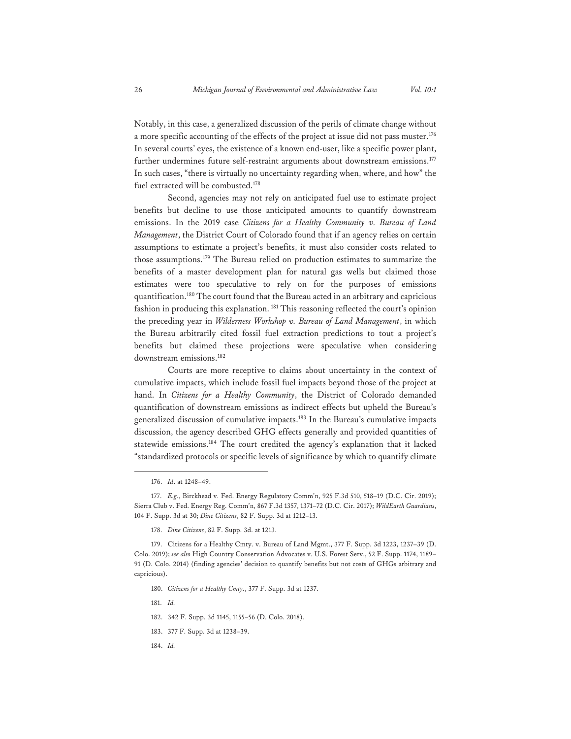Notably, in this case, a generalized discussion of the perils of climate change without a more specific accounting of the effects of the project at issue did not pass muster.<sup>176</sup> In several courts' eyes, the existence of a known end-user, like a specific power plant, further undermines future self-restraint arguments about downstream emissions.<sup>177</sup> In such cases, "there is virtually no uncertainty regarding when, where, and how" the fuel extracted will be combusted.178

Second, agencies may not rely on anticipated fuel use to estimate project benefits but decline to use those anticipated amounts to quantify downstream emissions. In the 2019 case *Citizens for a Healthy Community v. Bureau of Land Management*, the District Court of Colorado found that if an agency relies on certain assumptions to estimate a project's benefits, it must also consider costs related to those assumptions.179 The Bureau relied on production estimates to summarize the benefits of a master development plan for natural gas wells but claimed those estimates were too speculative to rely on for the purposes of emissions quantification.<sup>180</sup> The court found that the Bureau acted in an arbitrary and capricious fashion in producing this explanation.<sup>181</sup> This reasoning reflected the court's opinion the preceding year in *Wilderness Workshop v. Bureau of Land Management*, in which the Bureau arbitrarily cited fossil fuel extraction predictions to tout a project's benefits but claimed these projections were speculative when considering downstream emissions.182

Courts are more receptive to claims about uncertainty in the context of cumulative impacts, which include fossil fuel impacts beyond those of the project at hand. In *Citizens for a Healthy Community*, the District of Colorado demanded quantification of downstream emissions as indirect effects but upheld the Bureau's generalized discussion of cumulative impacts.183 In the Bureau's cumulative impacts discussion, the agency described GHG effects generally and provided quantities of statewide emissions.<sup>184</sup> The court credited the agency's explanation that it lacked "standardized protocols or specific levels of significance by which to quantify climate

178. *Dine Citizens*, 82 F. Supp. 3d. at 1213.

181. *Id.*

184. *Id.*

<sup>176.</sup> *Id*. at 1248–49.

<sup>177.</sup> *E.g.*, Birckhead v. Fed. Energy Regulatory Comm'n, 925 F.3d 510, 518–19 (D.C. Cir. 2019); Sierra Club v. Fed. Energy Reg. Comm'n, 867 F.3d 1357, 1371–72 (D.C. Cir. 2017); *WildEarth Guardians*, 104 F. Supp. 3d at 30; *Dine Citizens*, 82 F. Supp. 3d at 1212–13.

<sup>179.</sup> Citizens for a Healthy Cmty. v. Bureau of Land Mgmt., 377 F. Supp. 3d 1223, 1237–39 (D. Colo. 2019); *see also* High Country Conservation Advocates v. U.S. Forest Serv., 52 F. Supp. 1174, 1189– 91 (D. Colo. 2014) (finding agencies' decision to quantify benefits but not costs of GHGs arbitrary and capricious).

<sup>180.</sup> *Citizens for a Healthy Cmty.*, 377 F. Supp. 3d at 1237.

<sup>182. 342</sup> F. Supp. 3d 1145, 1155–56 (D. Colo. 2018).

<sup>183. 377</sup> F. Supp. 3d at 1238–39.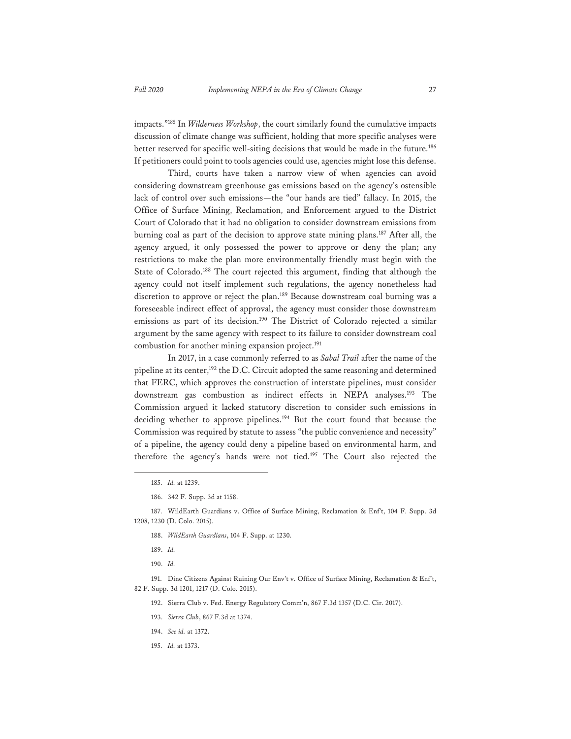impacts."185 In *Wilderness Workshop*, the court similarly found the cumulative impacts discussion of climate change was sufficient, holding that more specific analyses were better reserved for specific well-siting decisions that would be made in the future.<sup>186</sup> If petitioners could point to tools agencies could use, agencies might lose this defense.

 Third, courts have taken a narrow view of when agencies can avoid considering downstream greenhouse gas emissions based on the agency's ostensible lack of control over such emissions—the "our hands are tied" fallacy. In 2015, the Office of Surface Mining, Reclamation, and Enforcement argued to the District Court of Colorado that it had no obligation to consider downstream emissions from burning coal as part of the decision to approve state mining plans.<sup>187</sup> After all, the agency argued, it only possessed the power to approve or deny the plan; any restrictions to make the plan more environmentally friendly must begin with the State of Colorado.<sup>188</sup> The court rejected this argument, finding that although the agency could not itself implement such regulations, the agency nonetheless had discretion to approve or reject the plan.<sup>189</sup> Because downstream coal burning was a foreseeable indirect effect of approval, the agency must consider those downstream emissions as part of its decision.<sup>190</sup> The District of Colorado rejected a similar argument by the same agency with respect to its failure to consider downstream coal combustion for another mining expansion project.<sup>191</sup>

 In 2017, in a case commonly referred to as *Sabal Trail* after the name of the pipeline at its center,<sup>192</sup> the D.C. Circuit adopted the same reasoning and determined that FERC, which approves the construction of interstate pipelines, must consider downstream gas combustion as indirect effects in NEPA analyses.<sup>193</sup> The Commission argued it lacked statutory discretion to consider such emissions in deciding whether to approve pipelines.194 But the court found that because the Commission was required by statute to assess "the public convenience and necessity" of a pipeline, the agency could deny a pipeline based on environmental harm, and therefore the agency's hands were not tied.<sup>195</sup> The Court also rejected the

187. WildEarth Guardians v. Office of Surface Mining, Reclamation & Enf't, 104 F. Supp. 3d 1208, 1230 (D. Colo. 2015).

- 188. *WildEarth Guardians*, 104 F. Supp. at 1230.
- 189. *Id.*

191. Dine Citizens Against Ruining Our Env't v. Office of Surface Mining, Reclamation & Enf't, 82 F. Supp. 3d 1201, 1217 (D. Colo. 2015).

192. Sierra Club v. Fed. Energy Regulatory Comm'n, 867 F.3d 1357 (D.C. Cir. 2017).

- 193. *Sierra Club*, 867 F.3d at 1374.
- 194. *See id.* at 1372.
- 195. *Id.* at 1373.

<sup>185.</sup> *Id.* at 1239.

<sup>186. 342</sup> F. Supp. 3d at 1158.

<sup>190.</sup> *Id.*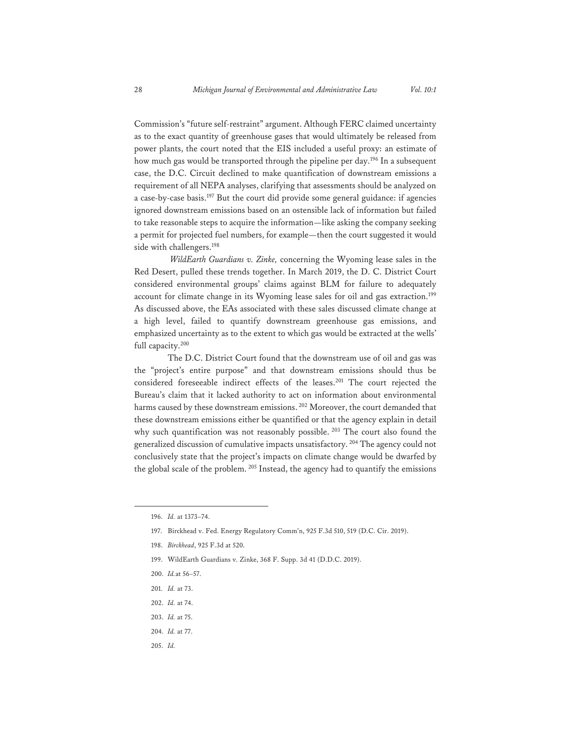Commission's "future self-restraint" argument. Although FERC claimed uncertainty as to the exact quantity of greenhouse gases that would ultimately be released from power plants, the court noted that the EIS included a useful proxy: an estimate of how much gas would be transported through the pipeline per day.<sup>196</sup> In a subsequent case, the D.C. Circuit declined to make quantification of downstream emissions a requirement of all NEPA analyses, clarifying that assessments should be analyzed on a case-by-case basis.197 But the court did provide some general guidance: if agencies ignored downstream emissions based on an ostensible lack of information but failed to take reasonable steps to acquire the information—like asking the company seeking a permit for projected fuel numbers, for example—then the court suggested it would side with challengers.<sup>198</sup>

 *WildEarth Guardians v. Zinke,* concerning the Wyoming lease sales in the Red Desert, pulled these trends together. In March 2019, the D. C. District Court considered environmental groups' claims against BLM for failure to adequately account for climate change in its Wyoming lease sales for oil and gas extraction.<sup>199</sup> As discussed above, the EAs associated with these sales discussed climate change at a high level, failed to quantify downstream greenhouse gas emissions, and emphasized uncertainty as to the extent to which gas would be extracted at the wells' full capacity.<sup>200</sup>

 The D.C. District Court found that the downstream use of oil and gas was the "project's entire purpose" and that downstream emissions should thus be considered foreseeable indirect effects of the leases.201 The court rejected the Bureau's claim that it lacked authority to act on information about environmental harms caused by these downstream emissions. 202 Moreover, the court demanded that these downstream emissions either be quantified or that the agency explain in detail why such quantification was not reasonably possible. <sup>203</sup> The court also found the generalized discussion of cumulative impacts unsatisfactory. 204 The agency could not conclusively state that the project's impacts on climate change would be dwarfed by the global scale of the problem. 205 Instead, the agency had to quantify the emissions

- 200. *Id.*at 56–57.
- 201. *Id.* at 73.
- 202. *Id.* at 74.
- 203. *Id.* at 75.
- 204. *Id.* at 77.
- 205. *Id.*

<sup>196.</sup> *Id.* at 1373–74.

<sup>197.</sup> Birckhead v. Fed. Energy Regulatory Comm'n, 925 F.3d 510, 519 (D.C. Cir. 2019).

<sup>198.</sup> *Birckhead*, 925 F.3d at 520.

<sup>199.</sup> WildEarth Guardians v. Zinke, 368 F. Supp. 3d 41 (D.D.C. 2019).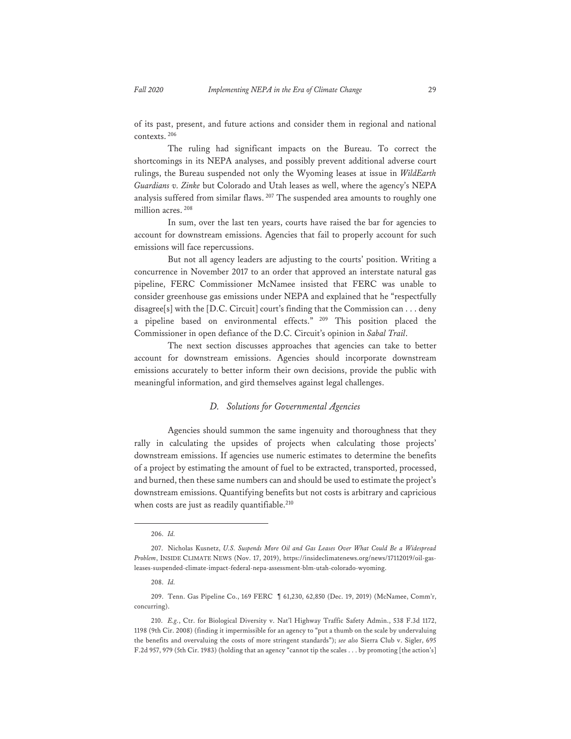of its past, present, and future actions and consider them in regional and national contexts. 206

 The ruling had significant impacts on the Bureau. To correct the shortcomings in its NEPA analyses, and possibly prevent additional adverse court rulings, the Bureau suspended not only the Wyoming leases at issue in *WildEarth Guardians v. Zinke* but Colorado and Utah leases as well, where the agency's NEPA analysis suffered from similar flaws. 207 The suspended area amounts to roughly one million acres.<sup>208</sup>

 In sum, over the last ten years, courts have raised the bar for agencies to account for downstream emissions. Agencies that fail to properly account for such emissions will face repercussions.

But not all agency leaders are adjusting to the courts' position. Writing a concurrence in November 2017 to an order that approved an interstate natural gas pipeline, FERC Commissioner McNamee insisted that FERC was unable to consider greenhouse gas emissions under NEPA and explained that he "respectfully disagree[s] with the [D.C. Circuit] court's finding that the Commission can . . . deny a pipeline based on environmental effects." 209 This position placed the Commissioner in open defiance of the D.C. Circuit's opinion in *Sabal Trail*.

 The next section discusses approaches that agencies can take to better account for downstream emissions. Agencies should incorporate downstream emissions accurately to better inform their own decisions, provide the public with meaningful information, and gird themselves against legal challenges.

## *D. Solutions for Governmental Agencies*

 Agencies should summon the same ingenuity and thoroughness that they rally in calculating the upsides of projects when calculating those projects' downstream emissions. If agencies use numeric estimates to determine the benefits of a project by estimating the amount of fuel to be extracted, transported, processed, and burned, then these same numbers can and should be used to estimate the project's downstream emissions. Quantifying benefits but not costs is arbitrary and capricious when costs are just as readily quantifiable.<sup>210</sup>

<sup>206.</sup> *Id.*

<sup>207.</sup> Nicholas Kusnetz, *U.S. Suspends More Oil and Gas Leases Over What Could Be a Widespread Problem*, INSIDE CLIMATE NEWS (Nov. 17, 2019), https://insideclimatenews.org/news/17112019/oil-gasleases-suspended-climate-impact-federal-nepa-assessment-blm-utah-colorado-wyoming.

<sup>208.</sup> *Id.*

<sup>209.</sup> Tenn. Gas Pipeline Co., 169 FERC ¶ 61,230, 62,850 (Dec. 19, 2019) (McNamee, Comm'r, concurring).

<sup>210.</sup> *E.g.*, Ctr. for Biological Diversity v. Nat'l Highway Traffic Safety Admin., 538 F.3d 1172, 1198 (9th Cir. 2008) (finding it impermissible for an agency to "put a thumb on the scale by undervaluing the benefits and overvaluing the costs of more stringent standards"); *see also* Sierra Club v. Sigler, 695 F.2d 957, 979 (5th Cir. 1983) (holding that an agency "cannot tip the scales . . . by promoting [the action's]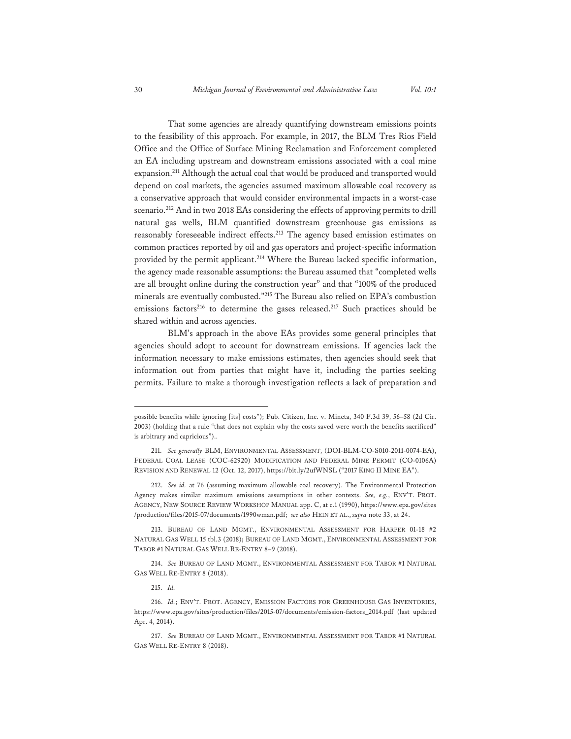That some agencies are already quantifying downstream emissions points to the feasibility of this approach. For example, in 2017, the BLM Tres Rios Field Office and the Office of Surface Mining Reclamation and Enforcement completed an EA including upstream and downstream emissions associated with a coal mine expansion.211 Although the actual coal that would be produced and transported would depend on coal markets, the agencies assumed maximum allowable coal recovery as a conservative approach that would consider environmental impacts in a worst-case scenario.<sup>212</sup> And in two 2018 EAs considering the effects of approving permits to drill natural gas wells, BLM quantified downstream greenhouse gas emissions as reasonably foreseeable indirect effects.213 The agency based emission estimates on common practices reported by oil and gas operators and project-specific information provided by the permit applicant.<sup>214</sup> Where the Bureau lacked specific information, the agency made reasonable assumptions: the Bureau assumed that "completed wells are all brought online during the construction year" and that "100% of the produced minerals are eventually combusted."215 The Bureau also relied on EPA's combustion emissions factors<sup>216</sup> to determine the gases released.<sup>217</sup> Such practices should be shared within and across agencies.

 BLM's approach in the above EAs provides some general principles that agencies should adopt to account for downstream emissions. If agencies lack the information necessary to make emissions estimates, then agencies should seek that information out from parties that might have it, including the parties seeking permits. Failure to make a thorough investigation reflects a lack of preparation and

possible benefits while ignoring [its] costs"); Pub. Citizen, Inc. v. Mineta, 340 F.3d 39, 56–58 (2d Cir. 2003) (holding that a rule "that does not explain why the costs saved were worth the benefits sacrificed" is arbitrary and capricious")..

<sup>211.</sup> *See generally* BLM, ENVIRONMENTAL ASSESSMENT, (DOI-BLM-CO-S010-2011-0074-EA), FEDERAL COAL LEASE (COC-62920) MODIFICATION AND FEDERAL MINE PERMIT (CO-0106A) REVISION AND RENEWAL 12 (Oct. 12, 2017), https://bit.ly/2ufWNSL ("2017 KING II MINE EA").

<sup>212.</sup> *See id.* at 76 (assuming maximum allowable coal recovery). The Environmental Protection Agency makes similar maximum emissions assumptions in other contexts. *See, e.g.*, ENV'T. PROT. AGENCY, NEW SOURCE REVIEW WORKSHOP MANUAL app. C, at c.1 (1990), https://www.epa.gov/sites /production/files/2015-07/documents/1990wman.pdf; *see also* HEIN ET AL., *supra* note 33, at 24.

<sup>213.</sup> BUREAU OF LAND MGMT., ENVIRONMENTAL ASSESSMENT FOR HARPER 01-18 #2 NATURAL GAS WELL 15 tbl.3 (2018); BUREAU OF LAND MGMT., ENVIRONMENTAL ASSESSMENT FOR TABOR #1 NATURAL GAS WELL RE-ENTRY 8–9 (2018).

<sup>214.</sup> *See* BUREAU OF LAND MGMT., ENVIRONMENTAL ASSESSMENT FOR TABOR #1 NATURAL GAS WELL RE-ENTRY 8 (2018).

<sup>215.</sup> *Id.* 

<sup>216.</sup> *Id.*; ENV'T. PROT. AGENCY, EMISSION FACTORS FOR GREENHOUSE GAS INVENTORIES, https://www.epa.gov/sites/production/files/2015-07/documents/emission-factors\_2014.pdf (last updated Apr. 4, 2014).

<sup>217.</sup> *See* BUREAU OF LAND MGMT., ENVIRONMENTAL ASSESSMENT FOR TABOR #1 NATURAL GAS WELL RE-ENTRY 8 (2018).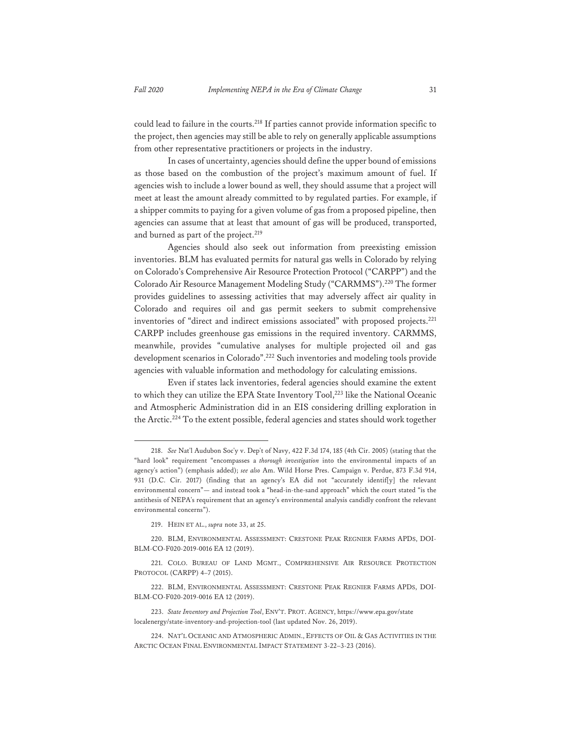could lead to failure in the courts.218 If parties cannot provide information specific to the project, then agencies may still be able to rely on generally applicable assumptions from other representative practitioners or projects in the industry.

In cases of uncertainty, agencies should define the upper bound of emissions as those based on the combustion of the project's maximum amount of fuel. If agencies wish to include a lower bound as well, they should assume that a project will meet at least the amount already committed to by regulated parties. For example, if a shipper commits to paying for a given volume of gas from a proposed pipeline, then agencies can assume that at least that amount of gas will be produced, transported, and burned as part of the project.<sup>219</sup>

 Agencies should also seek out information from preexisting emission inventories. BLM has evaluated permits for natural gas wells in Colorado by relying on Colorado's Comprehensive Air Resource Protection Protocol ("CARPP") and the Colorado Air Resource Management Modeling Study ("CARMMS").220 The former provides guidelines to assessing activities that may adversely affect air quality in Colorado and requires oil and gas permit seekers to submit comprehensive inventories of "direct and indirect emissions associated" with proposed projects.221 CARPP includes greenhouse gas emissions in the required inventory. CARMMS, meanwhile, provides "cumulative analyses for multiple projected oil and gas development scenarios in Colorado".222 Such inventories and modeling tools provide agencies with valuable information and methodology for calculating emissions.

 Even if states lack inventories, federal agencies should examine the extent to which they can utilize the EPA State Inventory Tool,<sup>223</sup> like the National Oceanic and Atmospheric Administration did in an EIS considering drilling exploration in the Arctic.<sup>224</sup> To the extent possible, federal agencies and states should work together

<sup>218.</sup> *See* Nat'l Audubon Soc'y v. Dep't of Navy, 422 F.3d 174, 185 (4th Cir. 2005) (stating that the "hard look" requirement "encompasses a *thorough investigation* into the environmental impacts of an agency's action") (emphasis added); *see also* Am. Wild Horse Pres. Campaign v. Perdue, 873 F.3d 914, 931 (D.C. Cir. 2017) (finding that an agency's EA did not "accurately identif[y] the relevant environmental concern"— and instead took a "head-in-the-sand approach" which the court stated "is the antithesis of NEPA's requirement that an agency's environmental analysis candidly confront the relevant environmental concerns").

<sup>219.</sup> HEIN ET AL., *supra* note 33, at 25.

<sup>220.</sup> BLM, ENVIRONMENTAL ASSESSMENT: CRESTONE PEAK REGNIER FARMS APDS, DOI-BLM-CO-F020-2019-0016 EA 12 (2019).

<sup>221.</sup> COLO. BUREAU OF LAND MGMT., COMPREHENSIVE AIR RESOURCE PROTECTION PROTOCOL (CARPP) 4–7 (2015).

<sup>222.</sup> BLM, ENVIRONMENTAL ASSESSMENT: CRESTONE PEAK REGNIER FARMS APDS, DOI-BLM-CO-F020-2019-0016 EA 12 (2019).

<sup>223.</sup> *State Inventory and Projection Tool*, ENV'T. PROT. AGENCY, https://www.epa.gov/state localenergy/state-inventory-and-projection-tool (last updated Nov. 26, 2019).

<sup>224.</sup> NAT'L OCEANIC AND ATMOSPHERIC ADMIN., EFFECTS OF OIL & GAS ACTIVITIES IN THE ARCTIC OCEAN FINAL ENVIRONMENTAL IMPACT STATEMENT 3-22–3-23 (2016).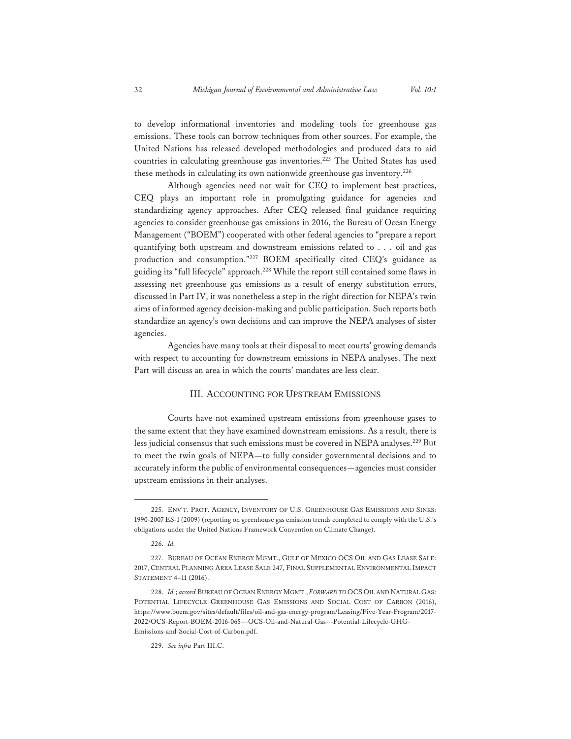to develop informational inventories and modeling tools for greenhouse gas emissions. These tools can borrow techniques from other sources. For example, the United Nations has released developed methodologies and produced data to aid countries in calculating greenhouse gas inventories.<sup>225</sup> The United States has used these methods in calculating its own nationwide greenhouse gas inventory.<sup>226</sup>

Although agencies need not wait for CEQ to implement best practices, CEQ plays an important role in promulgating guidance for agencies and standardizing agency approaches. After CEQ released final guidance requiring agencies to consider greenhouse gas emissions in 2016, the Bureau of Ocean Energy Management ("BOEM") cooperated with other federal agencies to "prepare a report quantifying both upstream and downstream emissions related to . . . oil and gas production and consumption."227 BOEM specifically cited CEQ's guidance as guiding its "full lifecycle" approach.<sup>228</sup> While the report still contained some flaws in assessing net greenhouse gas emissions as a result of energy substitution errors, discussed in Part IV, it was nonetheless a step in the right direction for NEPA's twin aims of informed agency decision-making and public participation. Such reports both standardize an agency's own decisions and can improve the NEPA analyses of sister agencies.

 Agencies have many tools at their disposal to meet courts' growing demands with respect to accounting for downstream emissions in NEPA analyses. The next Part will discuss an area in which the courts' mandates are less clear.

## III. ACCOUNTING FOR UPSTREAM EMISSIONS

 Courts have not examined upstream emissions from greenhouse gases to the same extent that they have examined downstream emissions. As a result, there is less judicial consensus that such emissions must be covered in NEPA analyses.229 But to meet the twin goals of NEPA—to fully consider governmental decisions and to accurately inform the public of environmental consequences—agencies must consider upstream emissions in their analyses.

<sup>225.</sup> ENV'T. PROT. AGENCY, INVENTORY OF U.S. GREENHOUSE GAS EMISSIONS AND SINKS: 1990-2007 ES-1 (2009) (reporting on greenhouse gas emission trends completed to comply with the U.S.'s obligations under the United Nations Framework Convention on Climate Change).

<sup>226.</sup> *Id.* 

<sup>227.</sup> BUREAU OF OCEAN ENERGY MGMT., GULF OF MEXICO OCS OIL AND GAS LEASE SALE: 2017, CENTRAL PLANNING AREA LEASE SALE 247, FINAL SUPPLEMENTAL ENVIRONMENTAL IMPACT STATEMENT 4–11 (2016).

<sup>228.</sup> *Id.*; *accord* BUREAU OF OCEAN ENERGY MGMT., *FORWARD TO* OCS OIL AND NATURAL GAS: POTENTIAL LIFECYCLE GREENHOUSE GAS EMISSIONS AND SOCIAL COST OF CARBON (2016), https://www.boem.gov/sites/default/files/oil-and-gas-energy-program/Leasing/Five-Year-Program/2017- 2022/OCS-Report-BOEM-2016-065---OCS-Oil-and-Natural-Gas---Potential-Lifecycle-GHG-Emissions-and-Social-Cost-of-Carbon.pdf.

<sup>229.</sup> *See infra* Part III.C.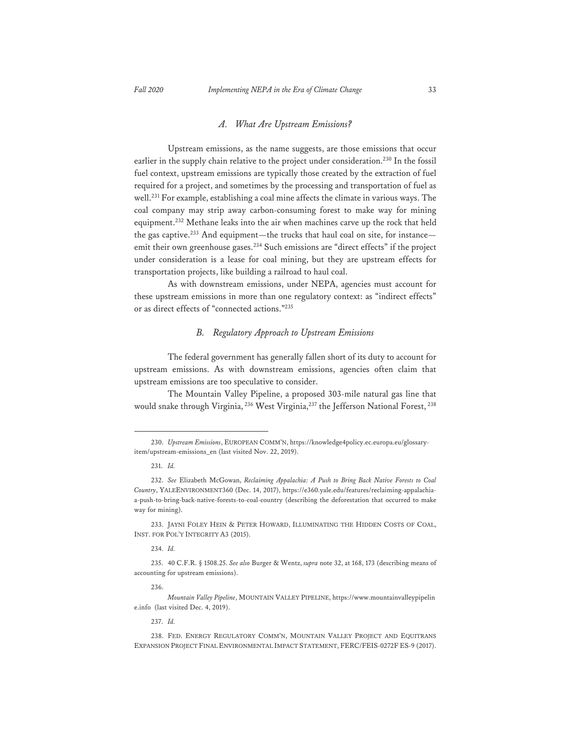# *A. What Are Upstream Emissions?*

 Upstream emissions, as the name suggests, are those emissions that occur earlier in the supply chain relative to the project under consideration.<sup>230</sup> In the fossil fuel context, upstream emissions are typically those created by the extraction of fuel required for a project, and sometimes by the processing and transportation of fuel as well.231 For example, establishing a coal mine affects the climate in various ways. The coal company may strip away carbon-consuming forest to make way for mining equipment.232 Methane leaks into the air when machines carve up the rock that held the gas captive.<sup>233</sup> And equipment—the trucks that haul coal on site, for instance emit their own greenhouse gases.<sup>234</sup> Such emissions are "direct effects" if the project under consideration is a lease for coal mining, but they are upstream effects for transportation projects, like building a railroad to haul coal.

As with downstream emissions, under NEPA, agencies must account for these upstream emissions in more than one regulatory context: as "indirect effects" or as direct effects of "connected actions."235

# *B. Regulatory Approach to Upstream Emissions*

 The federal government has generally fallen short of its duty to account for upstream emissions. As with downstream emissions, agencies often claim that upstream emissions are too speculative to consider.

 The Mountain Valley Pipeline, a proposed 303-mile natural gas line that would snake through Virginia, <sup>236</sup> West Virginia, <sup>237</sup> the Jefferson National Forest, <sup>238</sup>

234. *Id.* 

236.

*Mountain Valley Pipeline*, MOUNTAIN VALLEY PIPELINE, https://www.mountainvalleypipelin e.info (last visited Dec. 4, 2019).

237. *Id.*

238. FED. ENERGY REGULATORY COMM'N, MOUNTAIN VALLEY PROJECT AND EQUITRANS EXPANSION PROJECT FINAL ENVIRONMENTAL IMPACT STATEMENT, FERC/FEIS-0272F ES-9 (2017).

<sup>230.</sup> *Upstream Emissions*, EUROPEAN COMM'N, https://knowledge4policy.ec.europa.eu/glossaryitem/upstream-emissions\_en (last visited Nov. 22, 2019).

<sup>231.</sup> *Id.*

<sup>232.</sup> *See* Elizabeth McGowan, *Reclaiming Appalachia: A Push to Bring Back Native Forests to Coal Country*, YALEENVIRONMENT360 (Dec. 14, 2017), https://e360.yale.edu/features/reclaiming-appalachiaa-push-to-bring-back-native-forests-to-coal-country (describing the deforestation that occurred to make way for mining).

<sup>233.</sup> JAYNI FOLEY HEIN & PETER HOWARD, ILLUMINATING THE HIDDEN COSTS OF COAL, INST. FOR POL'Y INTEGRITY A3 (2015).

<sup>235. 40</sup> C.F.R. § 1508.25. *See also* Burger & Wentz, *supra* note 32, at 168, 173 (describing means of accounting for upstream emissions).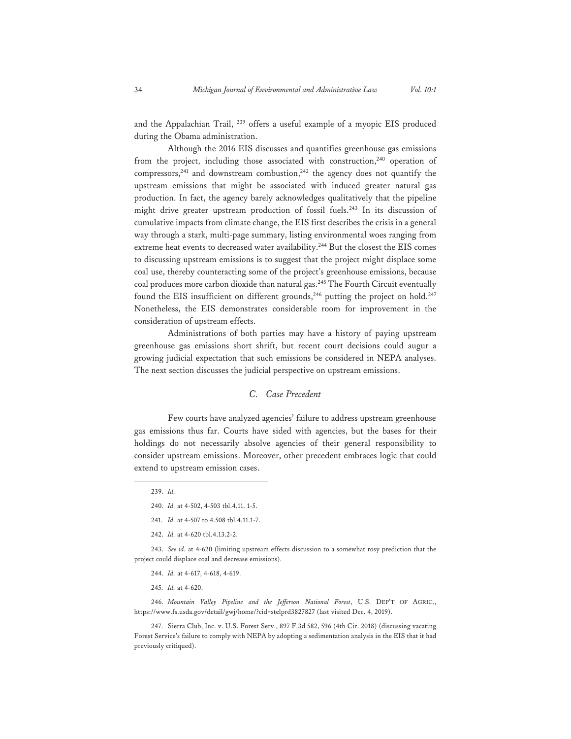and the Appalachian Trail, 239 offers a useful example of a myopic EIS produced during the Obama administration.

 Although the 2016 EIS discusses and quantifies greenhouse gas emissions from the project, including those associated with construction, $240$  operation of compressors,<sup>241</sup> and downstream combustion,<sup>242</sup> the agency does not quantify the upstream emissions that might be associated with induced greater natural gas production. In fact, the agency barely acknowledges qualitatively that the pipeline might drive greater upstream production of fossil fuels.<sup>243</sup> In its discussion of cumulative impacts from climate change, the EIS first describes the crisis in a general way through a stark, multi-page summary, listing environmental woes ranging from extreme heat events to decreased water availability.<sup>244</sup> But the closest the EIS comes to discussing upstream emissions is to suggest that the project might displace some coal use, thereby counteracting some of the project's greenhouse emissions, because coal produces more carbon dioxide than natural gas.245 The Fourth Circuit eventually found the EIS insufficient on different grounds,<sup>246</sup> putting the project on hold.<sup>247</sup> Nonetheless, the EIS demonstrates considerable room for improvement in the consideration of upstream effects.

 Administrations of both parties may have a history of paying upstream greenhouse gas emissions short shrift, but recent court decisions could augur a growing judicial expectation that such emissions be considered in NEPA analyses. The next section discusses the judicial perspective on upstream emissions.

# *C. Case Precedent*

 Few courts have analyzed agencies' failure to address upstream greenhouse gas emissions thus far. Courts have sided with agencies, but the bases for their holdings do not necessarily absolve agencies of their general responsibility to consider upstream emissions. Moreover, other precedent embraces logic that could extend to upstream emission cases.

242. *Id.* at 4-620 tbl.4.13.2-2.

243. *See id.* at 4-620 (limiting upstream effects discussion to a somewhat rosy prediction that the project could displace coal and decrease emissions).

- 244. *Id.* at 4-617, 4-618, 4-619.
- 245. *Id.* at 4-620.

246. *Mountain Valley Pipeline and the Jefferson National Forest*, U.S. DEP'T OF AGRIC., https://www.fs.usda.gov/detail/gwj/home/?cid=stelprd3827827 (last visited Dec. 4, 2019).

247. Sierra Club, Inc. v. U.S. Forest Serv., 897 F.3d 582, 596 (4th Cir. 2018) (discussing vacating Forest Service's failure to comply with NEPA by adopting a sedimentation analysis in the EIS that it had previously critiqued).

<sup>239.</sup> *Id.* 

<sup>240.</sup> *Id.* at 4-502, 4-503 tbl.4.11. 1-5.

<sup>241.</sup> *Id.* at 4-507 to 4.508 tbl.4.11.1-7.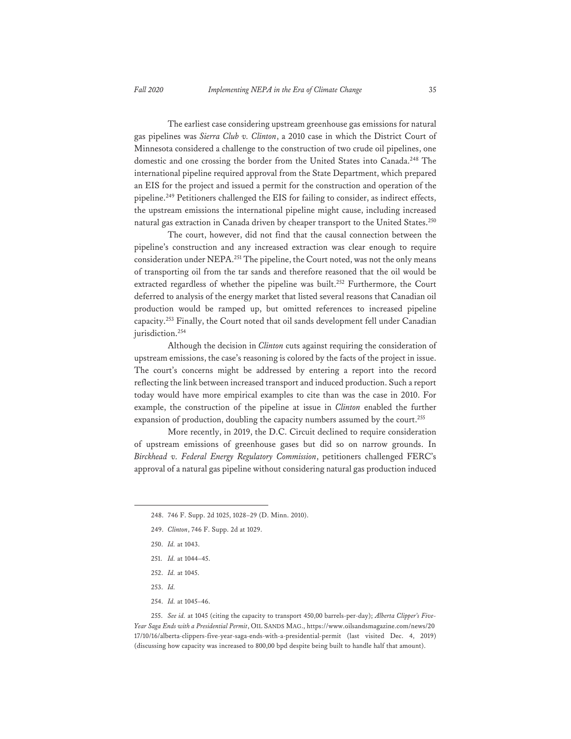The earliest case considering upstream greenhouse gas emissions for natural gas pipelines was *Sierra Club v. Clinton*, a 2010 case in which the District Court of Minnesota considered a challenge to the construction of two crude oil pipelines, one domestic and one crossing the border from the United States into Canada.<sup>248</sup> The international pipeline required approval from the State Department, which prepared an EIS for the project and issued a permit for the construction and operation of the pipeline.249 Petitioners challenged the EIS for failing to consider, as indirect effects, the upstream emissions the international pipeline might cause, including increased natural gas extraction in Canada driven by cheaper transport to the United States.<sup>250</sup>

 The court, however, did not find that the causal connection between the pipeline's construction and any increased extraction was clear enough to require consideration under NEPA.251 The pipeline, the Court noted, was not the only means of transporting oil from the tar sands and therefore reasoned that the oil would be extracted regardless of whether the pipeline was built.<sup>252</sup> Furthermore, the Court deferred to analysis of the energy market that listed several reasons that Canadian oil production would be ramped up, but omitted references to increased pipeline capacity.253 Finally, the Court noted that oil sands development fell under Canadian jurisdiction.<sup>254</sup>

 Although the decision in *Clinton* cuts against requiring the consideration of upstream emissions, the case's reasoning is colored by the facts of the project in issue. The court's concerns might be addressed by entering a report into the record reflecting the link between increased transport and induced production. Such a report today would have more empirical examples to cite than was the case in 2010. For example, the construction of the pipeline at issue in *Clinton* enabled the further expansion of production, doubling the capacity numbers assumed by the court.<sup>255</sup>

 More recently, in 2019, the D.C. Circuit declined to require consideration of upstream emissions of greenhouse gases but did so on narrow grounds. In *Birckhead v. Federal Energy Regulatory Commission*, petitioners challenged FERC's approval of a natural gas pipeline without considering natural gas production induced

- 250. *Id.* at 1043.
- 251. *Id.* at 1044–45.
- 252. *Id.* at 1045.
- 253. *Id.*
- 254. *Id.* at 1045–46.

255. *See id.* at 1045 (citing the capacity to transport 450,00 barrels-per-day); *Alberta Clipper's Five-Year Saga Ends with a Presidential Permit*, OIL SANDS MAG., https://www.oilsandsmagazine.com/news/20 17/10/16/alberta-clippers-five-year-saga-ends-with-a-presidential-permit (last visited Dec. 4, 2019) (discussing how capacity was increased to 800,00 bpd despite being built to handle half that amount).

<sup>248. 746</sup> F. Supp. 2d 1025, 1028–29 (D. Minn. 2010).

<sup>249.</sup> *Clinton*, 746 F. Supp. 2d at 1029.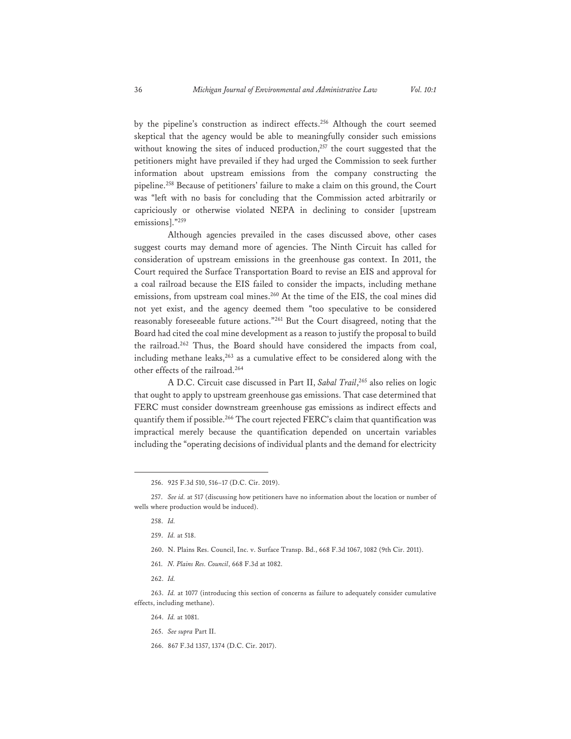by the pipeline's construction as indirect effects.<sup>256</sup> Although the court seemed skeptical that the agency would be able to meaningfully consider such emissions without knowing the sites of induced production,<sup>257</sup> the court suggested that the petitioners might have prevailed if they had urged the Commission to seek further information about upstream emissions from the company constructing the pipeline.258 Because of petitioners' failure to make a claim on this ground, the Court was "left with no basis for concluding that the Commission acted arbitrarily or capriciously or otherwise violated NEPA in declining to consider [upstream emissions]."259

 Although agencies prevailed in the cases discussed above, other cases suggest courts may demand more of agencies. The Ninth Circuit has called for consideration of upstream emissions in the greenhouse gas context. In 2011, the Court required the Surface Transportation Board to revise an EIS and approval for a coal railroad because the EIS failed to consider the impacts, including methane emissions, from upstream coal mines.<sup>260</sup> At the time of the EIS, the coal mines did not yet exist, and the agency deemed them "too speculative to be considered reasonably foreseeable future actions."261 But the Court disagreed, noting that the Board had cited the coal mine development as a reason to justify the proposal to build the railroad.<sup>262</sup> Thus, the Board should have considered the impacts from coal, including methane leaks, $263$  as a cumulative effect to be considered along with the other effects of the railroad.<sup>264</sup>

 A D.C. Circuit case discussed in Part II, *Sabal Trail*, 265 also relies on logic that ought to apply to upstream greenhouse gas emissions. That case determined that FERC must consider downstream greenhouse gas emissions as indirect effects and quantify them if possible.<sup>266</sup> The court rejected FERC's claim that quantification was impractical merely because the quantification depended on uncertain variables including the "operating decisions of individual plants and the demand for electricity

- 261. *N. Plains Res. Council*, 668 F.3d at 1082.
- 262. *Id.*

<sup>256. 925</sup> F.3d 510, 516–17 (D.C. Cir. 2019).

<sup>257.</sup> *See id.* at 517 (discussing how petitioners have no information about the location or number of wells where production would be induced).

<sup>258.</sup> *Id.* 

<sup>259.</sup> *Id.* at 518.

<sup>260.</sup> N. Plains Res. Council, Inc. v. Surface Transp. Bd., 668 F.3d 1067, 1082 (9th Cir. 2011).

<sup>263.</sup> *Id.* at 1077 (introducing this section of concerns as failure to adequately consider cumulative effects, including methane).

<sup>264.</sup> *Id.* at 1081.

<sup>265.</sup> *See supra* Part II.

<sup>266. 867</sup> F.3d 1357, 1374 (D.C. Cir. 2017).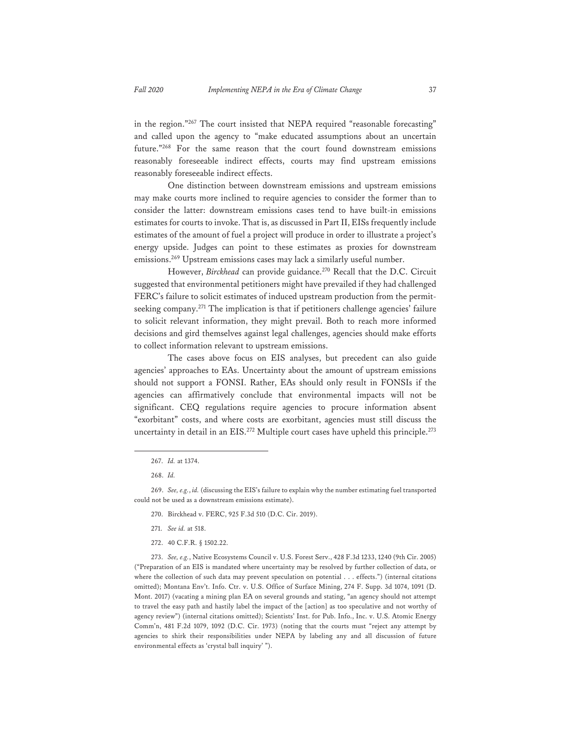in the region."267 The court insisted that NEPA required "reasonable forecasting" and called upon the agency to "make educated assumptions about an uncertain future."268 For the same reason that the court found downstream emissions reasonably foreseeable indirect effects, courts may find upstream emissions reasonably foreseeable indirect effects.

 One distinction between downstream emissions and upstream emissions may make courts more inclined to require agencies to consider the former than to consider the latter: downstream emissions cases tend to have built-in emissions estimates for courts to invoke. That is, as discussed in Part II, EISs frequently include estimates of the amount of fuel a project will produce in order to illustrate a project's energy upside. Judges can point to these estimates as proxies for downstream emissions.269 Upstream emissions cases may lack a similarly useful number.

However, *Birckhead* can provide guidance.<sup>270</sup> Recall that the D.C. Circuit suggested that environmental petitioners might have prevailed if they had challenged FERC's failure to solicit estimates of induced upstream production from the permitseeking company.271 The implication is that if petitioners challenge agencies' failure to solicit relevant information, they might prevail. Both to reach more informed decisions and gird themselves against legal challenges, agencies should make efforts to collect information relevant to upstream emissions.

 The cases above focus on EIS analyses, but precedent can also guide agencies' approaches to EAs. Uncertainty about the amount of upstream emissions should not support a FONSI. Rather, EAs should only result in FONSIs if the agencies can affirmatively conclude that environmental impacts will not be significant. CEQ regulations require agencies to procure information absent "exorbitant" costs, and where costs are exorbitant, agencies must still discuss the uncertainty in detail in an EIS.<sup>272</sup> Multiple court cases have upheld this principle.<sup>273</sup>

273. *See, e.g.*, Native Ecosystems Council v. U.S. Forest Serv., 428 F.3d 1233, 1240 (9th Cir. 2005) ("Preparation of an EIS is mandated where uncertainty may be resolved by further collection of data, or where the collection of such data may prevent speculation on potential . . . effects.") (internal citations omitted); Montana Env't. Info. Ctr. v. U.S. Office of Surface Mining, 274 F. Supp. 3d 1074, 1091 (D. Mont. 2017) (vacating a mining plan EA on several grounds and stating, "an agency should not attempt to travel the easy path and hastily label the impact of the [action] as too speculative and not worthy of agency review") (internal citations omitted); Scientists' Inst. for Pub. Info., Inc. v. U.S. Atomic Energy Comm'n, 481 F.2d 1079, 1092 (D.C. Cir. 1973) (noting that the courts must "reject any attempt by agencies to shirk their responsibilities under NEPA by labeling any and all discussion of future environmental effects as 'crystal ball inquiry' ").

<sup>267.</sup> *Id.* at 1374.

<sup>268.</sup> *Id.* 

<sup>269.</sup> *See, e.g.*, *id.* (discussing the EIS's failure to explain why the number estimating fuel transported could not be used as a downstream emissions estimate).

<sup>270.</sup> Birckhead v. FERC, 925 F.3d 510 (D.C. Cir. 2019).

<sup>271.</sup> *See id.* at 518.

<sup>272. 40</sup> C.F.R. § 1502.22.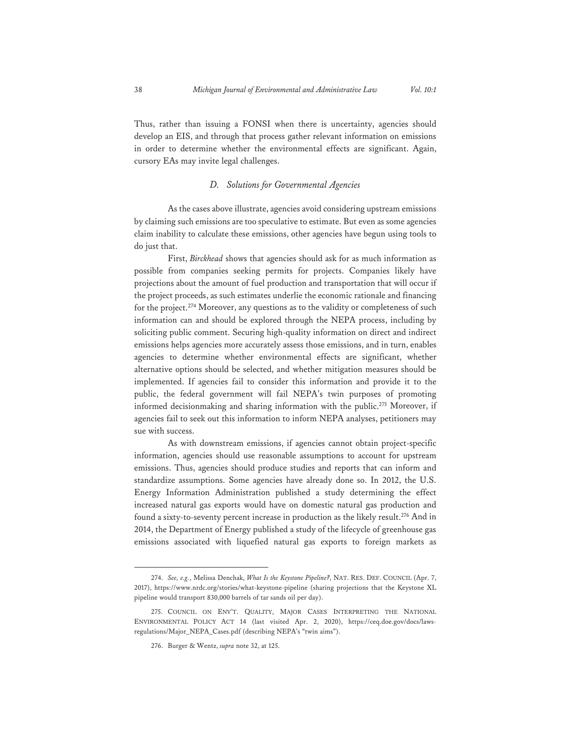Thus, rather than issuing a FONSI when there is uncertainty, agencies should develop an EIS, and through that process gather relevant information on emissions in order to determine whether the environmental effects are significant. Again, cursory EAs may invite legal challenges.

#### *D. Solutions for Governmental Agencies*

 As the cases above illustrate, agencies avoid considering upstream emissions by claiming such emissions are too speculative to estimate. But even as some agencies claim inability to calculate these emissions, other agencies have begun using tools to do just that.

 First, *Birckhead* shows that agencies should ask for as much information as possible from companies seeking permits for projects. Companies likely have projections about the amount of fuel production and transportation that will occur if the project proceeds, as such estimates underlie the economic rationale and financing for the project.<sup>274</sup> Moreover, any questions as to the validity or completeness of such information can and should be explored through the NEPA process, including by soliciting public comment. Securing high-quality information on direct and indirect emissions helps agencies more accurately assess those emissions, and in turn, enables agencies to determine whether environmental effects are significant, whether alternative options should be selected, and whether mitigation measures should be implemented. If agencies fail to consider this information and provide it to the public, the federal government will fail NEPA's twin purposes of promoting informed decisionmaking and sharing information with the public.<sup>275</sup> Moreover, if agencies fail to seek out this information to inform NEPA analyses, petitioners may sue with success.

 As with downstream emissions, if agencies cannot obtain project-specific information, agencies should use reasonable assumptions to account for upstream emissions. Thus, agencies should produce studies and reports that can inform and standardize assumptions. Some agencies have already done so. In 2012, the U.S. Energy Information Administration published a study determining the effect increased natural gas exports would have on domestic natural gas production and found a sixty-to-seventy percent increase in production as the likely result.<sup>276</sup> And in 2014, the Department of Energy published a study of the lifecycle of greenhouse gas emissions associated with liquefied natural gas exports to foreign markets as

<sup>274.</sup> *See, e.g.*, Melissa Denchak, *What Is the Keystone Pipeline?*, NAT. RES. DEF. COUNCIL (Apr. 7, 2017), https://www.nrdc.org/stories/what-keystone-pipeline (sharing projections that the Keystone XL pipeline would transport 830,000 barrels of tar sands oil per day).

<sup>275.</sup> COUNCIL ON ENV'T. QUALITY, MAJOR CASES INTERPRETING THE NATIONAL ENVIRONMENTAL POLICY ACT 14 (last visited Apr. 2, 2020), https://ceq.doe.gov/docs/lawsregulations/Major\_NEPA\_Cases.pdf (describing NEPA's "twin aims").

<sup>276.</sup> Burger & Wentz, *supra* note 32, at 125.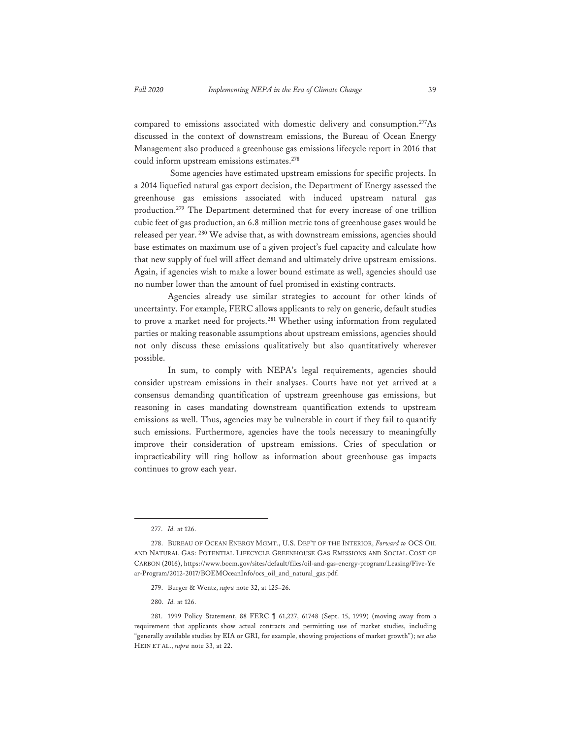compared to emissions associated with domestic delivery and consumption.277As discussed in the context of downstream emissions, the Bureau of Ocean Energy Management also produced a greenhouse gas emissions lifecycle report in 2016 that could inform upstream emissions estimates.278

 Some agencies have estimated upstream emissions for specific projects. In a 2014 liquefied natural gas export decision, the Department of Energy assessed the greenhouse gas emissions associated with induced upstream natural gas production.279 The Department determined that for every increase of one trillion cubic feet of gas production, an 6.8 million metric tons of greenhouse gases would be released per year.<sup>280</sup> We advise that, as with downstream emissions, agencies should base estimates on maximum use of a given project's fuel capacity and calculate how that new supply of fuel will affect demand and ultimately drive upstream emissions. Again, if agencies wish to make a lower bound estimate as well, agencies should use no number lower than the amount of fuel promised in existing contracts.

 Agencies already use similar strategies to account for other kinds of uncertainty. For example, FERC allows applicants to rely on generic, default studies to prove a market need for projects.<sup>281</sup> Whether using information from regulated parties or making reasonable assumptions about upstream emissions, agencies should not only discuss these emissions qualitatively but also quantitatively wherever possible.

 In sum, to comply with NEPA's legal requirements, agencies should consider upstream emissions in their analyses. Courts have not yet arrived at a consensus demanding quantification of upstream greenhouse gas emissions, but reasoning in cases mandating downstream quantification extends to upstream emissions as well. Thus, agencies may be vulnerable in court if they fail to quantify such emissions. Furthermore, agencies have the tools necessary to meaningfully improve their consideration of upstream emissions. Cries of speculation or impracticability will ring hollow as information about greenhouse gas impacts continues to grow each year.

280. *Id.* at 126.

<sup>277.</sup> *Id.* at 126.

<sup>278.</sup> BUREAU OF OCEAN ENERGY MGMT., U.S. DEP'T OF THE INTERIOR, *Forward to* OCS OIL AND NATURAL GAS: POTENTIAL LIFECYCLE GREENHOUSE GAS EMISSIONS AND SOCIAL COST OF CARBON (2016), https://www.boem.gov/sites/default/files/oil-and-gas-energy-program/Leasing/Five-Ye ar-Program/2012-2017/BOEMOceanInfo/ocs\_oil\_and\_natural\_gas.pdf.

<sup>279.</sup> Burger & Wentz, *supra* note 32, at 125–26.

<sup>281. 1999</sup> Policy Statement, 88 FERC ¶ 61,227, 61748 (Sept. 15, 1999) (moving away from a requirement that applicants show actual contracts and permitting use of market studies, including "generally available studies by EIA or GRI, for example, showing projections of market growth"); *see also*  HEIN ET AL., *supra* note 33, at 22.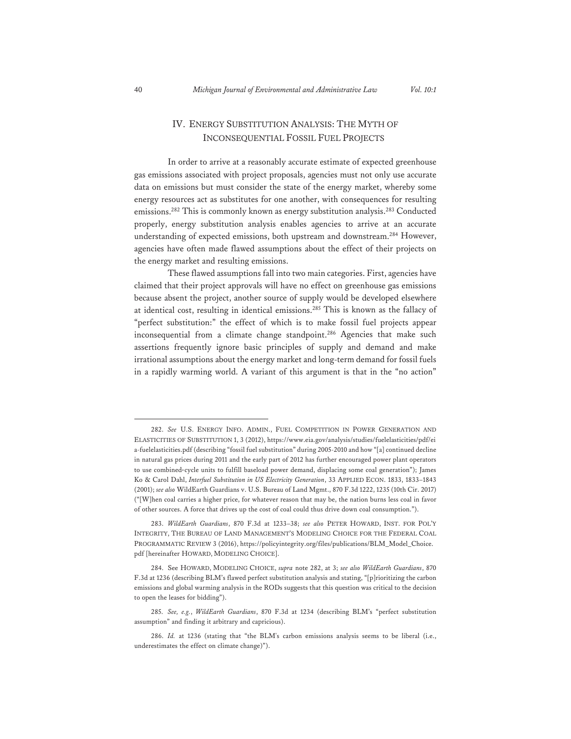# IV. ENERGY SUBSTITUTION ANALYSIS: THE MYTH OF INCONSEQUENTIAL FOSSIL FUEL PROJECTS

In order to arrive at a reasonably accurate estimate of expected greenhouse gas emissions associated with project proposals, agencies must not only use accurate data on emissions but must consider the state of the energy market, whereby some energy resources act as substitutes for one another, with consequences for resulting emissions.282 This is commonly known as energy substitution analysis.283 Conducted properly, energy substitution analysis enables agencies to arrive at an accurate understanding of expected emissions, both upstream and downstream.284 However, agencies have often made flawed assumptions about the effect of their projects on the energy market and resulting emissions.

These flawed assumptions fall into two main categories. First, agencies have claimed that their project approvals will have no effect on greenhouse gas emissions because absent the project, another source of supply would be developed elsewhere at identical cost, resulting in identical emissions.285 This is known as the fallacy of "perfect substitution:" the effect of which is to make fossil fuel projects appear inconsequential from a climate change standpoint.<sup>286</sup> Agencies that make such assertions frequently ignore basic principles of supply and demand and make irrational assumptions about the energy market and long-term demand for fossil fuels in a rapidly warming world. A variant of this argument is that in the "no action"

<sup>282.</sup> *See* U.S. ENERGY INFO. ADMIN., FUEL COMPETITION IN POWER GENERATION AND ELASTICITIES OF SUBSTITUTION 1, 3 (2012), https://www.eia.gov/analysis/studies/fuelelasticities/pdf/ei a-fuelelasticities.pdf (describing "fossil fuel substitution" during 2005-2010 and how "[a] continued decline in natural gas prices during 2011 and the early part of 2012 has further encouraged power plant operators to use combined-cycle units to fulfill baseload power demand, displacing some coal generation"); James Ko & Carol Dahl, *Interfuel Substitution in US Electricity Generation*, 33 APPLIED ECON. 1833, 1833–1843 (2001); *see also* WildEarth Guardians v. U.S. Bureau of Land Mgmt., 870 F.3d 1222, 1235 (10th Cir. 2017) ("[W]hen coal carries a higher price, for whatever reason that may be, the nation burns less coal in favor of other sources. A force that drives up the cost of coal could thus drive down coal consumption.").

<sup>283.</sup> *WildEarth Guardians*, 870 F.3d at 1233–38; *see also* PETER HOWARD, INST. FOR POL'Y INTEGRITY, THE BUREAU OF LAND MANAGEMENT'S MODELING CHOICE FOR THE FEDERAL COAL PROGRAMMATIC REVIEW 3 (2016), https://policyintegrity.org/files/publications/BLM\_Model\_Choice. pdf [hereinafter HOWARD, MODELING CHOICE].

<sup>284.</sup> See HOWARD, MODELING CHOICE, *supra* note 282, at 3; *see also WildEarth Guardians*, 870 F.3d at 1236 (describing BLM's flawed perfect substitution analysis and stating, "[p]rioritizing the carbon emissions and global warming analysis in the RODs suggests that this question was critical to the decision to open the leases for bidding").

<sup>285.</sup> *See, e.g.*, *WildEarth Guardians*, 870 F.3d at 1234 (describing BLM's "perfect substitution assumption" and finding it arbitrary and capricious).

<sup>286.</sup> *Id.* at 1236 (stating that "the BLM's carbon emissions analysis seems to be liberal (i.e., underestimates the effect on climate change)").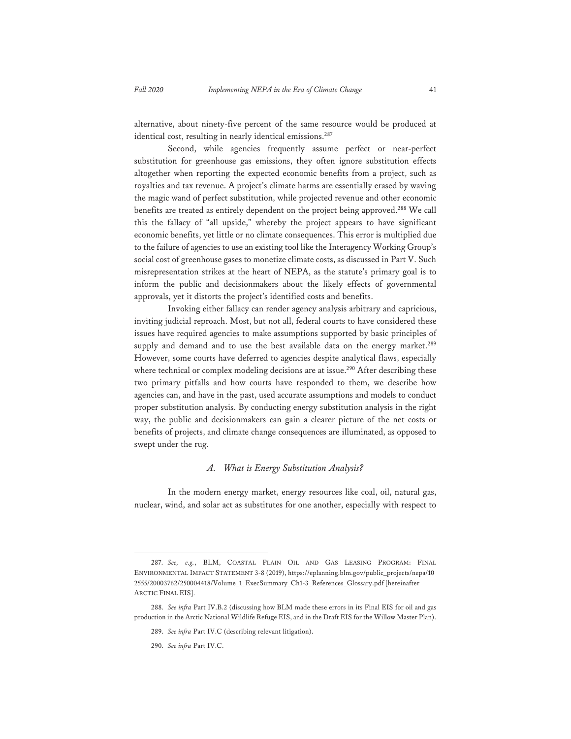alternative, about ninety-five percent of the same resource would be produced at identical cost, resulting in nearly identical emissions.<sup>287</sup>

Second, while agencies frequently assume perfect or near-perfect substitution for greenhouse gas emissions, they often ignore substitution effects altogether when reporting the expected economic benefits from a project, such as royalties and tax revenue. A project's climate harms are essentially erased by waving the magic wand of perfect substitution, while projected revenue and other economic benefits are treated as entirely dependent on the project being approved.<sup>288</sup> We call this the fallacy of "all upside," whereby the project appears to have significant economic benefits, yet little or no climate consequences. This error is multiplied due to the failure of agencies to use an existing tool like the Interagency Working Group's social cost of greenhouse gases to monetize climate costs, as discussed in Part V. Such misrepresentation strikes at the heart of NEPA, as the statute's primary goal is to inform the public and decisionmakers about the likely effects of governmental approvals, yet it distorts the project's identified costs and benefits.

Invoking either fallacy can render agency analysis arbitrary and capricious, inviting judicial reproach. Most, but not all, federal courts to have considered these issues have required agencies to make assumptions supported by basic principles of supply and demand and to use the best available data on the energy market.<sup>289</sup> However, some courts have deferred to agencies despite analytical flaws, especially where technical or complex modeling decisions are at issue.<sup>290</sup> After describing these two primary pitfalls and how courts have responded to them, we describe how agencies can, and have in the past, used accurate assumptions and models to conduct proper substitution analysis. By conducting energy substitution analysis in the right way, the public and decisionmakers can gain a clearer picture of the net costs or benefits of projects, and climate change consequences are illuminated, as opposed to swept under the rug.

#### *A. What is Energy Substitution Analysis?*

In the modern energy market, energy resources like coal, oil, natural gas, nuclear, wind, and solar act as substitutes for one another, especially with respect to

<sup>287.</sup> *See, e.g.*, BLM, COASTAL PLAIN OIL AND GAS LEASING PROGRAM: FINAL ENVIRONMENTAL IMPACT STATEMENT 3-8 (2019), https://eplanning.blm.gov/public\_projects/nepa/10 2555/20003762/250004418/Volume\_1\_ExecSummary\_Ch1-3\_References\_Glossary.pdf [hereinafter ARCTIC FINAL EIS].

<sup>288.</sup> *See infra* Part IV.B.2 (discussing how BLM made these errors in its Final EIS for oil and gas production in the Arctic National Wildlife Refuge EIS, and in the Draft EIS for the Willow Master Plan).

<sup>289.</sup> *See infra* Part IV.C (describing relevant litigation).

<sup>290.</sup> *See infra* Part IV.C.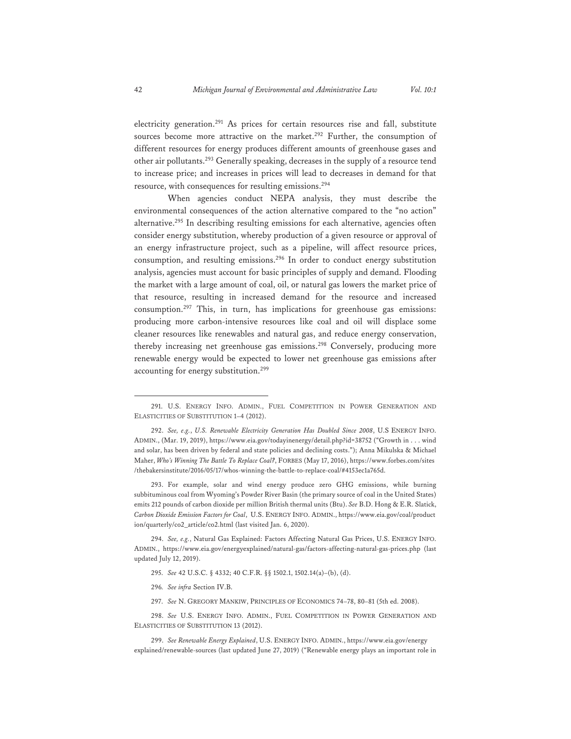electricity generation.291 As prices for certain resources rise and fall, substitute sources become more attractive on the market.<sup>292</sup> Further, the consumption of different resources for energy produces different amounts of greenhouse gases and other air pollutants.293 Generally speaking, decreases in the supply of a resource tend to increase price; and increases in prices will lead to decreases in demand for that resource, with consequences for resulting emissions.294

When agencies conduct NEPA analysis, they must describe the environmental consequences of the action alternative compared to the "no action" alternative.295 In describing resulting emissions for each alternative, agencies often consider energy substitution, whereby production of a given resource or approval of an energy infrastructure project, such as a pipeline, will affect resource prices, consumption, and resulting emissions.296 In order to conduct energy substitution analysis, agencies must account for basic principles of supply and demand. Flooding the market with a large amount of coal, oil, or natural gas lowers the market price of that resource, resulting in increased demand for the resource and increased consumption.297 This, in turn, has implications for greenhouse gas emissions: producing more carbon-intensive resources like coal and oil will displace some cleaner resources like renewables and natural gas, and reduce energy conservation, thereby increasing net greenhouse gas emissions.298 Conversely, producing more renewable energy would be expected to lower net greenhouse gas emissions after accounting for energy substitution.299

293. For example, solar and wind energy produce zero GHG emissions, while burning subbituminous coal from Wyoming's Powder River Basin (the primary source of coal in the United States) emits 212 pounds of carbon dioxide per million British thermal units (Btu). *See* B.D. Hong & E.R. Slatick, *Carbon Dioxide Emission Factors for Coal*,U.S. ENERGY INFO. ADMIN., https://www.eia.gov/coal/product ion/quarterly/co2\_article/co2.html (last visited Jan. 6, 2020).

294. *See, e.g.*, Natural Gas Explained: Factors Affecting Natural Gas Prices, U.S. ENERGY INFO. ADMIN., https://www.eia.gov/energyexplained/natural-gas/factors-affecting-natural-gas-prices.php (last updated July 12, 2019).

- 296*. See infra* Section IV.B.
- 297. *See* N. GREGORY MANKIW, PRINCIPLES OF ECONOMICS 74–78, 80–81 (5th ed. 2008).

298. *See* U.S. ENERGY INFO. ADMIN., FUEL COMPETITION IN POWER GENERATION AND ELASTICITIES OF SUBSTITUTION 13 (2012).

299. *See Renewable Energy Explained*, U.S. ENERGY INFO. ADMIN., https://www.eia.gov/energy explained/renewable-sources (last updated June 27, 2019) ("Renewable energy plays an important role in

<sup>291.</sup> U.S. ENERGY INFO. ADMIN., FUEL COMPETITION IN POWER GENERATION AND ELASTICITIES OF SUBSTITUTION 1–4 (2012).

<sup>292.</sup> *See, e.g.*, *U.S. Renewable Electricity Generation Has Doubled Since 2008*, U.S ENERGY INFO. ADMIN., (Mar. 19, 2019), https://www.eia.gov/todayinenergy/detail.php?id=38752 ("Growth in . . . wind and solar, has been driven by federal and state policies and declining costs."); Anna Mikulska & Michael Maher, *Who's Winning The Battle To Replace Coal?*, FORBES (May 17, 2016), https://www.forbes.com/sites /thebakersinstitute/2016/05/17/whos-winning-the-battle-to-replace-coal/#4153ec1a765d.

<sup>295.</sup> *See* 42 U.S.C. § 4332; 40 C.F.R. §§ 1502.1, 1502.14(a)–(b), (d).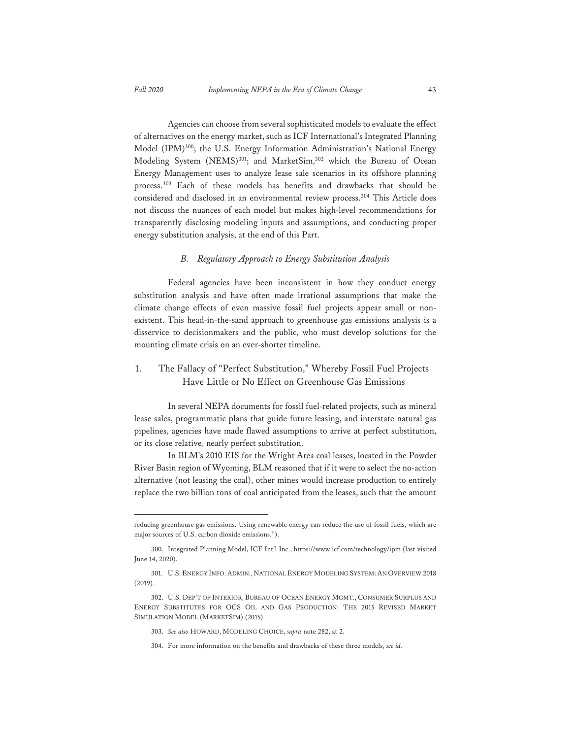Agencies can choose from several sophisticated models to evaluate the effect of alternatives on the energy market, such as ICF International's Integrated Planning Model (IPM)<sup>300</sup>; the U.S. Energy Information Administration's National Energy Modeling System (NEMS)<sup>301</sup>; and MarketSim,<sup>302</sup> which the Bureau of Ocean Energy Management uses to analyze lease sale scenarios in its offshore planning process.303 Each of these models has benefits and drawbacks that should be considered and disclosed in an environmental review process.<sup>304</sup> This Article does not discuss the nuances of each model but makes high-level recommendations for transparently disclosing modeling inputs and assumptions, and conducting proper energy substitution analysis, at the end of this Part.

#### *B. Regulatory Approach to Energy Substitution Analysis*

Federal agencies have been inconsistent in how they conduct energy substitution analysis and have often made irrational assumptions that make the climate change effects of even massive fossil fuel projects appear small or nonexistent. This head-in-the-sand approach to greenhouse gas emissions analysis is a disservice to decisionmakers and the public, who must develop solutions for the mounting climate crisis on an ever-shorter timeline.

# 1. The Fallacy of "Perfect Substitution," Whereby Fossil Fuel Projects Have Little or No Effect on Greenhouse Gas Emissions

In several NEPA documents for fossil fuel-related projects, such as mineral lease sales, programmatic plans that guide future leasing, and interstate natural gas pipelines, agencies have made flawed assumptions to arrive at perfect substitution, or its close relative, nearly perfect substitution.

In BLM's 2010 EIS for the Wright Area coal leases, located in the Powder River Basin region of Wyoming, BLM reasoned that if it were to select the no-action alternative (not leasing the coal), other mines would increase production to entirely replace the two billion tons of coal anticipated from the leases, such that the amount

reducing greenhouse gas emissions. Using renewable energy can reduce the use of fossil fuels, which are major sources of U.S. carbon dioxide emissions.").

<sup>300.</sup> Integrated Planning Model, ICF Int'l Inc., https://www.icf.com/technology/ipm (last visited June 14, 2020).

<sup>301.</sup> U.S.ENERGY INFO.ADMIN., NATIONAL ENERGY MODELING SYSTEM:AN OVERVIEW 2018 (2019).

<sup>302.</sup> U.S. DEP'T OF INTERIOR, BUREAU OF OCEAN ENERGY MGMT., CONSUMER SURPLUS AND ENERGY SUBSTITUTES FOR OCS OIL AND GAS PRODUCTION: THE 2015 REVISED MARKET SIMULATION MODEL (MARKETSIM) (2015).

<sup>303.</sup> *See also* HOWARD, MODELING CHOICE, *supra* note 282, at 2.

<sup>304.</sup> For more information on the benefits and drawbacks of these three models, *see id.*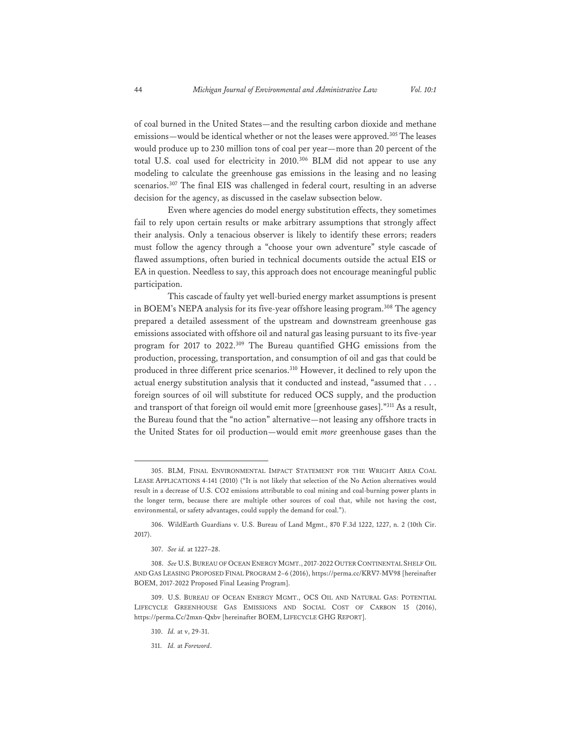of coal burned in the United States—and the resulting carbon dioxide and methane emissions—would be identical whether or not the leases were approved.<sup>305</sup> The leases would produce up to 230 million tons of coal per year—more than 20 percent of the total U.S. coal used for electricity in 2010.306 BLM did not appear to use any modeling to calculate the greenhouse gas emissions in the leasing and no leasing scenarios.307 The final EIS was challenged in federal court, resulting in an adverse decision for the agency, as discussed in the caselaw subsection below.

Even where agencies do model energy substitution effects, they sometimes fail to rely upon certain results or make arbitrary assumptions that strongly affect their analysis. Only a tenacious observer is likely to identify these errors; readers must follow the agency through a "choose your own adventure" style cascade of flawed assumptions, often buried in technical documents outside the actual EIS or EA in question. Needless to say, this approach does not encourage meaningful public participation.

This cascade of faulty yet well-buried energy market assumptions is present in BOEM's NEPA analysis for its five-year offshore leasing program.308 The agency prepared a detailed assessment of the upstream and downstream greenhouse gas emissions associated with offshore oil and natural gas leasing pursuant to its five-year program for 2017 to 2022.309 The Bureau quantified GHG emissions from the production, processing, transportation, and consumption of oil and gas that could be produced in three different price scenarios.<sup>310</sup> However, it declined to rely upon the actual energy substitution analysis that it conducted and instead, "assumed that . . . foreign sources of oil will substitute for reduced OCS supply, and the production and transport of that foreign oil would emit more [greenhouse gases]."311 As a result, the Bureau found that the "no action" alternative—not leasing any offshore tracts in the United States for oil production—would emit *more* greenhouse gases than the

<sup>305.</sup> BLM, FINAL ENVIRONMENTAL IMPACT STATEMENT FOR THE WRIGHT AREA COAL LEASE APPLICATIONS 4-141 (2010) ("It is not likely that selection of the No Action alternatives would result in a decrease of U.S. CO2 emissions attributable to coal mining and coal-burning power plants in the longer term, because there are multiple other sources of coal that, while not having the cost, environmental, or safety advantages, could supply the demand for coal.").

<sup>306.</sup> WildEarth Guardians v. U.S. Bureau of Land Mgmt., 870 F.3d 1222, 1227, n. 2 (10th Cir. 2017).

<sup>307.</sup> *See id.* at 1227–28.

<sup>308.</sup> *See* U.S. BUREAU OF OCEAN ENERGY MGMT., 2017-2022 OUTER CONTINENTAL SHELF OIL AND GAS LEASING PROPOSED FINAL PROGRAM 2–6 (2016), https://perma.cc/KRV7-MV98 [hereinafter BOEM, 2017-2022 Proposed Final Leasing Program].

<sup>309.</sup> U.S. BUREAU OF OCEAN ENERGY MGMT., OCS OIL AND NATURAL GAS: POTENTIAL LIFECYCLE GREENHOUSE GAS EMISSIONS AND SOCIAL COST OF CARBON 15 (2016), https://perma.Cc/2mxn-Qxbv [hereinafter BOEM, LIFECYCLE GHG REPORT].

<sup>310.</sup> *Id.* at v, 29-31.

<sup>311.</sup> *Id.* at *Foreword*.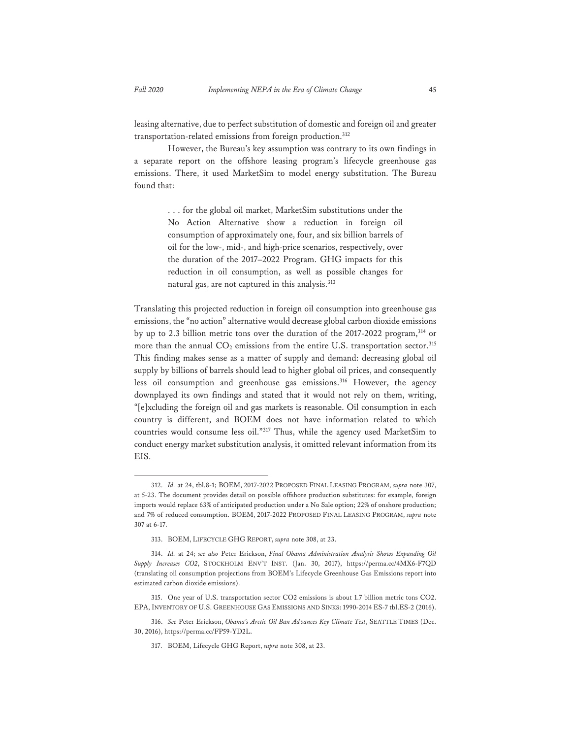leasing alternative, due to perfect substitution of domestic and foreign oil and greater transportation-related emissions from foreign production.312

However, the Bureau's key assumption was contrary to its own findings in a separate report on the offshore leasing program's lifecycle greenhouse gas emissions. There, it used MarketSim to model energy substitution. The Bureau found that:

> . . . for the global oil market, MarketSim substitutions under the No Action Alternative show a reduction in foreign oil consumption of approximately one, four, and six billion barrels of oil for the low-, mid-, and high-price scenarios, respectively, over the duration of the 2017–2022 Program. GHG impacts for this reduction in oil consumption, as well as possible changes for natural gas, are not captured in this analysis.<sup>313</sup>

Translating this projected reduction in foreign oil consumption into greenhouse gas emissions, the "no action" alternative would decrease global carbon dioxide emissions by up to 2.3 billion metric tons over the duration of the 2017-2022 program,314 or more than the annual  $CO_2$  emissions from the entire U.S. transportation sector.<sup>315</sup> This finding makes sense as a matter of supply and demand: decreasing global oil supply by billions of barrels should lead to higher global oil prices, and consequently less oil consumption and greenhouse gas emissions.<sup>316</sup> However, the agency downplayed its own findings and stated that it would not rely on them, writing, "[e]xcluding the foreign oil and gas markets is reasonable. Oil consumption in each country is different, and BOEM does not have information related to which countries would consume less oil."317 Thus, while the agency used MarketSim to conduct energy market substitution analysis, it omitted relevant information from its EIS.

<sup>312.</sup> *Id.* at 24, tbl.8-1; BOEM, 2017-2022 PROPOSED FINAL LEASING PROGRAM, *supra* note 307, at 5-23. The document provides detail on possible offshore production substitutes: for example, foreign imports would replace 63% of anticipated production under a No Sale option; 22% of onshore production; and 7% of reduced consumption. BOEM, 2017-2022 PROPOSED FINAL LEASING PROGRAM, *supra* note 307 at 6-17.

<sup>313.</sup> BOEM, LIFECYCLE GHG REPORT, *supra* note 308, at 23.

<sup>314.</sup> *Id.* at 24; *see also* Peter Erickson, *Final Obama Administration Analysis Shows Expanding Oil Supply Increases CO2*, STOCKHOLM ENV'T INST. (Jan. 30, 2017), https://perma.cc/4MX6-F7QD (translating oil consumption projections from BOEM's Lifecycle Greenhouse Gas Emissions report into estimated carbon dioxide emissions).

<sup>315.</sup> One year of U.S. transportation sector CO2 emissions is about 1.7 billion metric tons CO2. EPA, INVENTORY OF U.S. GREENHOUSE GAS EMISSIONS AND SINKS: 1990-2014 ES-7 tbl.ES-2 (2016).

<sup>316.</sup> *See* Peter Erickson, *Obama's Arctic Oil Ban Advances Key Climate Test*, SEATTLE TIMES (Dec. 30, 2016), https://perma.cc/FP59-YD2L.

<sup>317.</sup> BOEM, Lifecycle GHG Report, *supra* note 308, at 23.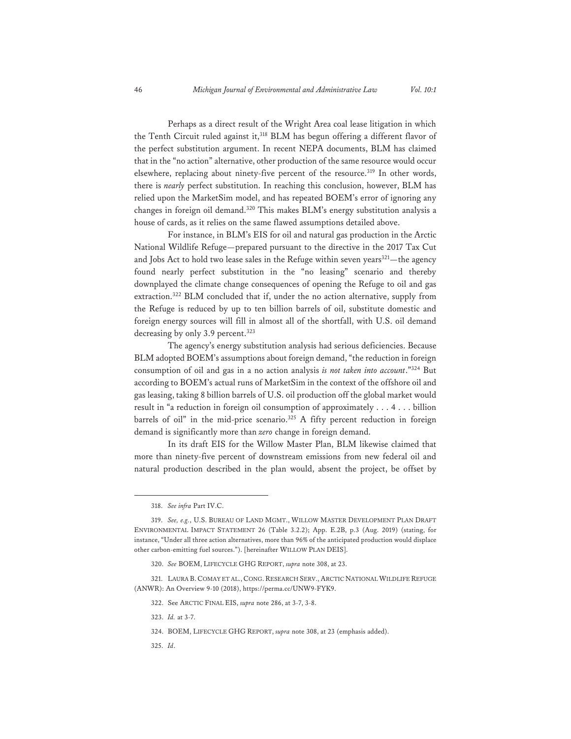Perhaps as a direct result of the Wright Area coal lease litigation in which the Tenth Circuit ruled against it,  $318$  BLM has begun offering a different flavor of the perfect substitution argument. In recent NEPA documents, BLM has claimed that in the "no action" alternative, other production of the same resource would occur elsewhere, replacing about ninety-five percent of the resource.<sup>319</sup> In other words, there is *nearly* perfect substitution. In reaching this conclusion, however, BLM has relied upon the MarketSim model, and has repeated BOEM's error of ignoring any changes in foreign oil demand.<sup>320</sup> This makes BLM's energy substitution analysis a house of cards, as it relies on the same flawed assumptions detailed above.

For instance, in BLM's EIS for oil and natural gas production in the Arctic National Wildlife Refuge—prepared pursuant to the directive in the 2017 Tax Cut and Jobs Act to hold two lease sales in the Refuge within seven years<sup>321</sup>—the agency found nearly perfect substitution in the "no leasing" scenario and thereby downplayed the climate change consequences of opening the Refuge to oil and gas extraction.322 BLM concluded that if, under the no action alternative, supply from the Refuge is reduced by up to ten billion barrels of oil, substitute domestic and foreign energy sources will fill in almost all of the shortfall, with U.S. oil demand decreasing by only 3.9 percent.<sup>323</sup>

The agency's energy substitution analysis had serious deficiencies. Because BLM adopted BOEM's assumptions about foreign demand, "the reduction in foreign consumption of oil and gas in a no action analysis *is not taken into account*."324 But according to BOEM's actual runs of MarketSim in the context of the offshore oil and gas leasing, taking 8 billion barrels of U.S. oil production off the global market would result in "a reduction in foreign oil consumption of approximately . . . 4 . . . billion barrels of oil" in the mid-price scenario.<sup>325</sup> A fifty percent reduction in foreign demand is significantly more than *zero* change in foreign demand.

In its draft EIS for the Willow Master Plan, BLM likewise claimed that more than ninety-five percent of downstream emissions from new federal oil and natural production described in the plan would, absent the project, be offset by

325. *Id*.

<sup>318.</sup> *See infra* Part IV.C.

<sup>319.</sup> *See, e.g.*, U.S. BUREAU OF LAND MGMT., WILLOW MASTER DEVELOPMENT PLAN DRAFT ENVIRONMENTAL IMPACT STATEMENT 26 (Table 3.2.2); App. E.2B, p.3 (Aug. 2019) (stating, for instance, "Under all three action alternatives, more than 96% of the anticipated production would displace other carbon-emitting fuel sources."). [hereinafter WILLOW PLAN DEIS].

<sup>320.</sup> *See* BOEM, LIFECYCLE GHG REPORT, *supra* note 308, at 23.

<sup>321.</sup> LAURA B.COMAY ET AL.,CONG. RESEARCH SERV., ARCTIC NATIONAL WILDLIFE REFUGE (ANWR): An Overview 9-10 (2018), https://perma.cc/UNW9-FYK9.

<sup>322.</sup> See ARCTIC FINAL EIS, *supra* note 286, at 3-7, 3-8.

<sup>323.</sup> *Id.* at 3-7.

<sup>324.</sup> BOEM, LIFECYCLE GHG REPORT, *supra* note 308, at 23 (emphasis added).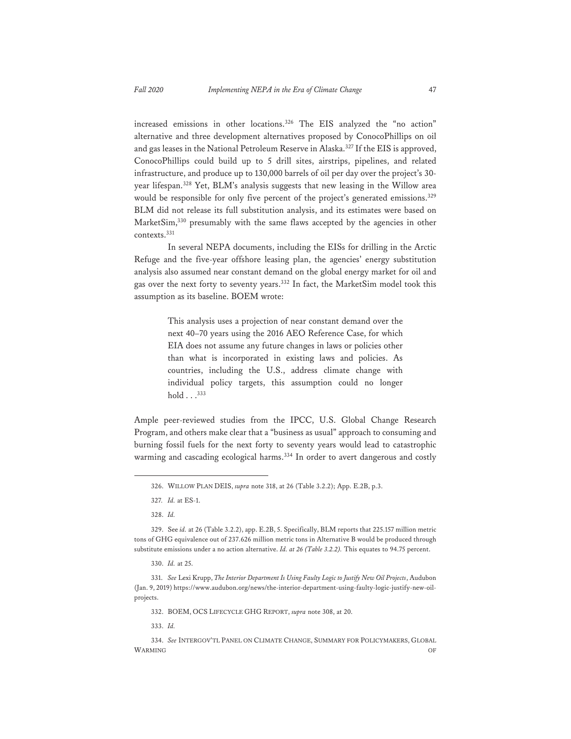increased emissions in other locations.326 The EIS analyzed the "no action" alternative and three development alternatives proposed by ConocoPhillips on oil and gas leases in the National Petroleum Reserve in Alaska.<sup>327</sup> If the EIS is approved, ConocoPhillips could build up to 5 drill sites, airstrips, pipelines, and related infrastructure, and produce up to 130,000 barrels of oil per day over the project's 30 year lifespan.328 Yet, BLM's analysis suggests that new leasing in the Willow area would be responsible for only five percent of the project's generated emissions.<sup>329</sup> BLM did not release its full substitution analysis, and its estimates were based on MarketSim,<sup>330</sup> presumably with the same flaws accepted by the agencies in other contexts.331

In several NEPA documents, including the EISs for drilling in the Arctic Refuge and the five-year offshore leasing plan, the agencies' energy substitution analysis also assumed near constant demand on the global energy market for oil and gas over the next forty to seventy years.332 In fact, the MarketSim model took this assumption as its baseline. BOEM wrote:

> This analysis uses a projection of near constant demand over the next 40–70 years using the 2016 AEO Reference Case, for which EIA does not assume any future changes in laws or policies other than what is incorporated in existing laws and policies. As countries, including the U.S., address climate change with individual policy targets, this assumption could no longer  $hold \dots$ <sup>333</sup>

Ample peer-reviewed studies from the IPCC, U.S. Global Change Research Program, and others make clear that a "business as usual" approach to consuming and burning fossil fuels for the next forty to seventy years would lead to catastrophic warming and cascading ecological harms.<sup>334</sup> In order to avert dangerous and costly

332. BOEM, OCS LIFECYCLE GHG REPORT, *supra* note 308, at 20.

333. *Id.*

334. *See* INTERGOV'TL PANEL ON CLIMATE CHANGE, SUMMARY FOR POLICYMAKERS, GLOBAL WARMING OF THE CONSTRUCTION OF THE CONSTRUCTION OF THE CONSTRUCTION OF THE CONSTRUCTION OF THE CONSTRUCTION OF

<sup>326.</sup> WILLOW PLAN DEIS, *supra* note 318, at 26 (Table 3.2.2); App. E.2B, p.3.

<sup>327</sup>*. Id.* at ES-1.

<sup>328.</sup> *Id.* 

<sup>329.</sup> See *id.* at 26 (Table 3.2.2), app. E.2B, 5. Specifically, BLM reports that 225.157 million metric tons of GHG equivalence out of 237.626 million metric tons in Alternative B would be produced through substitute emissions under a no action alternative. *Id. at 26 (Table 3.2.2).* This equates to 94.75 percent.

<sup>330.</sup> *Id.* at 25.

<sup>331.</sup> *See* Lexi Krupp, *The Interior Department Is Using Faulty Logic to Justify New Oil Projects*, Audubon (Jan. 9, 2019) https://www.audubon.org/news/the-interior-department-using-faulty-logic-justify-new-oilprojects.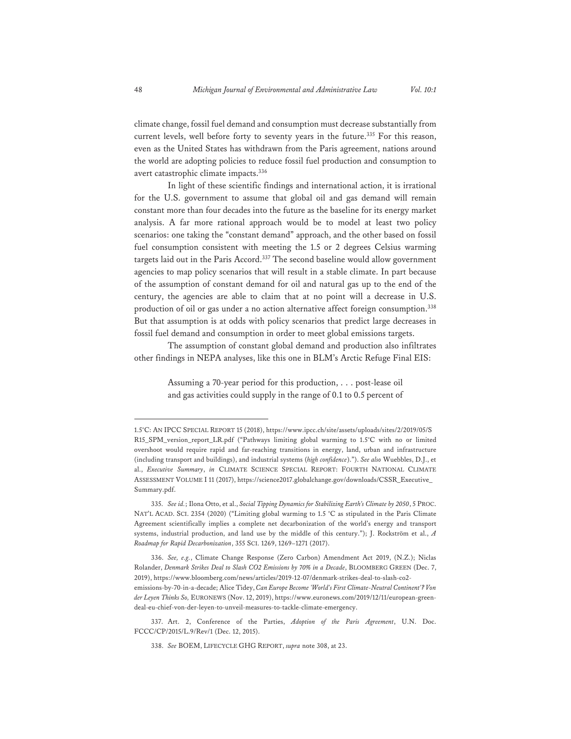climate change, fossil fuel demand and consumption must decrease substantially from current levels, well before forty to seventy years in the future.<sup>335</sup> For this reason, even as the United States has withdrawn from the Paris agreement, nations around the world are adopting policies to reduce fossil fuel production and consumption to avert catastrophic climate impacts.336

In light of these scientific findings and international action, it is irrational for the U.S. government to assume that global oil and gas demand will remain constant more than four decades into the future as the baseline for its energy market analysis. A far more rational approach would be to model at least two policy scenarios: one taking the "constant demand" approach, and the other based on fossil fuel consumption consistent with meeting the 1.5 or 2 degrees Celsius warming targets laid out in the Paris Accord.<sup>337</sup> The second baseline would allow government agencies to map policy scenarios that will result in a stable climate. In part because of the assumption of constant demand for oil and natural gas up to the end of the century, the agencies are able to claim that at no point will a decrease in U.S. production of oil or gas under a no action alternative affect foreign consumption.<sup>338</sup> But that assumption is at odds with policy scenarios that predict large decreases in fossil fuel demand and consumption in order to meet global emissions targets.

The assumption of constant global demand and production also infiltrates other findings in NEPA analyses, like this one in BLM's Arctic Refuge Final EIS:

> Assuming a 70-year period for this production, . . . post-lease oil and gas activities could supply in the range of 0.1 to 0.5 percent of

<sup>1.5°</sup>C: AN IPCC SPECIAL REPORT 15 (2018), https://www.ipcc.ch/site/assets/uploads/sites/2/2019/05/S R15\_SPM\_version\_report\_LR.pdf ("Pathways limiting global warming to 1.5°C with no or limited overshoot would require rapid and far-reaching transitions in energy, land, urban and infrastructure (including transport and buildings), and industrial systems (*high confidence*)."). *See also* Wuebbles, D.J., et al., *Executive Summary*, *in* CLIMATE SCIENCE SPECIAL REPORT: FOURTH NATIONAL CLIMATE ASSESSMENT VOLUME I 11 (2017), https://science2017.globalchange.gov/downloads/CSSR\_Executive\_ Summary.pdf.

<sup>335.</sup> *See id.*; Ilona Otto, et al., *Social Tipping Dynamics for Stabilizing Earth's Climate by 2050*, 5 PROC. NAT'L ACAD. SCI. 2354 (2020) ("Limiting global warming to 1.5 °C as stipulated in the Paris Climate Agreement scientifically implies a complete net decarbonization of the world's energy and transport systems, industrial production, and land use by the middle of this century."); J. Rockström et al., *A Roadmap for Rapid Decarbonization*, 355 SCI. 1269, 1269–1271 (2017).

<sup>336.</sup> *See, e.g.*, Climate Change Response (Zero Carbon) Amendment Act 2019, (N.Z.); Niclas Rolander, *Denmark Strikes Deal to Slash CO2 Emissions by 70% in a Decade*, BLOOMBERG GREEN (Dec. 7, 2019), https://www.bloomberg.com/news/articles/2019-12-07/denmark-strikes-deal-to-slash-co2 emissions-by-70-in-a-decade; Alice Tidey, *Can Europe Become 'World's First Climate-Neutral Continent'? Von der Leyen Thinks So,* EURONEWS (Nov. 12, 2019), https://www.euronews.com/2019/12/11/european-greendeal-eu-chief-von-der-leyen-to-unveil-measures-to-tackle-climate-emergency.

<sup>337.</sup> Art. 2, Conference of the Parties, *Adoption of the Paris Agreement*, U.N. Doc. FCCC/CP/2015/L.9/Rev/1 (Dec. 12, 2015).

<sup>338.</sup> *See* BOEM, LIFECYCLE GHG REPORT, *supra* note 308, at 23.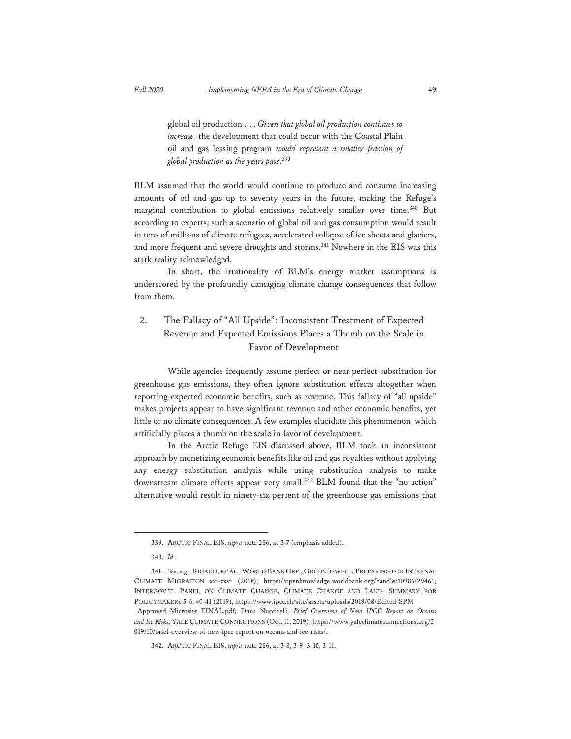global oil production . . . *Given that global oil production continues to increase*, the development that could occur with the Coastal Plain oil and gas leasing program *would represent a smaller fraction of global production as the years pass*. 339

BLM assumed that the world would continue to produce and consume increasing amounts of oil and gas up to seventy years in the future, making the Refuge's marginal contribution to global emissions relatively smaller over time.<sup>340</sup> But according to experts, such a scenario of global oil and gas consumption would result in tens of millions of climate refugees, accelerated collapse of ice sheets and glaciers, and more frequent and severe droughts and storms.<sup>341</sup> Nowhere in the EIS was this stark reality acknowledged.

In short, the irrationality of BLM's energy market assumptions is underscored by the profoundly damaging climate change consequences that follow from them.

# 2. The Fallacy of "All Upside": Inconsistent Treatment of Expected Revenue and Expected Emissions Places a Thumb on the Scale in Favor of Development

While agencies frequently assume perfect or near-perfect substitution for greenhouse gas emissions, they often ignore substitution effects altogether when reporting expected economic benefits, such as revenue. This fallacy of "all upside" makes projects appear to have significant revenue and other economic benefits, yet little or no climate consequences. A few examples elucidate this phenomenon, which artificially places a thumb on the scale in favor of development.

In the Arctic Refuge EIS discussed above, BLM took an inconsistent approach by monetizing economic benefits like oil and gas royalties without applying any energy substitution analysis while using substitution analysis to make downstream climate effects appear very small.<sup>342</sup> BLM found that the "no action" alternative would result in ninety-six percent of the greenhouse gas emissions that

<sup>339.</sup> ARCTIC FINAL EIS, *supra* note 286, at 3-7 (emphasis added).

<sup>340.</sup> *Id.*

<sup>341.</sup> *See, e.g.*, RIGAUD, ET AL., WORLD BANK GRP., GROUNDSWELL: PREPARING FOR INTERNAL CLIMATE MIGRATION xxi-xxvi (2018), https://openknowledge.worldbank.org/handle/10986/29461; INTERGOV'TL PANEL ON CLIMATE CHANGE, CLIMATE CHANGE AND LAND: SUMMARY FOR POLICYMAKERS 5-6, 40-41 (2019), https://www.ipcc.ch/site/assets/uploads/2019/08/Edited-SPM \_Approved\_Microsite\_FINAL.pdf; Dana Nuccitelli, *Brief Overview of New IPCC Report on Oceans* 

*and Ice Risks*, YALE CLIMATE CONNECTIONS (Oct. 11, 2019), https://www.yaleclimateconnections.org/2 019/10/brief-overview-of-new-ipcc-report-on-oceans-and-ice-risks/.

<sup>342.</sup> ARCTIC FINAL EIS, *supra* note 286, at 3-8, 3-9, 3-10, 3-11.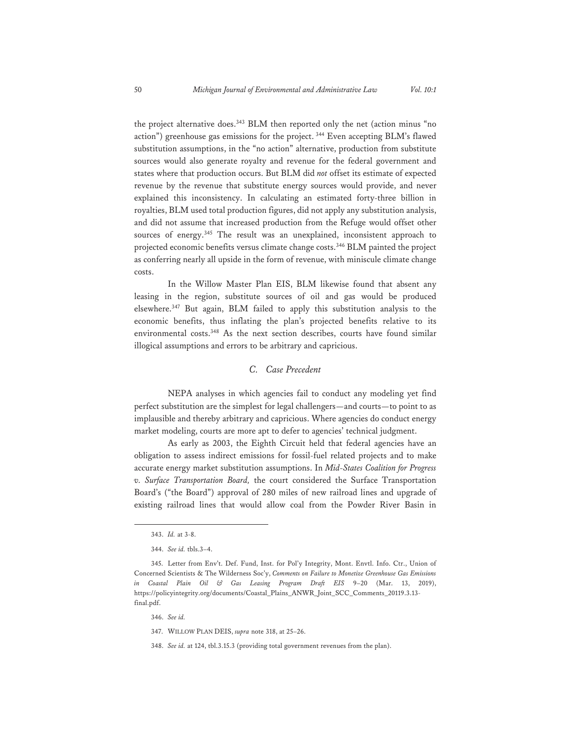the project alternative does.<sup>343</sup> BLM then reported only the net (action minus "no action") greenhouse gas emissions for the project. <sup>344</sup> Even accepting BLM's flawed substitution assumptions, in the "no action" alternative, production from substitute sources would also generate royalty and revenue for the federal government and states where that production occurs. But BLM did *not* offset its estimate of expected revenue by the revenue that substitute energy sources would provide, and never explained this inconsistency. In calculating an estimated forty-three billion in royalties, BLM used total production figures, did not apply any substitution analysis, and did not assume that increased production from the Refuge would offset other sources of energy.345 The result was an unexplained, inconsistent approach to projected economic benefits versus climate change costs.346 BLM painted the project as conferring nearly all upside in the form of revenue, with miniscule climate change costs.

In the Willow Master Plan EIS, BLM likewise found that absent any leasing in the region, substitute sources of oil and gas would be produced elsewhere.347 But again, BLM failed to apply this substitution analysis to the economic benefits, thus inflating the plan's projected benefits relative to its environmental costs.<sup>348</sup> As the next section describes, courts have found similar illogical assumptions and errors to be arbitrary and capricious.

## *C. Case Precedent*

NEPA analyses in which agencies fail to conduct any modeling yet find perfect substitution are the simplest for legal challengers—and courts—to point to as implausible and thereby arbitrary and capricious. Where agencies do conduct energy market modeling, courts are more apt to defer to agencies' technical judgment.

As early as 2003, the Eighth Circuit held that federal agencies have an obligation to assess indirect emissions for fossil-fuel related projects and to make accurate energy market substitution assumptions. In *Mid-States Coalition for Progress v. Surface Transportation Board,* the court considered the Surface Transportation Board's ("the Board") approval of 280 miles of new railroad lines and upgrade of existing railroad lines that would allow coal from the Powder River Basin in

<sup>343.</sup> *Id.* at 3-8.

<sup>344.</sup> *See id.* tbls.3–4.

<sup>345.</sup> Letter from Env't. Def. Fund, Inst. for Pol'y Integrity, Mont. Envtl. Info. Ctr., Union of Concerned Scientists & The Wilderness Soc'y, *Comments on Failure to Monetize Greenhouse Gas Emissions in Coastal Plain Oil & Gas Leasing Program Draft EIS* 9–20 (Mar. 13, 2019), https://policyintegrity.org/documents/Coastal\_Plains\_ANWR\_Joint\_SCC\_Comments\_20119.3.13 final.pdf.

<sup>346.</sup> *See id.* 

<sup>347.</sup> WILLOW PLAN DEIS, *supra* note 318, at 25–26.

<sup>348.</sup> *See id.* at 124, tbl.3.15.3 (providing total government revenues from the plan).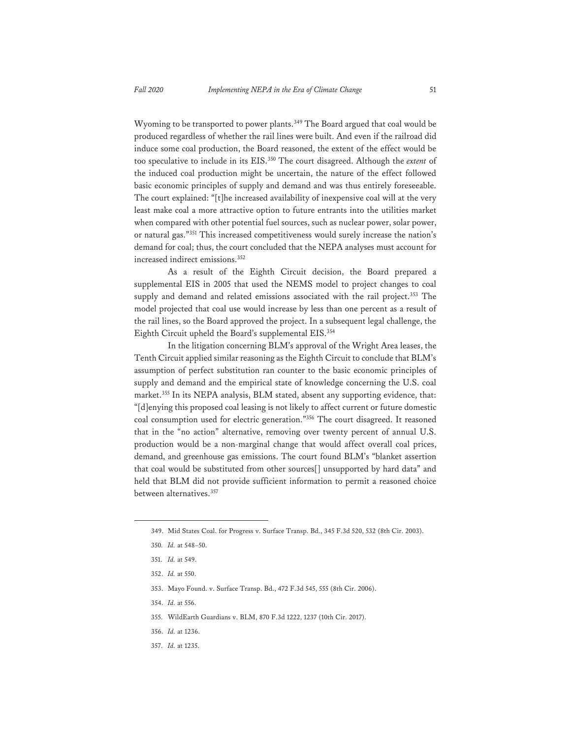Wyoming to be transported to power plants.<sup>349</sup> The Board argued that coal would be produced regardless of whether the rail lines were built. And even if the railroad did induce some coal production, the Board reasoned, the extent of the effect would be too speculative to include in its EIS.350 The court disagreed. Although the *extent* of the induced coal production might be uncertain, the nature of the effect followed basic economic principles of supply and demand and was thus entirely foreseeable. The court explained: "[t]he increased availability of inexpensive coal will at the very least make coal a more attractive option to future entrants into the utilities market when compared with other potential fuel sources, such as nuclear power, solar power, or natural gas."351 This increased competitiveness would surely increase the nation's demand for coal; thus, the court concluded that the NEPA analyses must account for increased indirect emissions.352

As a result of the Eighth Circuit decision, the Board prepared a supplemental EIS in 2005 that used the NEMS model to project changes to coal supply and demand and related emissions associated with the rail project.<sup>353</sup> The model projected that coal use would increase by less than one percent as a result of the rail lines, so the Board approved the project. In a subsequent legal challenge, the Eighth Circuit upheld the Board's supplemental EIS.<sup>354</sup>

In the litigation concerning BLM's approval of the Wright Area leases, the Tenth Circuit applied similar reasoning as the Eighth Circuit to conclude that BLM's assumption of perfect substitution ran counter to the basic economic principles of supply and demand and the empirical state of knowledge concerning the U.S. coal market.<sup>355</sup> In its NEPA analysis, BLM stated, absent any supporting evidence, that: "[d]enying this proposed coal leasing is not likely to affect current or future domestic coal consumption used for electric generation."356 The court disagreed. It reasoned that in the "no action" alternative, removing over twenty percent of annual U.S. production would be a non-marginal change that would affect overall coal prices, demand, and greenhouse gas emissions. The court found BLM's "blanket assertion that coal would be substituted from other sources[] unsupported by hard data" and held that BLM did not provide sufficient information to permit a reasoned choice between alternatives.357

- 353. Mayo Found. v. Surface Transp. Bd., 472 F.3d 545, 555 (8th Cir. 2006).
- 354. *Id.* at 556.
- 355. WildEarth Guardians v. BLM, 870 F.3d 1222, 1237 (10th Cir. 2017).
- 356. *Id.* at 1236.
- 357. *Id.* at 1235.

<sup>349.</sup> Mid States Coal. for Progress v. Surface Transp. Bd., 345 F.3d 520, 532 (8th Cir. 2003).

<sup>350</sup>*. Id.* at 548–50.

<sup>351.</sup> *Id.* at 549.

<sup>352.</sup> *Id.* at 550.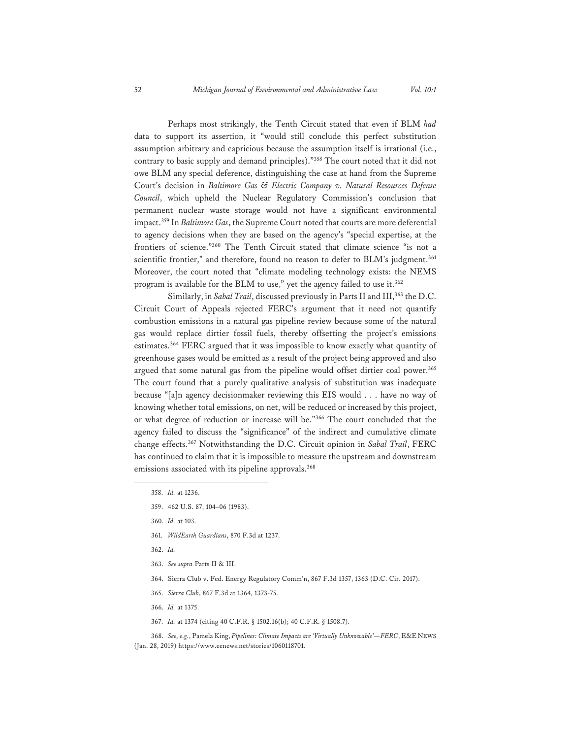Perhaps most strikingly, the Tenth Circuit stated that even if BLM *had* data to support its assertion, it "would still conclude this perfect substitution assumption arbitrary and capricious because the assumption itself is irrational (i.e., contrary to basic supply and demand principles)."358 The court noted that it did not owe BLM any special deference, distinguishing the case at hand from the Supreme Court's decision in *Baltimore Gas & Electric Company v. Natural Resources Defense Council*, which upheld the Nuclear Regulatory Commission's conclusion that permanent nuclear waste storage would not have a significant environmental impact.359 In *Baltimore Gas*, the Supreme Court noted that courts are more deferential to agency decisions when they are based on the agency's "special expertise, at the frontiers of science."360 The Tenth Circuit stated that climate science "is not a scientific frontier," and therefore, found no reason to defer to BLM's judgment.<sup>361</sup> Moreover, the court noted that "climate modeling technology exists: the NEMS program is available for the BLM to use," yet the agency failed to use it.362

Similarly, in *Sabal Trail*, discussed previously in Parts II and III,<sup>363</sup> the D.C. Circuit Court of Appeals rejected FERC's argument that it need not quantify combustion emissions in a natural gas pipeline review because some of the natural gas would replace dirtier fossil fuels, thereby offsetting the project's emissions estimates.<sup>364</sup> FERC argued that it was impossible to know exactly what quantity of greenhouse gases would be emitted as a result of the project being approved and also argued that some natural gas from the pipeline would offset dirtier coal power.<sup>365</sup> The court found that a purely qualitative analysis of substitution was inadequate because "[a]n agency decisionmaker reviewing this EIS would . . . have no way of knowing whether total emissions, on net, will be reduced or increased by this project, or what degree of reduction or increase will be."366 The court concluded that the agency failed to discuss the "significance" of the indirect and cumulative climate change effects.367 Notwithstanding the D.C. Circuit opinion in *Sabal Trail*, FERC has continued to claim that it is impossible to measure the upstream and downstream emissions associated with its pipeline approvals.<sup>368</sup>

- 361. *WildEarth Guardians*, 870 F.3d at 1237.
- 362. *Id.*
- 363. *See supra* Parts II & III.
- 364. Sierra Club v. Fed. Energy Regulatory Comm'n, 867 F.3d 1357, 1363 (D.C. Cir. 2017).
- 365. *Sierra Club*, 867 F.3d at 1364, 1373-75.
- 366. *Id.* at 1375.
- 367. *Id.* at 1374 (citing 40 C.F.R. § 1502.16(b); 40 C.F.R. § 1508.7).

368. *See, e.g.*, Pamela King, *Pipelines: Climate Impacts are 'Virtually Unknowable'—FERC*, E&E NEWS (Jan. 28, 2019) https://www.eenews.net/stories/1060118701.

<sup>358.</sup> *Id.* at 1236.

<sup>359. 462</sup> U.S. 87, 104–06 (1983).

<sup>360.</sup> *Id.* at 103.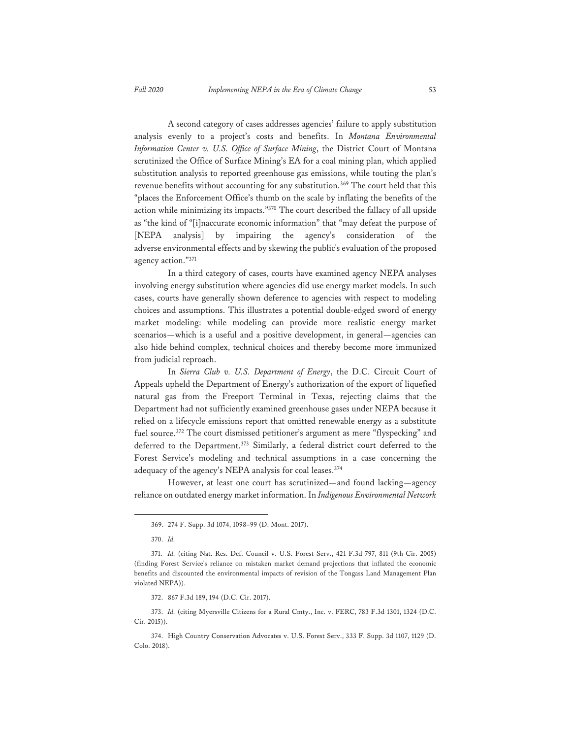A second category of cases addresses agencies' failure to apply substitution analysis evenly to a project's costs and benefits. In *Montana Environmental Information Center v. U.S. Office of Surface Mining*, the District Court of Montana scrutinized the Office of Surface Mining's EA for a coal mining plan, which applied substitution analysis to reported greenhouse gas emissions, while touting the plan's revenue benefits without accounting for any substitution.<sup>369</sup> The court held that this "places the Enforcement Office's thumb on the scale by inflating the benefits of the action while minimizing its impacts."370 The court described the fallacy of all upside as "the kind of "[i]naccurate economic information" that "may defeat the purpose of [NEPA analysis] by impairing the agency's consideration of the adverse environmental effects and by skewing the public's evaluation of the proposed agency action."371

In a third category of cases, courts have examined agency NEPA analyses involving energy substitution where agencies did use energy market models. In such cases, courts have generally shown deference to agencies with respect to modeling choices and assumptions. This illustrates a potential double-edged sword of energy market modeling: while modeling can provide more realistic energy market scenarios—which is a useful and a positive development, in general—agencies can also hide behind complex, technical choices and thereby become more immunized from judicial reproach.

In *Sierra Club v. U.S. Department of Energy*, the D.C. Circuit Court of Appeals upheld the Department of Energy's authorization of the export of liquefied natural gas from the Freeport Terminal in Texas, rejecting claims that the Department had not sufficiently examined greenhouse gases under NEPA because it relied on a lifecycle emissions report that omitted renewable energy as a substitute fuel source.<sup>372</sup> The court dismissed petitioner's argument as mere "flyspecking" and deferred to the Department.<sup>373</sup> Similarly, a federal district court deferred to the Forest Service's modeling and technical assumptions in a case concerning the adequacy of the agency's NEPA analysis for coal leases.<sup>374</sup>

 However, at least one court has scrutinized—and found lacking—agency reliance on outdated energy market information. In *Indigenous Environmental Network* 

<sup>369. 274</sup> F. Supp. 3d 1074, 1098–99 (D. Mont. 2017).

<sup>370.</sup> *Id.*

<sup>371.</sup> *Id.* (citing Nat. Res. Def. Council v. U.S. Forest Serv., 421 F.3d 797, 811 (9th Cir. 2005) (finding Forest Service's reliance on mistaken market demand projections that inflated the economic benefits and discounted the environmental impacts of revision of the Tongass Land Management Plan violated NEPA)).

<sup>372. 867</sup> F.3d 189, 194 (D.C. Cir. 2017).

<sup>373.</sup> *Id.* (citing Myersville Citizens for a Rural Cmty., Inc. v. FERC, 783 F.3d 1301, 1324 (D.C. Cir. 2015)).

<sup>374.</sup> High Country Conservation Advocates v. U.S. Forest Serv., 333 F. Supp. 3d 1107, 1129 (D. Colo. 2018).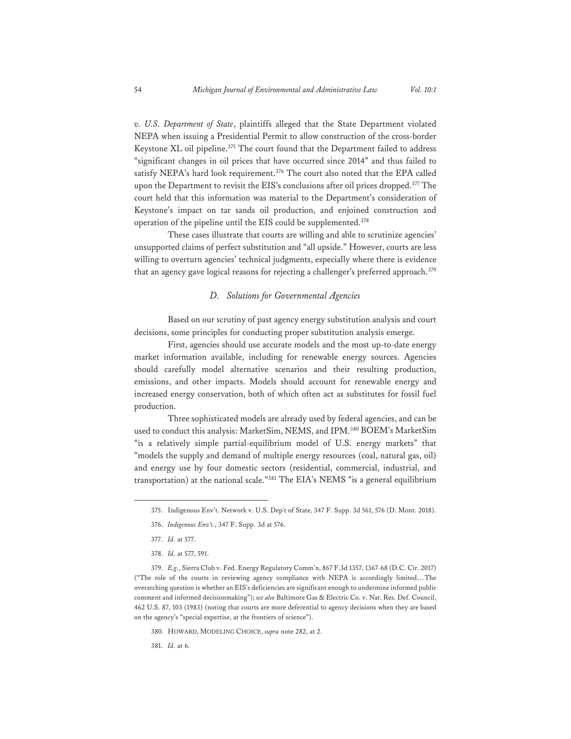*v. U.S. Department of State*, plaintiffs alleged that the State Department violated NEPA when issuing a Presidential Permit to allow construction of the cross-border Keystone XL oil pipeline.<sup>375</sup> The court found that the Department failed to address "significant changes in oil prices that have occurred since 2014" and thus failed to satisfy NEPA's hard look requirement.<sup>376</sup> The court also noted that the EPA called upon the Department to revisit the EIS's conclusions after oil prices dropped.<sup>377</sup> The court held that this information was material to the Department's consideration of Keystone's impact on tar sands oil production, and enjoined construction and operation of the pipeline until the EIS could be supplemented.378

 These cases illustrate that courts are willing and able to scrutinize agencies' unsupported claims of perfect substitution and "all upside." However, courts are less willing to overturn agencies' technical judgments, especially where there is evidence that an agency gave logical reasons for rejecting a challenger's preferred approach.<sup>379</sup>

#### *D. Solutions for Governmental Agencies*

Based on our scrutiny of past agency energy substitution analysis and court decisions, some principles for conducting proper substitution analysis emerge.

First, agencies should use accurate models and the most up-to-date energy market information available, including for renewable energy sources. Agencies should carefully model alternative scenarios and their resulting production, emissions, and other impacts. Models should account for renewable energy and increased energy conservation, both of which often act as substitutes for fossil fuel production.

Three sophisticated models are already used by federal agencies, and can be used to conduct this analysis: MarketSim, NEMS, and IPM.380 BOEM's MarketSim "is a relatively simple partial-equilibrium model of U.S. energy markets" that "models the supply and demand of multiple energy resources (coal, natural gas, oil) and energy use by four domestic sectors (residential, commercial, industrial, and transportation) at the national scale."<sup>381</sup> The EIA's NEMS "is a general equilibrium

377. *Id.* at 577.

380. HOWARD, MODELING CHOICE, *supra* note 282, at 2.

381. *Id.* at 6.

<sup>375.</sup> Indigenous Env't. Network v. U.S. Dep't of State, 347 F. Supp. 3d 561, 576 (D. Mont. 2018).

<sup>376.</sup> *Indigenous Env't.*, 347 F. Supp. 3d at 576.

<sup>378.</sup> *Id.* at 577, 591.

<sup>379.</sup> *E.g.*, Sierra Club v. Fed. Energy Regulatory Comm'n, 867 F.3d 1357, 1367-68 (D.C. Cir. 2017) ("The role of the courts in reviewing agency compliance with NEPA is accordingly limited…The overarching question is whether an EIS's deficiencies are significant enough to undermine informed public comment and informed decisionmaking"); *see also* Baltimore Gas & Electric Co. v. Nat. Res. Def. Council, 462 U.S. 87, 103 (1983) (noting that courts are more deferential to agency decisions when they are based on the agency's "special expertise, at the frontiers of science").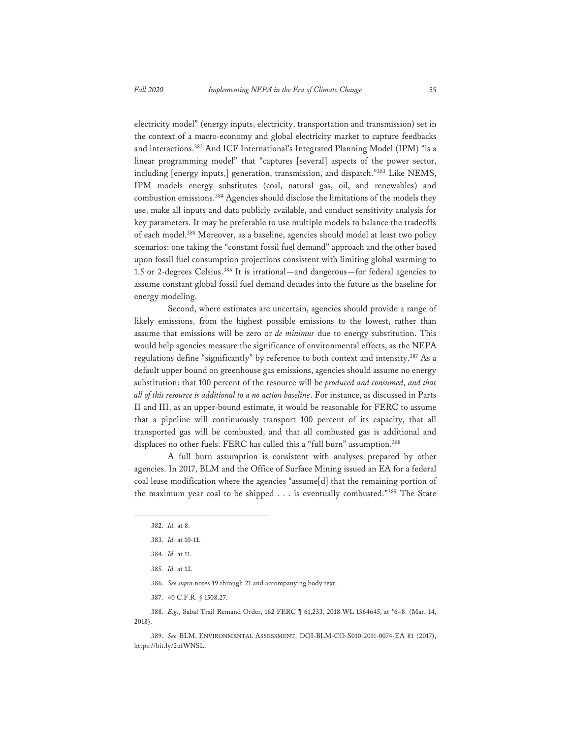electricity model" (energy inputs, electricity, transportation and transmission) set in the context of a macro-economy and global electricity market to capture feedbacks and interactions.382 And ICF International's Integrated Planning Model (IPM) "is a linear programming model" that "captures [several] aspects of the power sector, including [energy inputs,] generation, transmission, and dispatch."383 Like NEMS, IPM models energy substitutes (coal, natural gas, oil, and renewables) and combustion emissions.384 Agencies should disclose the limitations of the models they use, make all inputs and data publicly available, and conduct sensitivity analysis for key parameters. It may be preferable to use multiple models to balance the tradeoffs of each model.385 Moreover, as a baseline, agencies should model at least two policy scenarios: one taking the "constant fossil fuel demand" approach and the other based upon fossil fuel consumption projections consistent with limiting global warming to 1.5 or 2-degrees Celsius.<sup>386</sup> It is irrational—and dangerous—for federal agencies to assume constant global fossil fuel demand decades into the future as the baseline for energy modeling.

Second, where estimates are uncertain, agencies should provide a range of likely emissions, from the highest possible emissions to the lowest, rather than assume that emissions will be zero or *de minimus* due to energy substitution. This would help agencies measure the significance of environmental effects, as the NEPA regulations define "significantly" by reference to both context and intensity.387 As a default upper bound on greenhouse gas emissions, agencies should assume no energy substitution: that 100 percent of the resource will be *produced and consumed, and that all of this resource is additional to a no action baseline*. For instance, as discussed in Parts II and III, as an upper-bound estimate, it would be reasonable for FERC to assume that a pipeline will continuously transport 100 percent of its capacity, that all transported gas will be combusted, and that all combusted gas is additional and displaces no other fuels. FERC has called this a "full burn" assumption.<sup>388</sup>

A full burn assumption is consistent with analyses prepared by other agencies. In 2017, BLM and the Office of Surface Mining issued an EA for a federal coal lease modification where the agencies "assume[d] that the remaining portion of the maximum year coal to be shipped . . . is eventually combusted."389 The State

387. 40 C.F.R. § 1508.27.

388. *E.g.*, Sabal Trail Remand Order, 162 FERC ¶ 61,233, 2018 WL 1364645, at \*6–8. (Mar. 14, 2018).

389. *See* BLM, ENVIRONMENTAL ASSESSMENT, DOI-BLM-CO-S010-2011-0074-EA 81 (2017), https://bit.ly/2ufWNSL.

<sup>382.</sup> *Id.* at 8.

<sup>383.</sup> *Id.* at 10-11.

<sup>384.</sup> *Id.* at 11.

<sup>385.</sup> *Id.* at 12.

<sup>386.</sup> *See supra* notes 19 through 21 and accompanying body text.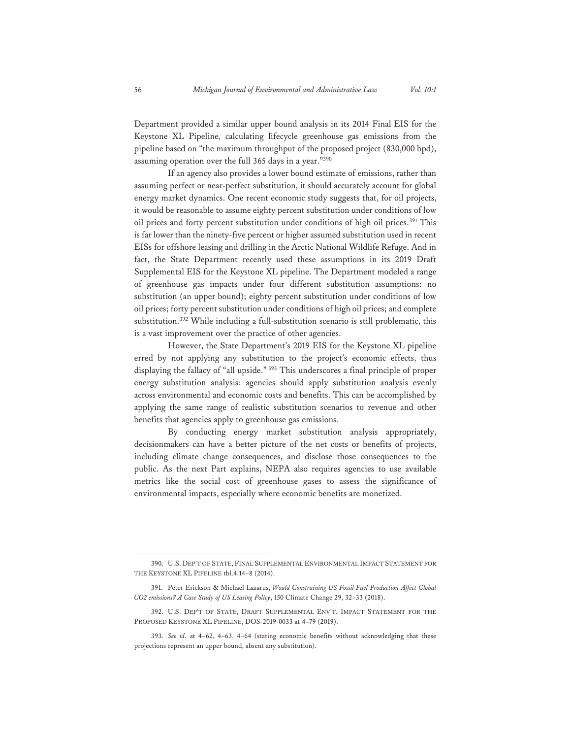Department provided a similar upper bound analysis in its 2014 Final EIS for the Keystone XL Pipeline, calculating lifecycle greenhouse gas emissions from the pipeline based on "the maximum throughput of the proposed project (830,000 bpd), assuming operation over the full 365 days in a year."390

If an agency also provides a lower bound estimate of emissions, rather than assuming perfect or near-perfect substitution, it should accurately account for global energy market dynamics. One recent economic study suggests that, for oil projects, it would be reasonable to assume eighty percent substitution under conditions of low oil prices and forty percent substitution under conditions of high oil prices.<sup>391</sup> This is far lower than the ninety-five percent or higher assumed substitution used in recent EISs for offshore leasing and drilling in the Arctic National Wildlife Refuge. And in fact, the State Department recently used these assumptions in its 2019 Draft Supplemental EIS for the Keystone XL pipeline. The Department modeled a range of greenhouse gas impacts under four different substitution assumptions: no substitution (an upper bound); eighty percent substitution under conditions of low oil prices; forty percent substitution under conditions of high oil prices; and complete substitution.392 While including a full-substitution scenario is still problematic, this is a vast improvement over the practice of other agencies.

However, the State Department's 2019 EIS for the Keystone XL pipeline erred by not applying any substitution to the project's economic effects, thus displaying the fallacy of "all upside." 393 This underscores a final principle of proper energy substitution analysis: agencies should apply substitution analysis evenly across environmental and economic costs and benefits. This can be accomplished by applying the same range of realistic substitution scenarios to revenue and other benefits that agencies apply to greenhouse gas emissions.

By conducting energy market substitution analysis appropriately, decisionmakers can have a better picture of the net costs or benefits of projects, including climate change consequences, and disclose those consequences to the public. As the next Part explains, NEPA also requires agencies to use available metrics like the social cost of greenhouse gases to assess the significance of environmental impacts, especially where economic benefits are monetized.

<sup>390.</sup> U.S. DEP'T OF STATE, FINAL SUPPLEMENTAL ENVIRONMENTAL IMPACT STATEMENT FOR THE KEYSTONE XL PIPELINE tbl.4.14–8 (2014).

<sup>391.</sup> Peter Erickson & Michael Lazarus, *Would Constraining US Fossil Fuel Production Affect Global CO2 emissions? A Case Study of US Leasing Policy*, 150 Climate Change 29, 32–33 (2018).

<sup>392.</sup> U.S. DEP'T OF STATE, DRAFT SUPPLEMENTAL ENV'T. IMPACT STATEMENT FOR THE PROPOSED KEYSTONE XL PIPELINE, DOS-2019-0033 at 4–79 (2019).

<sup>393.</sup> *See id.* at 4–62, 4–63, 4–64 (stating economic benefits without acknowledging that these projections represent an upper bound, absent any substitution).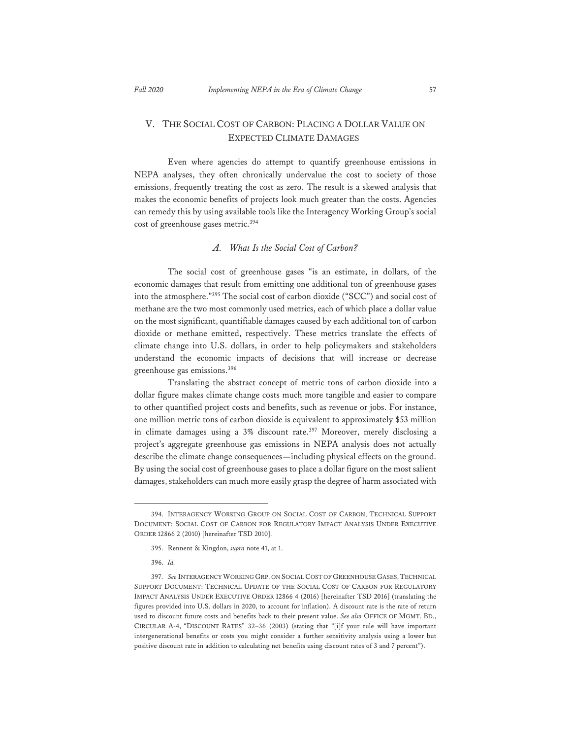# V. THE SOCIAL COST OF CARBON: PLACING A DOLLAR VALUE ON EXPECTED CLIMATE DAMAGES

Even where agencies do attempt to quantify greenhouse emissions in NEPA analyses, they often chronically undervalue the cost to society of those emissions, frequently treating the cost as zero. The result is a skewed analysis that makes the economic benefits of projects look much greater than the costs. Agencies can remedy this by using available tools like the Interagency Working Group's social cost of greenhouse gases metric.<sup>394</sup>

# *A. What Is the Social Cost of Carbon?*

The social cost of greenhouse gases "is an estimate, in dollars, of the economic damages that result from emitting one additional ton of greenhouse gases into the atmosphere."395 The social cost of carbon dioxide ("SCC") and social cost of methane are the two most commonly used metrics, each of which place a dollar value on the most significant, quantifiable damages caused by each additional ton of carbon dioxide or methane emitted, respectively. These metrics translate the effects of climate change into U.S. dollars, in order to help policymakers and stakeholders understand the economic impacts of decisions that will increase or decrease greenhouse gas emissions.396

Translating the abstract concept of metric tons of carbon dioxide into a dollar figure makes climate change costs much more tangible and easier to compare to other quantified project costs and benefits, such as revenue or jobs. For instance, one million metric tons of carbon dioxide is equivalent to approximately \$53 million in climate damages using a 3% discount rate.<sup>397</sup> Moreover, merely disclosing a project's aggregate greenhouse gas emissions in NEPA analysis does not actually describe the climate change consequences—including physical effects on the ground. By using the social cost of greenhouse gases to place a dollar figure on the most salient damages, stakeholders can much more easily grasp the degree of harm associated with

<sup>394.</sup> INTERAGENCY WORKING GROUP ON SOCIAL COST OF CARBON, TECHNICAL SUPPORT DOCUMENT: SOCIAL COST OF CARBON FOR REGULATORY IMPACT ANALYSIS UNDER EXECUTIVE ORDER 12866 2 (2010) [hereinafter TSD 2010].

<sup>395.</sup> Rennent & Kingdon, *supra* note 41, at 1.

<sup>396.</sup> *Id.*

<sup>397.</sup> *See* INTERAGENCY WORKING GRP. ON SOCIAL COST OF GREENHOUSE GASES,TECHNICAL SUPPORT DOCUMENT: TECHNICAL UPDATE OF THE SOCIAL COST OF CARBON FOR REGULATORY IMPACT ANALYSIS UNDER EXECUTIVE ORDER 12866 4 (2016) [hereinafter TSD 2016] (translating the figures provided into U.S. dollars in 2020, to account for inflation). A discount rate is the rate of return used to discount future costs and benefits back to their present value. *See also* OFFICE OF MGMT. BD., CIRCULAR A-4, "DISCOUNT RATES" 32–36 (2003**)** (stating that "[i]f your rule will have important intergenerational benefits or costs you might consider a further sensitivity analysis using a lower but positive discount rate in addition to calculating net benefits using discount rates of 3 and 7 percent").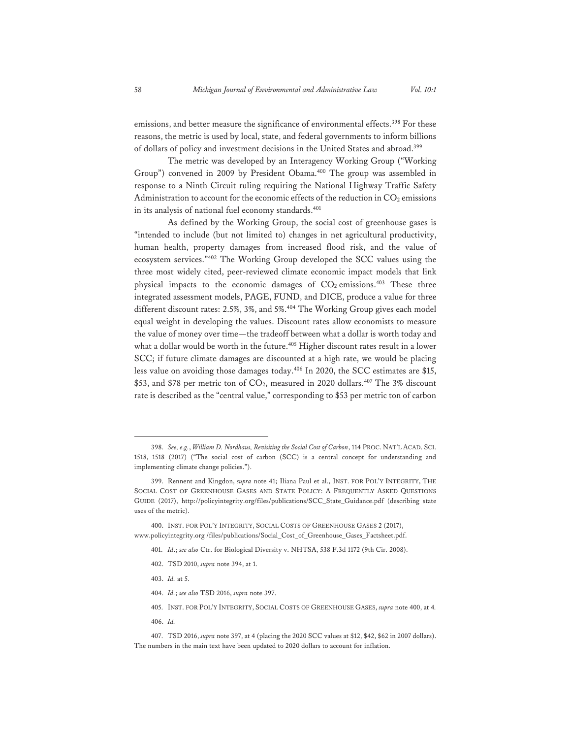emissions, and better measure the significance of environmental effects.<sup>398</sup> For these reasons, the metric is used by local, state, and federal governments to inform billions of dollars of policy and investment decisions in the United States and abroad.399

The metric was developed by an Interagency Working Group ("Working Group") convened in 2009 by President Obama.<sup>400</sup> The group was assembled in response to a Ninth Circuit ruling requiring the National Highway Traffic Safety Administration to account for the economic effects of the reduction in  $CO<sub>2</sub>$  emissions in its analysis of national fuel economy standards.<sup>401</sup>

As defined by the Working Group, the social cost of greenhouse gases is "intended to include (but not limited to) changes in net agricultural productivity, human health, property damages from increased flood risk, and the value of ecosystem services."402 The Working Group developed the SCC values using the three most widely cited, peer-reviewed climate economic impact models that link physical impacts to the economic damages of  $CO_2$  emissions.<sup>403</sup> These three integrated assessment models, PAGE, FUND, and DICE, produce a value for three different discount rates: 2.5%, 3%, and 5%.<sup>404</sup> The Working Group gives each model equal weight in developing the values. Discount rates allow economists to measure the value of money over time—the tradeoff between what a dollar is worth today and what a dollar would be worth in the future.<sup>405</sup> Higher discount rates result in a lower SCC; if future climate damages are discounted at a high rate, we would be placing less value on avoiding those damages today.406 In 2020, the SCC estimates are \$15, \$53, and \$78 per metric ton of  $CO<sub>2</sub>$ , measured in 2020 dollars.<sup>407</sup> The 3% discount rate is described as the "central value," corresponding to \$53 per metric ton of carbon

- 402. TSD 2010, *supra* note 394, at 1.
- 403. *Id.* at 5.
- 404. *Id.*; *see also* TSD 2016, *supra* note 397.
- 405. INST. FOR POL'Y INTEGRITY, SOCIAL COSTS OF GREENHOUSE GASES, *supra* note 400, at 4*.*
- 406. *Id.*

<sup>398.</sup> *See, e.g.*, *William D. Nordhaus, Revisiting the Social Cost of Carbon*, 114 PROC. NAT'L ACAD. SCI. 1518, 1518 (2017) ("The social cost of carbon (SCC) is a central concept for understanding and implementing climate change policies.").

<sup>399.</sup> Rennent and Kingdon, *supra* note 41; Iliana Paul et al., INST. FOR POL'Y INTEGRITY, THE SOCIAL COST OF GREENHOUSE GASES AND STATE POLICY: A FREQUENTLY ASKED QUESTIONS GUIDE (2017), http://policyintegrity.org/files/publications/SCC\_State\_Guidance.pdf (describing state uses of the metric).

<sup>400.</sup> INST. FOR POL'Y INTEGRITY, SOCIAL COSTS OF GREENHOUSE GASES 2 (2017), www.policyintegrity.org /files/publications/Social\_Cost\_of\_Greenhouse\_Gases\_Factsheet.pdf.

<sup>401.</sup> *Id*.; *see also* Ctr. for Biological Diversity v. NHTSA, 538 F.3d 1172 (9th Cir. 2008).

<sup>407.</sup> TSD 2016, *supra* note 397, at 4 (placing the 2020 SCC values at \$12, \$42, \$62 in 2007 dollars). The numbers in the main text have been updated to 2020 dollars to account for inflation.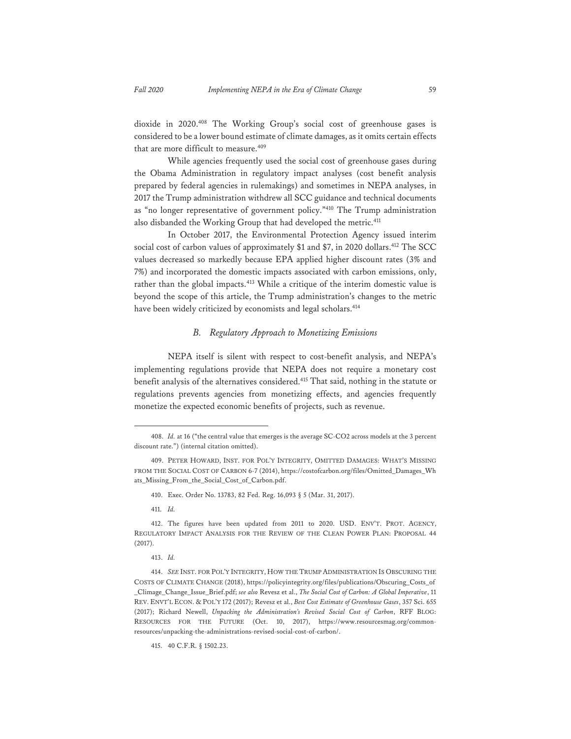dioxide in 2020.408 The Working Group's social cost of greenhouse gases is considered to be a lower bound estimate of climate damages, as it omits certain effects that are more difficult to measure.<sup>409</sup>

While agencies frequently used the social cost of greenhouse gases during the Obama Administration in regulatory impact analyses (cost benefit analysis prepared by federal agencies in rulemakings) and sometimes in NEPA analyses, in 2017 the Trump administration withdrew all SCC guidance and technical documents as "no longer representative of government policy."410 The Trump administration also disbanded the Working Group that had developed the metric.<sup>411</sup>

In October 2017, the Environmental Protection Agency issued interim social cost of carbon values of approximately \$1 and \$7, in 2020 dollars.<sup>412</sup> The SCC values decreased so markedly because EPA applied higher discount rates (3% and 7%) and incorporated the domestic impacts associated with carbon emissions, only, rather than the global impacts.<sup>413</sup> While a critique of the interim domestic value is beyond the scope of this article, the Trump administration's changes to the metric have been widely criticized by economists and legal scholars.<sup>414</sup>

# *B. Regulatory Approach to Monetizing Emissions*

NEPA itself is silent with respect to cost-benefit analysis, and NEPA's implementing regulations provide that NEPA does not require a monetary cost benefit analysis of the alternatives considered.415 That said, nothing in the statute or regulations prevents agencies from monetizing effects, and agencies frequently monetize the expected economic benefits of projects, such as revenue.

411. *Id.* 

<sup>408.</sup> *Id.* at 16 ("the central value that emerges is the average SC-CO2 across models at the 3 percent discount rate.") (internal citation omitted).

<sup>409.</sup> PETER HOWARD, INST. FOR POL'Y INTEGRITY, OMITTED DAMAGES: WHAT'S MISSING FROM THE SOCIAL COST OF CARBON 6-7 (2014), https://costofcarbon.org/files/Omitted\_Damages\_Wh ats\_Missing\_From\_the\_Social\_Cost\_of\_Carbon.pdf.

<sup>410.</sup> Exec. Order No. 13783, 82 Fed. Reg. 16,093 § 5 (Mar. 31, 2017).

<sup>412.</sup> The figures have been updated from 2011 to 2020. USD. ENV'T. PROT. AGENCY, REGULATORY IMPACT ANALYSIS FOR THE REVIEW OF THE CLEAN POWER PLAN: PROPOSAL 44 (2017).

<sup>413.</sup> *Id.*

<sup>414.</sup> *SEE* INST. FOR POL'Y INTEGRITY, HOW THE TRUMP ADMINISTRATION IS OBSCURING THE COSTS OF CLIMATE CHANGE (2018), https://policyintegrity.org/files/publications/Obscuring\_Costs\_of \_Climage\_Change\_Issue\_Brief.pdf; *see also* Revesz et al., *The Social Cost of Carbon: A Global Imperative*, 11 REV. ENVT'L ECON. & POL'Y 172 (2017); Revesz et al., *Best Cost Estimate of Greenhouse Gases*, 357 Sci. 655 (2017); Richard Newell, *Unpacking the Administration's Revised Social Cost of Carbon*, RFF BLOG: RESOURCES FOR THE FUTURE (Oct. 10, 2017), https://www.resourcesmag.org/commonresources/unpacking-the-administrations-revised-social-cost-of-carbon/.

<sup>415. 40</sup> C.F.R. § 1502.23.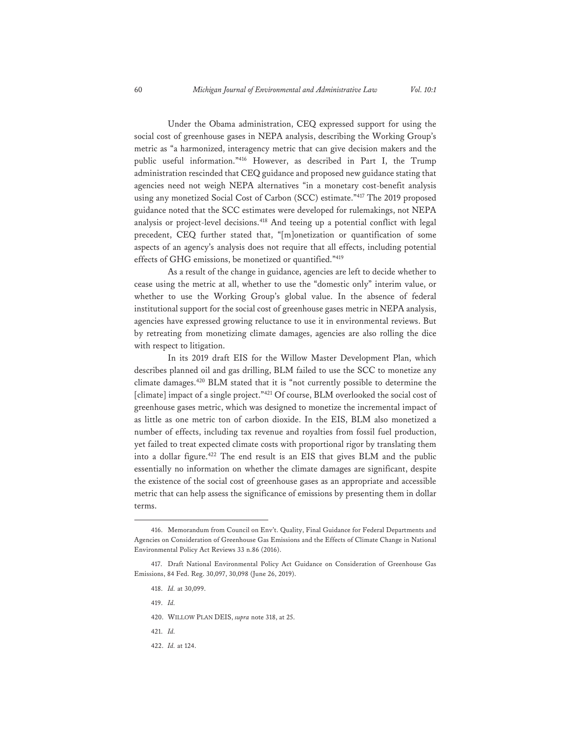Under the Obama administration, CEQ expressed support for using the social cost of greenhouse gases in NEPA analysis, describing the Working Group's metric as "a harmonized, interagency metric that can give decision makers and the public useful information."416 However, as described in Part I, the Trump administration rescinded that CEQ guidance and proposed new guidance stating that agencies need not weigh NEPA alternatives "in a monetary cost-benefit analysis using any monetized Social Cost of Carbon (SCC) estimate."417 The 2019 proposed guidance noted that the SCC estimates were developed for rulemakings, not NEPA analysis or project-level decisions.418 And teeing up a potential conflict with legal precedent, CEQ further stated that, "[m]onetization or quantification of some aspects of an agency's analysis does not require that all effects, including potential effects of GHG emissions, be monetized or quantified."419

As a result of the change in guidance, agencies are left to decide whether to cease using the metric at all, whether to use the "domestic only" interim value, or whether to use the Working Group's global value. In the absence of federal institutional support for the social cost of greenhouse gases metric in NEPA analysis, agencies have expressed growing reluctance to use it in environmental reviews. But by retreating from monetizing climate damages, agencies are also rolling the dice with respect to litigation.

In its 2019 draft EIS for the Willow Master Development Plan, which describes planned oil and gas drilling, BLM failed to use the SCC to monetize any climate damages.420 BLM stated that it is "not currently possible to determine the [climate] impact of a single project."421 Of course, BLM overlooked the social cost of greenhouse gases metric, which was designed to monetize the incremental impact of as little as one metric ton of carbon dioxide. In the EIS, BLM also monetized a number of effects, including tax revenue and royalties from fossil fuel production, yet failed to treat expected climate costs with proportional rigor by translating them into a dollar figure.<sup>422</sup> The end result is an EIS that gives BLM and the public essentially no information on whether the climate damages are significant, despite the existence of the social cost of greenhouse gases as an appropriate and accessible metric that can help assess the significance of emissions by presenting them in dollar terms.

- 419. *Id.*
- 420. WILLOW PLAN DEIS, *supra* note 318, at 25.
- 421. *Id.*
- 422. *Id.* at 124.

<sup>416.</sup> Memorandum from Council on Env't. Quality, Final Guidance for Federal Departments and Agencies on Consideration of Greenhouse Gas Emissions and the Effects of Climate Change in National Environmental Policy Act Reviews 33 n.86 (2016).

<sup>417.</sup> Draft National Environmental Policy Act Guidance on Consideration of Greenhouse Gas Emissions, 84 Fed. Reg. 30,097, 30,098 (June 26, 2019).

<sup>418.</sup> *Id.* at 30,099.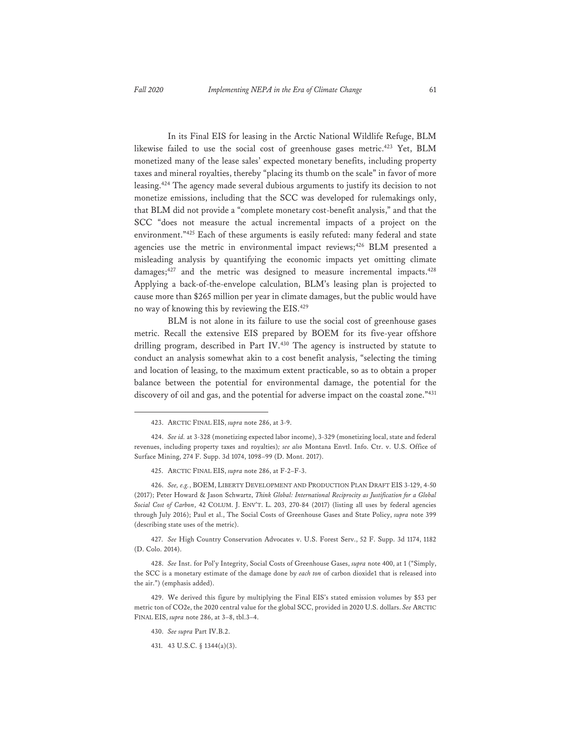In its Final EIS for leasing in the Arctic National Wildlife Refuge, BLM likewise failed to use the social cost of greenhouse gases metric.<sup>423</sup> Yet, BLM monetized many of the lease sales' expected monetary benefits, including property taxes and mineral royalties, thereby "placing its thumb on the scale" in favor of more leasing.424 The agency made several dubious arguments to justify its decision to not monetize emissions, including that the SCC was developed for rulemakings only, that BLM did not provide a "complete monetary cost-benefit analysis," and that the SCC "does not measure the actual incremental impacts of a project on the environment."425 Each of these arguments is easily refuted: many federal and state agencies use the metric in environmental impact reviews;<sup>426</sup> BLM presented a misleading analysis by quantifying the economic impacts yet omitting climate damages;<sup>427</sup> and the metric was designed to measure incremental impacts.<sup>428</sup> Applying a back-of-the-envelope calculation, BLM's leasing plan is projected to cause more than \$265 million per year in climate damages, but the public would have no way of knowing this by reviewing the EIS.429

BLM is not alone in its failure to use the social cost of greenhouse gases metric. Recall the extensive EIS prepared by BOEM for its five-year offshore drilling program, described in Part IV.<sup>430</sup> The agency is instructed by statute to conduct an analysis somewhat akin to a cost benefit analysis, "selecting the timing and location of leasing, to the maximum extent practicable, so as to obtain a proper balance between the potential for environmental damage, the potential for the discovery of oil and gas, and the potential for adverse impact on the coastal zone."<sup>431</sup>

427. *See* High Country Conservation Advocates v. U.S. Forest Serv., 52 F. Supp. 3d 1174, 1182 (D. Colo. 2014).

428. *See* Inst. for Pol'y Integrity, Social Costs of Greenhouse Gases, *supra* note 400, at 1 ("Simply, the SCC is a monetary estimate of the damage done by *each ton* of carbon dioxide1 that is released into the air.") (emphasis added).

429. We derived this figure by multiplying the Final EIS's stated emission volumes by \$53 per metric ton of CO2e, the 2020 central value for the global SCC, provided in 2020 U.S. dollars. *See* ARCTIC FINAL EIS, *supra* note 286, at 3–8, tbl.3–4.

<sup>423.</sup> ARCTIC FINAL EIS, *supra* note 286, at 3-9.

<sup>424.</sup> *See id.* at 3-328 (monetizing expected labor income), 3-329 (monetizing local, state and federal revenues, including property taxes and royalties)*; see also* Montana Envtl. Info. Ctr. v. U.S. Office of Surface Mining, 274 F. Supp. 3d 1074, 1098–99 (D. Mont. 2017).

<sup>425.</sup> ARCTIC FINAL EIS, *supra* note 286, at F-2–F-3.

<sup>426.</sup> *See, e.g.*, BOEM, LIBERTY DEVELOPMENT AND PRODUCTION PLAN DRAFT EIS 3-129, 4-50 (2017); Peter Howard & Jason Schwartz, *Think Global: International Reciprocity as Justification for a Global Social Cost of Carbon*, 42 COLUM. J. ENV'T. L. 203, 270-84 (2017) (listing all uses by federal agencies through July 2016); Paul et al., The Social Costs of Greenhouse Gases and State Policy, *supra* note 399 (describing state uses of the metric).

<sup>430.</sup> *See supra* Part IV.B.2.

<sup>431. 43</sup> U.S.C. § 1344(a)(3).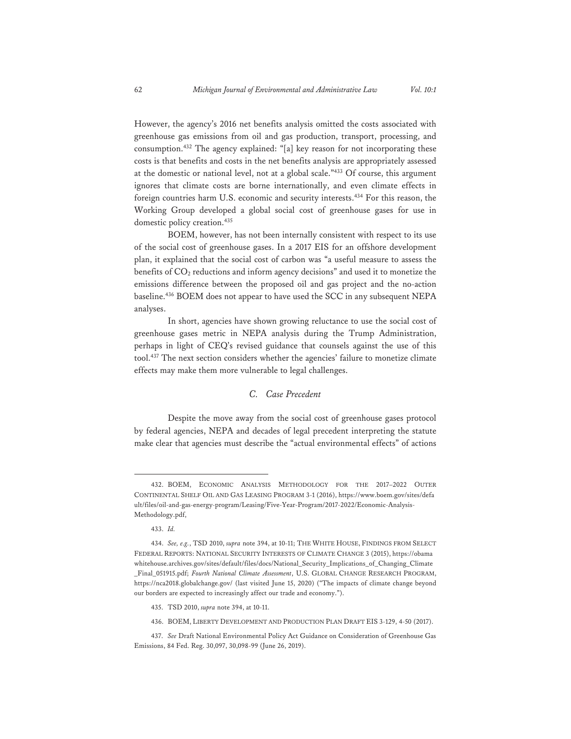However, the agency's 2016 net benefits analysis omitted the costs associated with greenhouse gas emissions from oil and gas production, transport, processing, and consumption.432 The agency explained: "[a] key reason for not incorporating these costs is that benefits and costs in the net benefits analysis are appropriately assessed at the domestic or national level, not at a global scale."433 Of course, this argument ignores that climate costs are borne internationally, and even climate effects in foreign countries harm U.S. economic and security interests.434 For this reason, the Working Group developed a global social cost of greenhouse gases for use in domestic policy creation.<sup>435</sup>

BOEM, however, has not been internally consistent with respect to its use of the social cost of greenhouse gases. In a 2017 EIS for an offshore development plan, it explained that the social cost of carbon was "a useful measure to assess the benefits of CO2 reductions and inform agency decisions" and used it to monetize the emissions difference between the proposed oil and gas project and the no-action baseline.436 BOEM does not appear to have used the SCC in any subsequent NEPA analyses.

In short, agencies have shown growing reluctance to use the social cost of greenhouse gases metric in NEPA analysis during the Trump Administration, perhaps in light of CEQ's revised guidance that counsels against the use of this tool.437 The next section considers whether the agencies' failure to monetize climate effects may make them more vulnerable to legal challenges.

# *C. Case Precedent*

Despite the move away from the social cost of greenhouse gases protocol by federal agencies, NEPA and decades of legal precedent interpreting the statute make clear that agencies must describe the "actual environmental effects" of actions

<sup>432.</sup> BOEM, ECONOMIC ANALYSIS METHODOLOGY FOR THE 2017–2022 OUTER CONTINENTAL SHELF OIL AND GAS LEASING PROGRAM 3-1 (2016), https://www.boem.gov/sites/defa ult/files/oil-and-gas-energy-program/Leasing/Five-Year-Program/2017-2022/Economic-Analysis-Methodology.pdf,

<sup>433.</sup> *Id.*

<sup>434.</sup> *See, e.g.*, TSD 2010, *supra* note 394, at 10-11; THE WHITE HOUSE, FINDINGS FROM SELECT FEDERAL REPORTS: NATIONAL SECURITY INTERESTS OF CLIMATE CHANGE 3 (2015), https://obama whitehouse.archives.gov/sites/default/files/docs/National\_Security\_Implications\_of\_Changing\_Climate \_Final\_051915.pdf; *Fourth National Climate Assessment*, U.S. GLOBAL CHANGE RESEARCH PROGRAM, https://nca2018.globalchange.gov/ (last visited June 15, 2020) ("The impacts of climate change beyond our borders are expected to increasingly affect our trade and economy.").

<sup>435.</sup> TSD 2010, *supra* note 394, at 10-11.

<sup>436.</sup> BOEM, LIBERTY DEVELOPMENT AND PRODUCTION PLAN DRAFT EIS 3-129, 4-50 (2017).

<sup>437.</sup> *See* Draft National Environmental Policy Act Guidance on Consideration of Greenhouse Gas Emissions, 84 Fed. Reg. 30,097, 30,098-99 (June 26, 2019).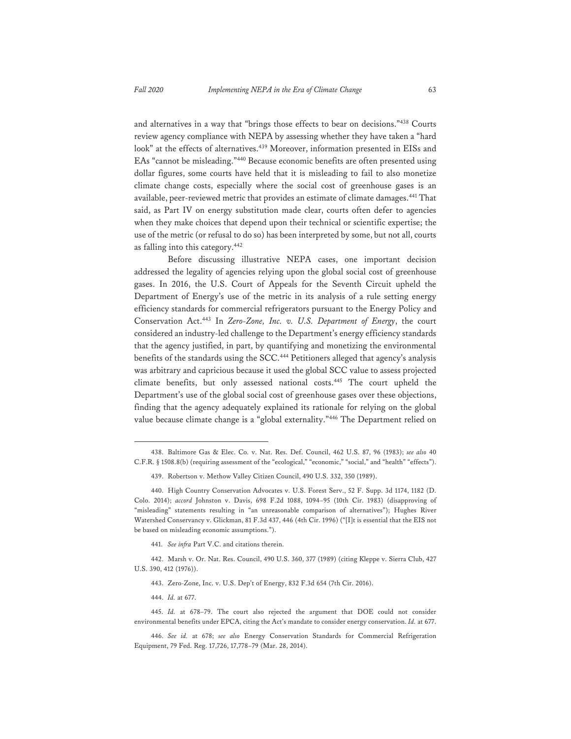and alternatives in a way that "brings those effects to bear on decisions."438 Courts review agency compliance with NEPA by assessing whether they have taken a "hard look" at the effects of alternatives.<sup>439</sup> Moreover, information presented in EISs and EAs "cannot be misleading."440 Because economic benefits are often presented using dollar figures, some courts have held that it is misleading to fail to also monetize climate change costs, especially where the social cost of greenhouse gases is an available, peer-reviewed metric that provides an estimate of climate damages.441 That said, as Part IV on energy substitution made clear, courts often defer to agencies when they make choices that depend upon their technical or scientific expertise; the use of the metric (or refusal to do so) has been interpreted by some, but not all, courts as falling into this category.442

Before discussing illustrative NEPA cases, one important decision addressed the legality of agencies relying upon the global social cost of greenhouse gases. In 2016, the U.S. Court of Appeals for the Seventh Circuit upheld the Department of Energy's use of the metric in its analysis of a rule setting energy efficiency standards for commercial refrigerators pursuant to the Energy Policy and Conservation Act.443 In *Zero-Zone, Inc. v. U.S. Department of Energy*, the court considered an industry-led challenge to the Department's energy efficiency standards that the agency justified, in part, by quantifying and monetizing the environmental benefits of the standards using the SCC.<sup>444</sup> Petitioners alleged that agency's analysis was arbitrary and capricious because it used the global SCC value to assess projected climate benefits, but only assessed national costs.445 The court upheld the Department's use of the global social cost of greenhouse gases over these objections, finding that the agency adequately explained its rationale for relying on the global value because climate change is a "global externality."446 The Department relied on

<sup>438.</sup> Baltimore Gas & Elec. Co. v. Nat. Res. Def. Council, 462 U.S. 87, 96 (1983); *see also* 40 C.F.R. § 1508.8(b) (requiring assessment of the "ecological," "economic," "social," and "health" "effects").

<sup>439.</sup> Robertson v. Methow Valley Citizen Council, 490 U.S. 332, 350 (1989).

<sup>440.</sup> High Country Conservation Advocates v. U.S. Forest Serv., 52 F. Supp. 3d 1174, 1182 (D. Colo. 2014); *accord* Johnston v. Davis, 698 F.2d 1088, 1094–95 (10th Cir. 1983) (disapproving of "misleading" statements resulting in "an unreasonable comparison of alternatives"); Hughes River Watershed Conservancy v. Glickman, 81 F.3d 437, 446 (4th Cir. 1996) ("[I]t is essential that the EIS not be based on misleading economic assumptions.").

<sup>441.</sup> *See infra* Part V.C. and citations therein.

<sup>442.</sup> Marsh v. Or. Nat. Res. Council, 490 U.S. 360, 377 (1989) (citing Kleppe v. Sierra Club, 427 U.S. 390, 412 (1976)).

<sup>443.</sup> Zero-Zone, Inc. v. U.S. Dep't of Energy, 832 F.3d 654 (7th Cir. 2016).

<sup>444.</sup> *Id.* at 677.

<sup>445.</sup> *Id.* at 678–79. The court also rejected the argument that DOE could not consider environmental benefits under EPCA, citing the Act's mandate to consider energy conservation. *Id.* at 677.

<sup>446.</sup> *See id.* at 678; *see also* Energy Conservation Standards for Commercial Refrigeration Equipment, 79 Fed. Reg. 17,726, 17,778–79 (Mar. 28, 2014).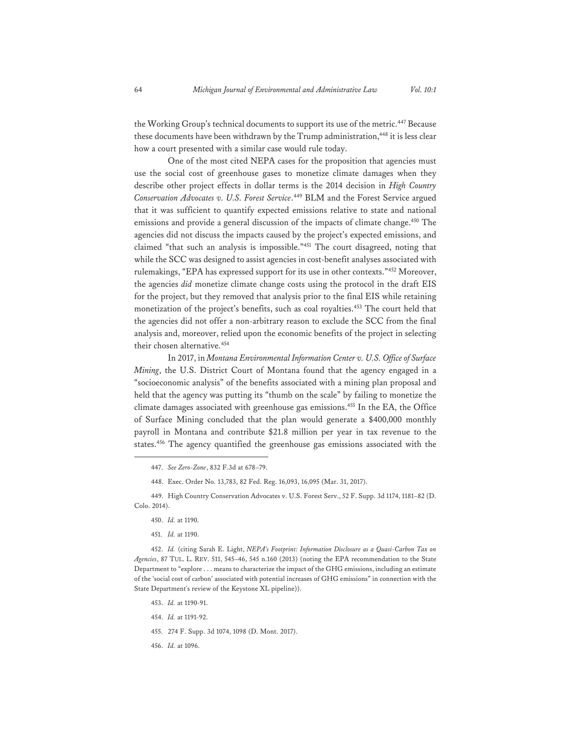the Working Group's technical documents to support its use of the metric.<sup>447</sup> Because these documents have been withdrawn by the Trump administration,<sup>448</sup> it is less clear how a court presented with a similar case would rule today.

One of the most cited NEPA cases for the proposition that agencies must use the social cost of greenhouse gases to monetize climate damages when they describe other project effects in dollar terms is the 2014 decision in *High Country Conservation Advocates v. U.S. Forest Service*. 449 BLM and the Forest Service argued that it was sufficient to quantify expected emissions relative to state and national emissions and provide a general discussion of the impacts of climate change.<sup>450</sup> The agencies did not discuss the impacts caused by the project's expected emissions, and claimed "that such an analysis is impossible."451 The court disagreed, noting that while the SCC was designed to assist agencies in cost-benefit analyses associated with rulemakings, "EPA has expressed support for its use in other contexts."452 Moreover, the agencies *did* monetize climate change costs using the protocol in the draft EIS for the project, but they removed that analysis prior to the final EIS while retaining monetization of the project's benefits, such as coal royalties.453 The court held that the agencies did not offer a non-arbitrary reason to exclude the SCC from the final analysis and, moreover, relied upon the economic benefits of the project in selecting their chosen alternative.<sup>454</sup>

In 2017, in *Montana Environmental Information Center v. U.S. Office of Surface Mining*, the U.S. District Court of Montana found that the agency engaged in a "socioeconomic analysis" of the benefits associated with a mining plan proposal and held that the agency was putting its "thumb on the scale" by failing to monetize the climate damages associated with greenhouse gas emissions.455 In the EA, the Office of Surface Mining concluded that the plan would generate a \$400,000 monthly payroll in Montana and contribute \$21.8 million per year in tax revenue to the states.456 The agency quantified the greenhouse gas emissions associated with the

449. High Country Conservation Advocates v. U.S. Forest Serv., 52 F. Supp. 3d 1174, 1181–82 (D. Colo. 2014).

451. *Id.* at 1190.

452. *Id.* (citing Sarah E. Light, *NEPA's Footprint: Information Disclosure as a Quasi-Carbon Tax on Agencies*, 87 TUL. L. REV. 511, 545–46, 545 n.160 (2013) (noting the EPA recommendation to the State Department to "explore . . . means to characterize the impact of the GHG emissions, including an estimate of the 'social cost of carbon' associated with potential increases of GHG emissions" in connection with the State Department's review of the Keystone XL pipeline)).

- 453. *Id.* at 1190-91.
- 454. *Id.* at 1191-92.
- 455. 274 F. Supp. 3d 1074, 1098 (D. Mont. 2017).
- 456. *Id.* at 1096.

<sup>447.</sup> *See Zero-Zone*, 832 F.3d at 678–79.

<sup>448.</sup> Exec. Order No. 13,783, 82 Fed. Reg. 16,093, 16,095 (Mar. 31, 2017).

<sup>450.</sup> *Id.* at 1190.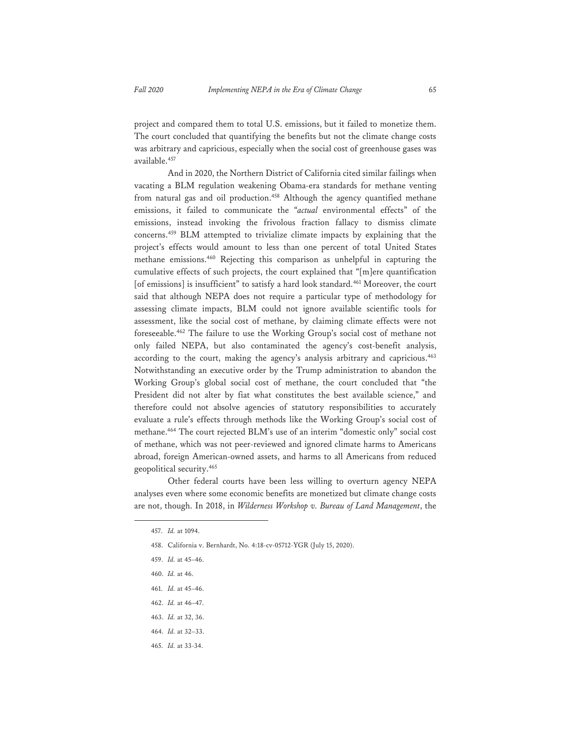project and compared them to total U.S. emissions, but it failed to monetize them. The court concluded that quantifying the benefits but not the climate change costs was arbitrary and capricious, especially when the social cost of greenhouse gases was available.457

And in 2020, the Northern District of California cited similar failings when vacating a BLM regulation weakening Obama-era standards for methane venting from natural gas and oil production.<sup>458</sup> Although the agency quantified methane emissions, it failed to communicate the "*actual* environmental effects" of the emissions, instead invoking the frivolous fraction fallacy to dismiss climate concerns.459 BLM attempted to trivialize climate impacts by explaining that the project's effects would amount to less than one percent of total United States methane emissions.460 Rejecting this comparison as unhelpful in capturing the cumulative effects of such projects, the court explained that "[m]ere quantification [of emissions] is insufficient" to satisfy a hard look standard.<sup>461</sup> Moreover, the court said that although NEPA does not require a particular type of methodology for assessing climate impacts, BLM could not ignore available scientific tools for assessment, like the social cost of methane, by claiming climate effects were not foreseeable.462 The failure to use the Working Group's social cost of methane not only failed NEPA, but also contaminated the agency's cost-benefit analysis, according to the court, making the agency's analysis arbitrary and capricious.<sup>463</sup> Notwithstanding an executive order by the Trump administration to abandon the Working Group's global social cost of methane, the court concluded that "the President did not alter by fiat what constitutes the best available science," and therefore could not absolve agencies of statutory responsibilities to accurately evaluate a rule's effects through methods like the Working Group's social cost of methane.464 The court rejected BLM's use of an interim "domestic only" social cost of methane, which was not peer-reviewed and ignored climate harms to Americans abroad, foreign American-owned assets, and harms to all Americans from reduced geopolitical security.<sup>465</sup>

Other federal courts have been less willing to overturn agency NEPA analyses even where some economic benefits are monetized but climate change costs are not, though. In 2018, in *Wilderness Workshop v. Bureau of Land Management*, the

- 461. *Id.* at 45–46.
- 462. *Id.* at 46–47.
- 463. *Id.* at 32, 36.
- 464. *Id.* at 32–33.
- 465. *Id.* at 33-34.

<sup>457.</sup> *Id.* at 1094.

<sup>458.</sup> California v. Bernhardt, No. 4:18-cv-05712-YGR (July 15, 2020).

<sup>459.</sup> *Id.* at 45–46.

<sup>460.</sup> *Id.* at 46.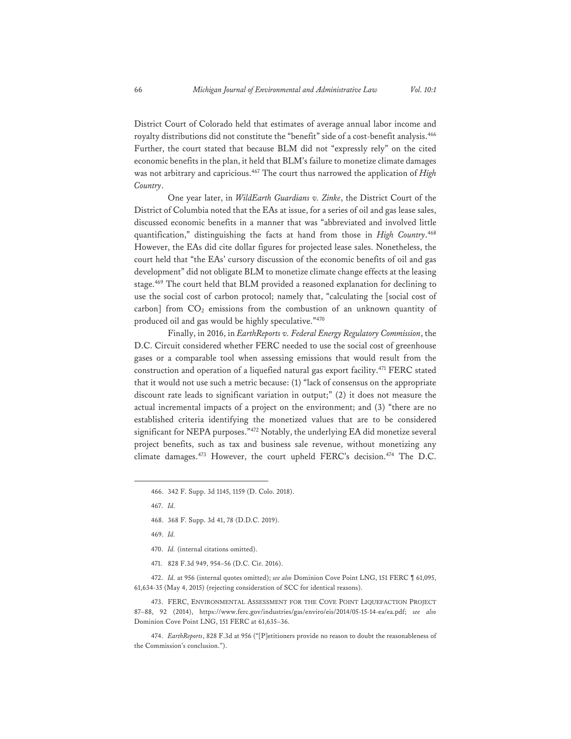District Court of Colorado held that estimates of average annual labor income and royalty distributions did not constitute the "benefit" side of a cost-benefit analysis.<sup>466</sup> Further, the court stated that because BLM did not "expressly rely" on the cited economic benefits in the plan, it held that BLM's failure to monetize climate damages was not arbitrary and capricious.467 The court thus narrowed the application of *High Country*.

One year later, in *WildEarth Guardians v. Zinke*, the District Court of the District of Columbia noted that the EAs at issue, for a series of oil and gas lease sales, discussed economic benefits in a manner that was "abbreviated and involved little quantification," distinguishing the facts at hand from those in *High Country*. 468 However, the EAs did cite dollar figures for projected lease sales. Nonetheless, the court held that "the EAs' cursory discussion of the economic benefits of oil and gas development" did not obligate BLM to monetize climate change effects at the leasing stage.469 The court held that BLM provided a reasoned explanation for declining to use the social cost of carbon protocol; namely that, "calculating the [social cost of carbon] from  $CO<sub>2</sub>$  emissions from the combustion of an unknown quantity of produced oil and gas would be highly speculative."470

Finally, in 2016, in *EarthReports v. Federal Energy Regulatory Commission*, the D.C. Circuit considered whether FERC needed to use the social cost of greenhouse gases or a comparable tool when assessing emissions that would result from the construction and operation of a liquefied natural gas export facility.471 FERC stated that it would not use such a metric because: (1) "lack of consensus on the appropriate discount rate leads to significant variation in output;" (2) it does not measure the actual incremental impacts of a project on the environment; and (3) "there are no established criteria identifying the monetized values that are to be considered significant for NEPA purposes."472 Notably, the underlying EA did monetize several project benefits, such as tax and business sale revenue, without monetizing any climate damages.<sup>473</sup> However, the court upheld FERC's decision.<sup>474</sup> The D.C.

471. 828 F.3d 949, 954–56 (D.C. Cir. 2016).

472. *Id.* at 956 (internal quotes omitted); *see also* Dominion Cove Point LNG, 151 FERC ¶ 61,095, 61,634-35 (May 4, 2015) (rejecting consideration of SCC for identical reasons).

473. FERC, ENVIRONMENTAL ASSESSMENT FOR THE COVE POINT LIQUEFACTION PROJECT 87–88, 92 (2014), https://www.ferc.gov/industries/gas/enviro/eis/2014/05-15-14-ea/ea.pdf; *see also* Dominion Cove Point LNG, 151 FERC at 61,635–36.

474. *EarthReports*, 828 F.3d at 956 ("[P]etitioners provide no reason to doubt the reasonableness of the Commission's conclusion.").

<sup>466. 342</sup> F. Supp. 3d 1145, 1159 (D. Colo. 2018).

<sup>467.</sup> *Id.*

<sup>468. 368</sup> F. Supp. 3d 41, 78 (D.D.C. 2019).

<sup>469.</sup> *Id.*

<sup>470.</sup> *Id.* (internal citations omitted).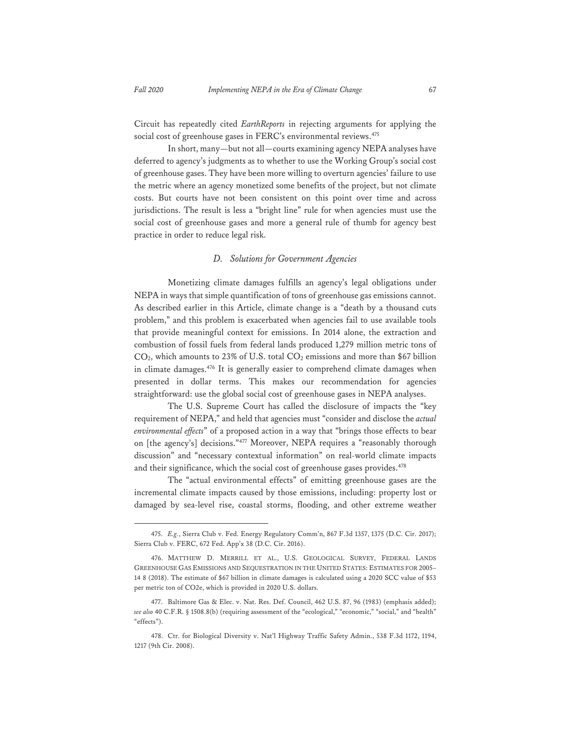Circuit has repeatedly cited *EarthReports* in rejecting arguments for applying the social cost of greenhouse gases in FERC's environmental reviews.<sup>475</sup>

In short, many—but not all—courts examining agency NEPA analyses have deferred to agency's judgments as to whether to use the Working Group's social cost of greenhouse gases. They have been more willing to overturn agencies' failure to use the metric where an agency monetized some benefits of the project, but not climate costs. But courts have not been consistent on this point over time and across jurisdictions. The result is less a "bright line" rule for when agencies must use the social cost of greenhouse gases and more a general rule of thumb for agency best practice in order to reduce legal risk.

#### *D. Solutions for Government Agencies*

Monetizing climate damages fulfills an agency's legal obligations under NEPA in ways that simple quantification of tons of greenhouse gas emissions cannot. As described earlier in this Article, climate change is a "death by a thousand cuts problem," and this problem is exacerbated when agencies fail to use available tools that provide meaningful context for emissions. In 2014 alone, the extraction and combustion of fossil fuels from federal lands produced 1,279 million metric tons of  $CO<sub>2</sub>$ , which amounts to 23% of U.S. total  $CO<sub>2</sub>$  emissions and more than \$67 billion in climate damages.<sup>476</sup> It is generally easier to comprehend climate damages when presented in dollar terms. This makes our recommendation for agencies straightforward: use the global social cost of greenhouse gases in NEPA analyses.

The U.S. Supreme Court has called the disclosure of impacts the "key requirement of NEPA," and held that agencies must "consider and disclose the *actual environmental effects*" of a proposed action in a way that "brings those effects to bear on [the agency's] decisions."477 Moreover, NEPA requires a "reasonably thorough discussion" and "necessary contextual information" on real-world climate impacts and their significance, which the social cost of greenhouse gases provides.<sup>478</sup>

The "actual environmental effects" of emitting greenhouse gases are the incremental climate impacts caused by those emissions, including: property lost or damaged by sea-level rise, coastal storms, flooding, and other extreme weather

<sup>475.</sup> *E.g.*, Sierra Club v. Fed. Energy Regulatory Comm'n, 867 F.3d 1357, 1375 (D.C. Cir. 2017); Sierra Club v. FERC, 672 Fed. App'x 38 (D.C. Cir. 2016).

<sup>476.</sup> MATTHEW D. MERRILL ET AL., U.S. GEOLOGICAL SURVEY, FEDERAL LANDS GREENHOUSE GAS EMISSIONS AND SEQUESTRATION IN THE UNITED STATES: ESTIMATES FOR 2005– 14 8 (2018). The estimate of \$67 billion in climate damages is calculated using a 2020 SCC value of \$53 per metric ton of CO2e, which is provided in 2020 U.S. dollars.

<sup>477.</sup> Baltimore Gas & Elec. v. Nat. Res. Def. Council, 462 U.S. 87, 96 (1983) (emphasis added); *see also* 40 C.F.R. § 1508.8(b) (requiring assessment of the "ecological," "economic," "social," and "health" "effects").

<sup>478.</sup> Ctr. for Biological Diversity v. Nat'l Highway Traffic Safety Admin., 538 F.3d 1172, 1194, 1217 (9th Cir. 2008).